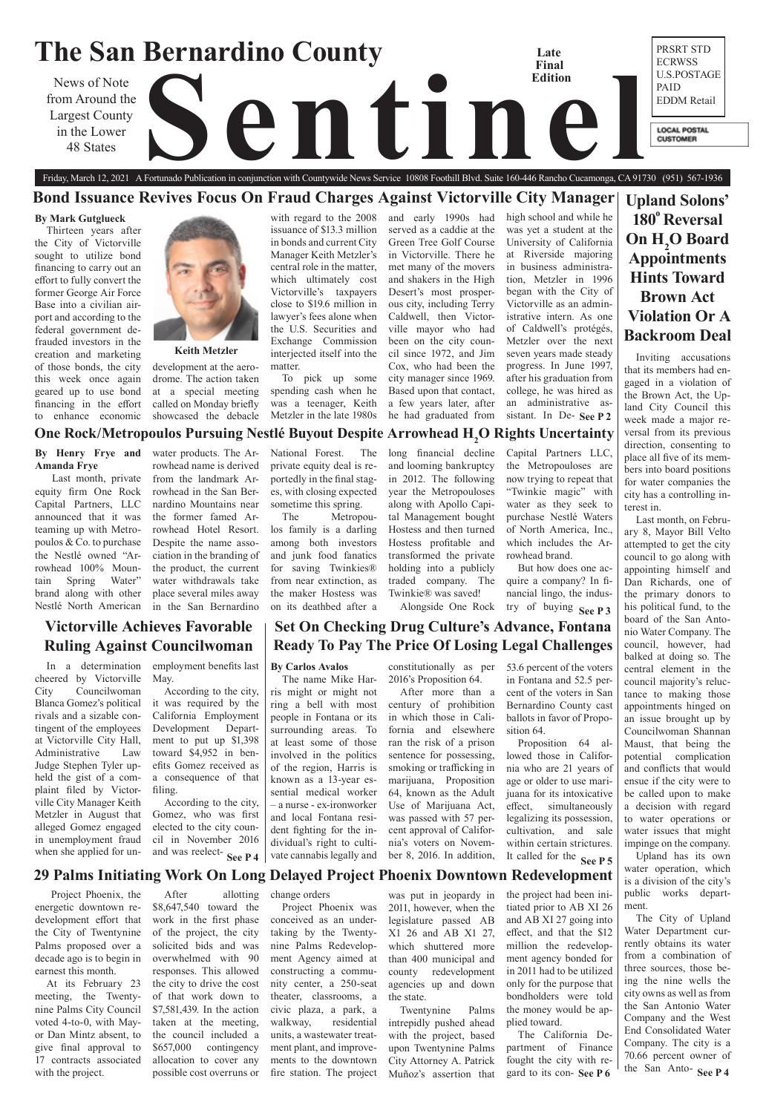### **The San Bernardino County** PRSRT STD **Late**  ECRWSS **Final**  U.S.POSTAGE **Edition** News of Note<br>
The Largest County<br>
48 States<br>
All **Company of New States**<br>
All **Company of New States** PAID from Around the EDDM Retail Largest County **LOCAL POSTAL** in the Lower **CUSTOMER** 48 States

**Upland Solons'**  180<sup>°</sup> Reversal **On H<sub>2</sub>O Board Appointments Hints Toward Brown Act Violation Or A Backroom Deal**

# **Victorville Achieves Favorable Ruling Against Councilwoman**

Friday, March 12, 2021 A Fortunado Publication in conjunction with Countywide News Service 10808 Foothill Blvd. Suite 160-446 Rancho Cucamonga, CA 91730 (951) 567-1936 **Bond Issuance Revives Focus On Fraud Charges Against Victorville City Manager**

# **Set On Checking Drug Culture's Advance, Fontana Ready To Pay The Price Of Losing Legal Challenges**

# **29 Palms Initiating Work On Long Delayed Project Phoenix Downtown Redevelopment**

### **Keith Metzler**

### **By Mark Gutglueck**

Thirteen years after the City of Victorville sought to utilize bond financing to carry out an effort to fully convert the former George Air Force Base into a civilian airport and according to the federal government defrauded investors in the creation and marketing of those bonds, the city this week once again geared up to use bond financing in the effort to enhance economic



### **By Carlos Avalos**

the San Anto- **See P4** The City of Upland Water Department currently obtains its water from a combination of three sources, those being the nine wells the city owns as well as from the San Antonio Water Company and the West End Consolidated Water Company. The city is a 70.66 percent owner of

The name Mike Harris might or might not ring a bell with most people in Fontana or its surrounding areas. To at least some of those involved in the politics of the region, Harris is known as a 13-year essential medical worker – a nurse - ex-ironworker and local Fontana resident fighting for the individual's right to cultivate cannabis legally and

Inviting accusations that its members had engaged in a violation of the Brown Act, the Upland City Council this week made a major reversal from its previous direction, consenting to place all five of its members into board positions for water companies the city has a controlling interest in.

sistant. In De- See P 2 high school and while he was yet a student at the University of California at Riverside majoring in business administration, Metzler in 1996 began with the City of Victorville as an administrative intern. As one of Caldwell's protégés, Metzler over the next seven years made steady progress. In June 1997, after his graduation from college, he was hired as an administrative as-

> Last month, on February 8, Mayor Bill Velto attempted to get the city council to go along with appointing himself and Dan Richards, one of the primary donors to his political fund, to the board of the San Antonio Water Company. The council, however, had balked at doing so. The central element in the council majority's reluctance to making those appointments hinged on an issue brought up by Councilwoman Shannan Maust, that being the potential complication and conflicts that would ensue if the city were to be called upon to make a decision with regard to water operations or water issues that might impinge on the company.

### **One Rock/Metropoulos Pursuing Nestlé Buyout Despite Arrowhead H2 O Rights Uncertainty By Henry Frye and Amanda Frye** water products. The Ar-

Upland has its own water operation, which is a division of the city's public works department.

development at the aerodrome. The action taken at a special meeting called on Monday briefly showcased the debacle

> **See P 4** | vate cannabis legally and ber 8, 2016. In addition, It called for the **See P 5** After more than a century of prohibition in which those in California and elsewhere ran the risk of a prison sentence for possessing, smoking or trafficking in marijuana, Proposition 64, known as the Adult Use of Marijuana Act, was passed with 57 percent approval of California's voters on November 8, 2016. In addition,

with regard to the 2008 issuance of \$13.3 million in bonds and current City Manager Keith Metzler's central role in the matter, which ultimately cost Victorville's taxpayers close to \$19.6 million in lawyer's fees alone when the U.S. Securities and Exchange Commission interjected itself into the matter.

To pick up some spending cash when he was a teenager, Keith Metzler in the late 1980s

and early 1990s had served as a caddie at the Green Tree Golf Course in Victorville. There he met many of the movers and shakers in the High Desert's most prosperous city, including Terry Caldwell, then Victorville mayor who had been on the city council since 1972, and Jim Cox, who had been the city manager since 1969. Based upon that contact, a few years later, after he had graduated from

> gard to its con-See P6 the project had been initiated prior to AB XI 26 and AB XI 27 going into effect, and that the \$12 million the redevelopment agency bonded for in 2011 had to be utilized only for the purpose that bondholders were told the money would be applied toward. The California Department of Finance fought the city with re-

According to the city, Gomez, who was first elected to the city council in November 2016 and was reelect-See P 4

 Last month, private equity firm One Rock Capital Partners, LLC announced that it was teaming up with Metropoulos & Co. to purchase the Nestlé owned "Arrowhead 100% Mountain Spring Water" brand along with other Nestlé North American

rowhead name is derived from the landmark Arrowhead in the San Bernardino Mountains near the former famed Arrowhead Hotel Resort. Despite the name association in the branding of the product, the current water withdrawals take place several miles away

in the San Bernardino

National Forest. The private equity deal is reportedly in the final stages, with closing expected sometime this spring.

The Metropoulos family is a darling among both investors and junk food fanatics for saving Twinkies® from near extinction, as the maker Hostess was on its deathbed after a

long financial decline and looming bankruptcy in 2012. The following year the Metropouloses along with Apollo Capital Management bought Hostess and then turned Hostess profitable and transformed the private holding into a publicly traded company. The Twinkie® was saved!

Capital Partners LLC, the Metropouloses are now trying to repeat that "Twinkie magic" with water as they seek to purchase Nestlé Waters of North America, Inc., which includes the Ar-

rowhead brand.

But how does one acquire a company? In financial lingo, the indus-

Alongside One Rock try of buying See P 3

constitutionally as per 2016's Proposition 64.

53.6 percent of the voters in Fontana and 52.5 percent of the voters in San Bernardino County cast ballots in favor of Proposition 64.

Proposition 64 allowed those in California who are 21 years of age or older to use marijuana for its intoxicative effect, simultaneously legalizing its possession, cultivation, and sale within certain strictures.

 Project Phoenix, the energetic downtown redevelopment effort that the City of Twentynine Palms proposed over a decade ago is to begin in earnest this month.

At its February 23 meeting, the Twentynine Palms City Council voted 4-to-0, with Mayor Dan Mintz absent, to give final approval to 17 contracts associated with the project.

After allotting \$8,647,540 toward the work in the first phase of the project, the city solicited bids and was overwhelmed with 90 responses. This allowed the city to drive the cost of that work down to \$7,581,439. In the action taken at the meeting, the council included a \$657,000 contingency allocation to cover any possible cost overruns or

change orders Project Phoenix was conceived as an undertaking by the Twentynine Palms Redevelopment Agency aimed at constructing a community center, a 250-seat theater, classrooms, a civic plaza, a park, a walkway, residential units, a wastewater treatment plant, and improvements to the downtown fire station. The project

was put in jeopardy in 2011, however, when the legislature passed AB X1 26 and AB X1 27, which shuttered more than 400 municipal and county redevelopment agencies up and down the state. Twentynine Palms intrepidly pushed ahead with the project, based upon Twentynine Palms City Attorney A. Patrick Muñoz's assertion that

In a determination cheered by Victorville City Councilwoman Blanca Gomez's political rivals and a sizable contingent of the employees at Victorville City Hall, Administrative Law Judge Stephen Tyler upheld the gist of a complaint filed by Victorville City Manager Keith Metzler in August that alleged Gomez engaged in unemployment fraud when she applied for un-

employment benefits last May.

> According to the city, it was required by the California Employment Development Department to put up \$1,398 toward \$4,952 in benefits Gomez received as a consequence of that filing.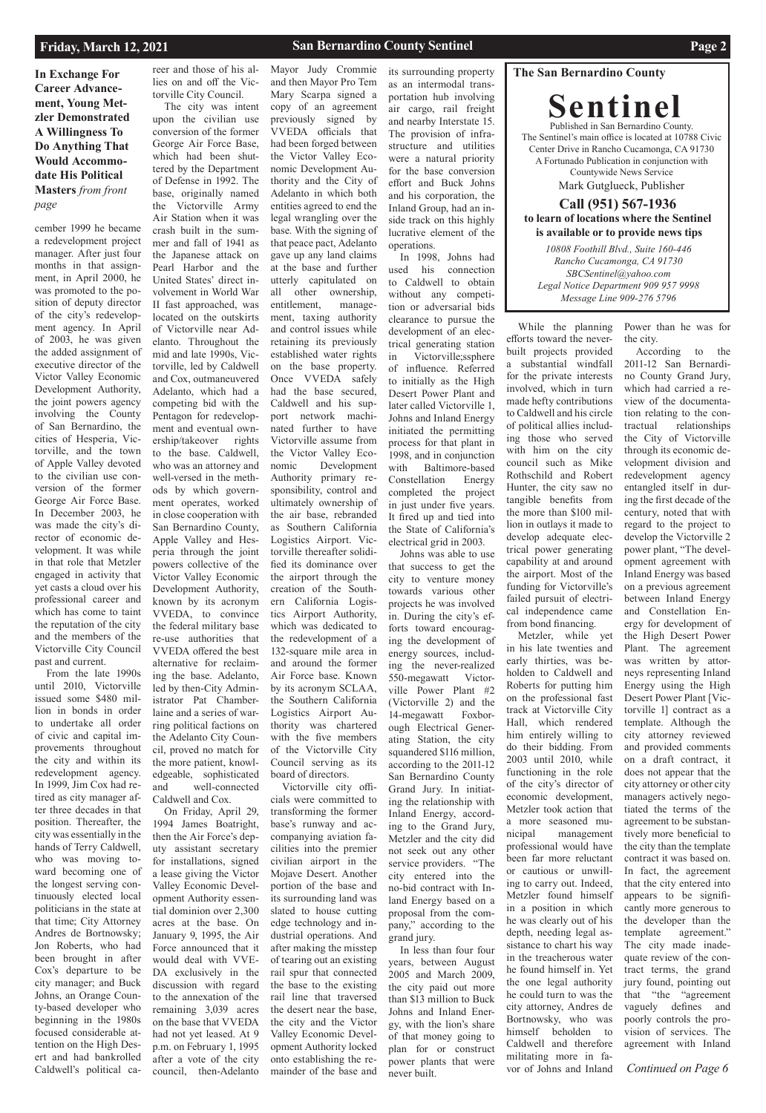### **The San Bernardino County**

**Sentinel** Published in San Bernardino County. The Sentinel's main office is located at 10788 Civic Center Drive in Rancho Cucamonga, CA 91730 A Fortunado Publication in conjunction with Countywide News Service Mark Gutglueck, Publisher

### **Call (951) 567-1936 to learn of locations where the Sentinel is available or to provide news tips**

**In Exchange For Career Advancement, Young Metzler Demonstrated A Willingness To Do Anything That Would Accommodate His Political Masters** *from front page*

*Continued on Page 6*

*10808 Foothill Blvd., Suite 160-446 Rancho Cucamonga, CA 91730 SBCSentinel@yahoo.com Legal Notice Department 909 957 9998 Message Line 909-276 5796*

### **Friday, March 12, 2021**

## **San Bernardino County Sentinel <b>Page 2 Page 2**

cember 1999 he became a redevelopment project manager. After just four months in that assignment, in April 2000, he was promoted to the position of deputy director of the city's redevelopment agency. In April of 2003, he was given the added assignment of executive director of the Victor Valley Economic Development Authority, the joint powers agency involving the County of San Bernardino, the cities of Hesperia, Victorville, and the town of Apple Valley devoted to the civilian use conversion of the former George Air Force Base. In December 2003, he was made the city's director of economic development. It was while in that role that Metzler engaged in activity that yet casts a cloud over his professional career and which has come to taint the reputation of the city and the members of the Victorville City Council past and current.

From the late 1990s until 2010, Victorville issued some \$480 million in bonds in order to undertake all order of civic and capital improvements throughout the city and within its redevelopment agency. In 1999, Jim Cox had retired as city manager after three decades in that position. Thereafter, the city was essentially in the hands of Terry Caldwell, who was moving toward becoming one of the longest serving continuously elected local politicians in the state at that time; City Attorney Andres de Bortnowsky; Jon Roberts, who had been brought in after Cox's departure to be city manager; and Buck Johns, an Orange County-based developer who beginning in the 1980s focused considerable attention on the High Desert and had bankrolled Caldwell's political ca-

reer and those of his allies on and off the Victorville City Council.

The city was intent upon the civilian use conversion of the former George Air Force Base, which had been shuttered by the Department of Defense in 1992. The base, originally named the Victorville Army Air Station when it was crash built in the summer and fall of 1941 as the Japanese attack on Pearl Harbor and the United States' direct involvement in World War II fast approached, was located on the outskirts of Victorville near Adelanto. Throughout the mid and late 1990s, Victorville, led by Caldwell and Cox, outmaneuvered Adelanto, which had a competing bid with the Pentagon for redevelopment and eventual ownership/takeover rights to the base. Caldwell, who was an attorney and well-versed in the methods by which government operates, worked in close cooperation with San Bernardino County, Apple Valley and Hesperia through the joint powers collective of the Victor Valley Economic Development Authority, known by its acronym VVEDA, to convince the federal military base re-use authorities that VVEDA offered the best alternative for reclaiming the base. Adelanto, led by then-City Administrator Pat Chamberlaine and a series of warring political factions on the Adelanto City Council, proved no match for the more patient, knowledgeable, sophisticated and well-connected

Caldwell and Cox. On Friday, April 29, 1994 James Boatright, then the Air Force's deputy assistant secretary for installations, signed a lease giving the Victor Valley Economic Development Authority essential dominion over 2,300 acres at the base. On January 9, 1995, the Air Force announced that it would deal with VVE-DA exclusively in the discussion with regard to the annexation of the remaining 3,039 acres on the base that VVEDA had not yet leased. At 9 p.m. on February 1, 1995 after a vote of the city council, then-Adelanto Mayor Judy Crommie and then Mayor Pro Tem Mary Scarpa signed a copy of an agreement previously signed by VVEDA officials that had been forged between the Victor Valley Economic Development Authority and the City of Adelanto in which both entities agreed to end the legal wrangling over the base. With the signing of that peace pact, Adelanto gave up any land claims at the base and further utterly capitulated on all other ownership, entitlement, management, taxing authority and control issues while retaining its previously established water rights on the base property. Once VVEDA safely had the base secured, Caldwell and his support network machinated further to have Victorville assume from the Victor Valley Economic Development Authority primary responsibility, control and ultimately ownership of the air base, rebranded as Southern California Logistics Airport. Victorville thereafter solidified its dominance over the airport through the creation of the Southern California Logistics Airport Authority, which was dedicated to the redevelopment of a 132-square mile area in and around the former Air Force base. Known by its acronym SCLAA, the Southern California Logistics Airport Authority was chartered with the five members of the Victorville City Council serving as its board of directors.

Victorville city officials were committed to transforming the former base's runway and accompanying aviation facilities into the premier civilian airport in the

Mojave Desert. Another portion of the base and its surrounding land was slated to house cutting edge technology and industrial operations. And after making the misstep of tearing out an existing rail spur that connected the base to the existing rail line that traversed the desert near the base, the city and the Victor Valley Economic Development Authority locked onto establishing the remainder of the base and

its surrounding property as an intermodal transportation hub involving air cargo, rail freight and nearby Interstate 15. The provision of infrastructure and utilities were a natural priority for the base conversion effort and Buck Johns and his corporation, the Inland Group, had an inside track on this highly lucrative element of the operations.

In 1998, Johns had used his connection to Caldwell to obtain without any competition or adversarial bids clearance to pursue the development of an electrical generating station in Victorville;ssphere of influence. Referred to initially as the High Desert Power Plant and later called Victorville 1, Johns and Inland Energy initiated the permitting process for that plant in 1998, and in conjunction with Baltimore-based Constellation Energy completed the project in just under five years. It fired up and tied into the State of California's electrical grid in 2003.

Johns was able to use that success to get the city to venture money towards various other projects he was involved in. During the city's efforts toward encouraging the development of energy sources, including the never-realized 550-megawatt Victorville Power Plant #2 (Victorville 2) and the 14-megawatt Foxborough Electrical Generating Station, the city squandered \$116 million, according to the 2011-12 San Bernardino County Grand Jury. In initiating the relationship with Inland Energy, according to the Grand Jury, Metzler and the city did not seek out any other service providers. "The

city entered into the no-bid contract with Inland Energy based on a proposal from the company," according to the grand jury. In less than four four years, between August 2005 and March 2009, the city paid out more

never built.

While the planning efforts toward the neverbuilt projects provided a substantial windfall for the private interests involved, which in turn made hefty contributions to Caldwell and his circle of political allies including those who served with him on the city council such as Mike Rothschild and Robert Hunter, the city saw no tangible benefits from the more than \$100 million in outlays it made to develop adequate electrical power generating capability at and around the airport. Most of the funding for Victorville's failed pursuit of electrical independence came from bond financing.

than \$13 million to Buck Johns and Inland Energy, with the lion's share of that money going to plan for or construct power plants that were he was clearly out of his depth, needing legal assistance to chart his way in the treacherous water he found himself in. Yet the one legal authority he could turn to was the city attorney, Andres de Bortnowsky, who was himself beholden to Caldwell and therefore militating more in favor of Johns and Inland

Metzler, while yet in his late twenties and early thirties, was beholden to Caldwell and Roberts for putting him on the professional fast track at Victorville City Hall, which rendered him entirely willing to do their bidding. From 2003 until 2010, while functioning in the role of the city's director of economic development, Metzler took action that a more seasoned municipal management professional would have been far more reluctant

or cautious or unwilling to carry out. Indeed, Metzler found himself in a position in which

Power than he was for the city.

According to the 2011-12 San Bernardino County Grand Jury, which had carried a review of the documentation relating to the contractual relationships the City of Victorville through its economic development division and redevelopment agency entangled itself in during the first decade of the century, noted that with regard to the project to develop the Victorville 2 power plant, "The development agreement with Inland Energy was based on a previous agreement between Inland Energy and Constellation Energy for development of the High Desert Power Plant. The agreement was written by attorneys representing Inland Energy using the High Desert Power Plant [Victorville 1] contract as a template. Although the city attorney reviewed and provided comments on a draft contract, it does not appear that the city attorney or other city managers actively negotiated the terms of the agreement to be substantively more beneficial to the city than the template contract it was based on. In fact, the agreement that the city entered into appears to be significantly more generous to the developer than the template agreement." The city made inadequate review of the contract terms, the grand jury found, pointing out that "the "agreement vaguely defines and poorly controls the provision of services. The agreement with Inland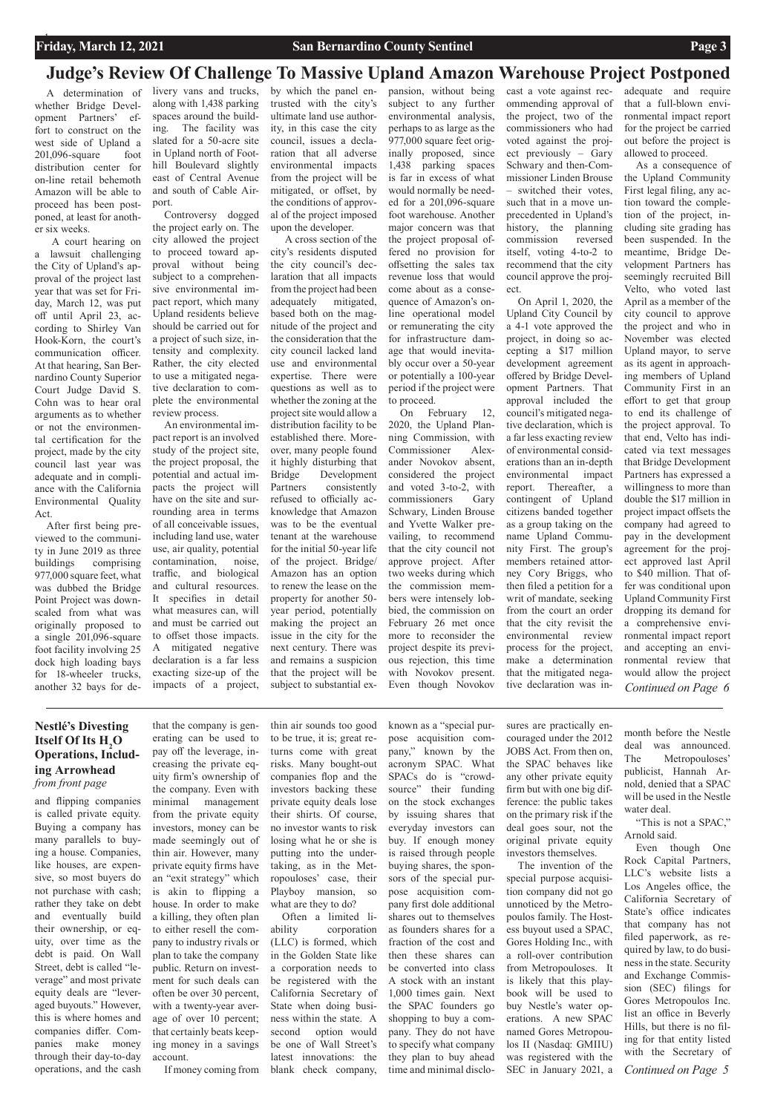A determination of whether Bridge Development Partners' effort to construct on the west side of Upland a 201,096-square foot distribution center for on-line retail behemoth Amazon will be able to proceed has been postponed, at least for another six weeks.

 A court hearing on a lawsuit challenging the City of Upland's approval of the project last year that was set for Friday, March 12, was put off until April 23, according to Shirley Van Hook-Korn, the court's communication officer. At that hearing, San Bernardino County Superior Court Judge David S. Cohn was to hear oral arguments as to whether or not the environmental certification for the project, made by the city council last year was adequate and in compliance with the California Environmental Quality Act.

After first being previewed to the community in June 2019 as three buildings comprising 977,000 square feet, what was dubbed the Bridge Point Project was downscaled from what was originally proposed to a single 201,096-square foot facility involving 25 dock high loading bays for 18-wheeler trucks, another 32 bays for de-

# **Judge's Review Of Challenge To Massive Upland Amazon Warehouse Project Postponed**

and flipping companies is called private equity. Buying a company has many parallels to buying a house. Companies, like houses, are expen-

sive, so most buyers do not purchase with cash; rather they take on debt and eventually build their ownership, or equity, over time as the debt is paid. On Wall Street, debt is called "leverage" and most private equity deals are "leveraged buyouts." However, this is where homes and companies differ. Companies make money through their day-to-day operations, and the cash

that the company is generating can be used to pay off the leverage, increasing the private equity firm's ownership of the company. Even with minimal management from the private equity investors, money can be made seemingly out of thin air. However, many private equity firms have an "exit strategy" which is akin to flipping a house. In order to make a killing, they often plan to either resell the company to industry rivals or plan to take the company public. Return on investment for such deals can often be over 30 percent, with a twenty-year average of over 10 percent; that certainly beats keeping money in a savings account. If money coming from

thin air sounds too good to be true, it is; great returns come with great risks. Many bought-out companies flop and the investors backing these private equity deals lose their shirts. Of course, no investor wants to risk losing what he or she is putting into the undertaking, as in the Metropouloses' case, their Playboy mansion, so what are they to do? Often a limited liability corporation (LLC) is formed, which in the Golden State like a corporation needs to be registered with the California Secretary of State when doing business within the state. A second option would be one of Wall Street's latest innovations: the blank check company,

known as a "special purpose acquisition company," known by the acronym SPAC. What SPACs do is "crowdsource" their funding on the stock exchanges by issuing shares that everyday investors can buy. If enough money is raised through people buying shares, the sponsors of the special purpose acquisition company first dole additional shares out to themselves as founders shares for a fraction of the cost and then these shares can be converted into class A stock with an instant 1,000 times gain. Next the SPAC founders go shopping to buy a company. They do not have to specify what company they plan to buy ahead time and minimal disclo-

sures are practically encouraged under the 2012 JOBS Act. From then on, the SPAC behaves like any other private equity firm but with one big difference: the public takes on the primary risk if the deal goes sour, not the original private equity investors themselves.

The invention of the

special purpose acquisition company did not go unnoticed by the Metropoulos family. The Hostess buyout used a SPAC, Gores Holding Inc., with a roll-over contribution from Metropouloses. It is likely that this playbook will be used to buy Nestle's water operations. A new SPAC named Gores Metropoulos II (Nasdaq: GMIIU) was registered with the SEC in January 2021, a

month before the Nestle deal was announced. The Metropouloses' publicist, Hannah Arnold, denied that a SPAC will be used in the Nestle water deal.

"This is not a SPAC," Arnold said.

Even though One Rock Capital Partners,

livery vans and trucks, along with 1,438 parking spaces around the building. The facility was slated for a 50-acre site in Upland north of Foothill Boulevard slightly east of Central Avenue and south of Cable Airport.

*Continued on Page 6* As a consequence of the Upland Community First legal filing, any action toward the completion of the project, including site grading has been suspended. In the meantime, Bridge Development Partners has seemingly recruited Bill Velto, who voted last April as a member of the city council to approve the project and who in November was elected Upland mayor, to serve as its agent in approaching members of Upland Community First in an effort to get that group to end its challenge of the project approval. To that end, Velto has indicated via text messages that Bridge Development Partners has expressed a willingness to more than double the \$17 million in project impact offsets the company had agreed to pay in the development agreement for the project approved last April to \$40 million. That offer was conditional upon Upland Community First dropping its demand for a comprehensive environmental impact report and accepting an environmental review that would allow the project

Controversy dogged the project early on. The city allowed the project to proceed toward approval without being subject to a comprehensive environmental impact report, which many Upland residents believe should be carried out for a project of such size, intensity and complexity. Rather, the city elected to use a mitigated negative declaration to complete the environmental review process.

An environmental impact report is an involved study of the project site, the project proposal, the potential and actual impacts the project will have on the site and surrounding area in terms of all conceivable issues, including land use, water use, air quality, potential contamination, noise, traffic, and biological and cultural resources. It specifies in detail what measures can, will and must be carried out to offset those impacts. A mitigated negative declaration is a far less exacting size-up of the impacts of a project,

by which the panel entrusted with the city's ultimate land use authority, in this case the city council, issues a declaration that all adverse environmental impacts from the project will be mitigated, or offset, by the conditions of approval of the project imposed upon the developer.

 A cross section of the city's residents disputed the city council's declaration that all impacts from the project had been adequately mitigated, based both on the magnitude of the project and the consideration that the city council lacked land use and environmental expertise. There were questions as well as to whether the zoning at the project site would allow a distribution facility to be established there. Moreover, many people found it highly disturbing that Bridge Development Partners consistently refused to officially acknowledge that Amazon was to be the eventual tenant at the warehouse for the initial 50-year life of the project. Bridge/ Amazon has an option to renew the lease on the property for another 50 year period, potentially making the project an issue in the city for the next century. There was and remains a suspicion that the project will be subject to substantial expansion, without being subject to any further environmental analysis, perhaps to as large as the 977,000 square feet originally proposed, since 1,438 parking spaces is far in excess of what would normally be needed for a 201,096-square foot warehouse. Another major concern was that the project proposal offered no provision for offsetting the sales tax revenue loss that would come about as a consequence of Amazon's online operational model or remunerating the city for infrastructure damage that would inevitably occur over a 50-year or potentially a 100-year period if the project were to proceed.

> LLC's website lists a Los Angeles office, the California Secretary of State's office indicates that company has not filed paperwork, as required by law, to do business in the state. Security and Exchange Commission (SEC) filings for Gores Metropoulos Inc. list an office in Beverly Hills, but there is no filing for that entity listed with the Secretary of *Continued on Page 5*

On February 12, 2020, the Upland Planning Commission, with Commissioner Alexander Novokov absent, considered the project and voted 3-to-2, with commissioners Gary Schwary, Linden Brouse and Yvette Walker prevailing, to recommend that the city council not approve project. After two weeks during which the commission members were intensely lobbied, the commission on February 26 met once more to reconsider the project despite its previous rejection, this time with Novokov present. Even though Novokov

cast a vote against recommending approval of the project, two of the commissioners who had voted against the project previously – Gary Schwary and then-Commissioner Linden Brouse – switched their votes, such that in a move unprecedented in Upland's history, the planning commission reversed itself, voting 4-to-2 to recommend that the city council approve the project.

On April 1, 2020, the Upland City Council by a 4-1 vote approved the project, in doing so accepting a \$17 million development agreement offered by Bridge Development Partners. That approval included the council's mitigated negative declaration, which is a far less exacting review of environmental considerations than an in-depth environmental impact report. Thereafter, a contingent of Upland citizens banded together as a group taking on the name Upland Community First. The group's members retained attorney Cory Briggs, who then filed a petition for a writ of mandate, seeking from the court an order that the city revisit the environmental review process for the project, make a determination that the mitigated negative declaration was inadequate and require that a full-blown environmental impact report for the project be carried out before the project is allowed to proceed.

# **Nestlé's Divesting Itself Of Its**  $H_2O$ **Operations, Including Arrowhead**

*from front page*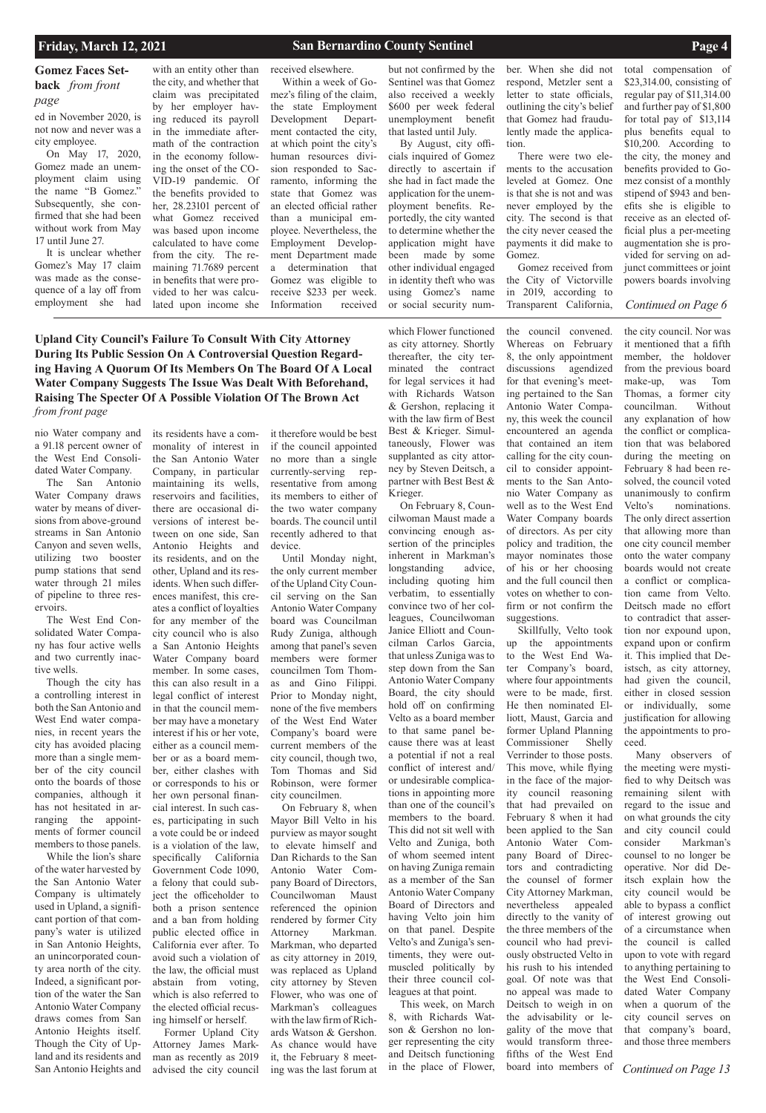## **Gomez Faces Setback** *from front page*

*Continued on Page 13*

### *Continued on Page 6*

**Upland City Council's Failure To Consult With City Attorney During Its Public Session On A Controversial Question Regarding Having A Quorum Of Its Members On The Board Of A Local Water Company Suggests The Issue Was Dealt With Beforehand, Raising The Specter Of A Possible Violation Of The Brown Act**  *from front page*

nio Water company and a 91.18 percent owner of the West End Consolidated Water Company.

The San Antonio Water Company draws water by means of diversions from above-ground streams in San Antonio Canyon and seven wells, utilizing two booster pump stations that send water through 21 miles of pipeline to three reservoirs.

The West End Consolidated Water Company has four active wells and two currently inactive wells.

Though the city has a controlling interest in both the San Antonio and West End water companies, in recent years the city has avoided placing more than a single member of the city council onto the boards of those companies, although it has not hesitated in arranging the appointments of former council members to those panels.

While the lion's share

of the water harvested by the San Antonio Water Company is ultimately used in Upland, a significant portion of that company's water is utilized in San Antonio Heights, an unincorporated county area north of the city. Indeed, a significant portion of the water the San Antonio Water Company draws comes from San Antonio Heights itself. Though the City of Upland and its residents and San Antonio Heights and

its residents have a com-

monality of interest in the San Antonio Water Company, in particular maintaining its wells, reservoirs and facilities, there are occasional diversions of interest between on one side, San Antonio Heights and its residents, and on the other, Upland and its residents. When such differences manifest, this creates a conflict of loyalties for any member of the city council who is also a San Antonio Heights Water Company board member. In some cases, this can also result in a legal conflict of interest in that the council member may have a monetary interest if his or her vote, either as a council member or as a board member, either clashes with or corresponds to his or her own personal financial interest. In such cases, participating in such a vote could be or indeed is a violation of the law, specifically California Government Code 1090, a felony that could subject the officeholder to both a prison sentence and a ban from holding public elected office in California ever after. To avoid such a violation of the law, the official must abstain from voting, which is also referred to the elected official recusing himself or herself. Former Upland City Attorney James Markman as recently as 2019 advised the city council

it therefore would be best if the council appointed no more than a single currently-serving representative from among its members to either of the two water company boards. The council until recently adhered to that device.

Until Monday night, the only current member of the Upland City Council serving on the San Antonio Water Company board was Councilman Rudy Zuniga, although among that panel's seven members were former councilmen Tom Thomas and Gino Filippi. Prior to Monday night, none of the five members of the West End Water Company's board were current members of the city council, though two, Tom Thomas and Sid Robinson, were former city councilmen.

On February 8, when Mayor Bill Velto in his purview as mayor sought to elevate himself and Dan Richards to the San Antonio Water Company Board of Directors, Councilwoman Maust referenced the opinion rendered by former City Attorney Markman. Markman, who departed as city attorney in 2019, was replaced as Upland city attorney by Steven Flower, who was one of Markman's colleagues with the law firm of Richards Watson & Gershon. As chance would have it, the February 8 meeting was the last forum at which Flower functioned as city attorney. Shortly thereafter, the city terminated the contract for legal services it had with Richards Watson & Gershon, replacing it with the law firm of Best Best & Krieger. Simultaneously, Flower was supplanted as city attorney by Steven Deitsch, a partner with Best Best & Krieger.

On February 8, Councilwoman Maust made a convincing enough assertion of the principles inherent in Markman's longstanding advice, including quoting him verbatim, to essentially convince two of her colleagues, Councilwoman Janice Elliott and Councilman Carlos Garcia, that unless Zuniga was to step down from the San Antonio Water Company Board, the city should hold off on confirming Velto as a board member to that same panel because there was at least a potential if not a real conflict of interest and/ or undesirable complications in appointing more than one of the council's members to the board. This did not sit well with Velto and Zuniga, both of whom seemed intent on having Zuniga remain as a member of the San Antonio Water Company Board of Directors and having Velto join him on that panel. Despite Velto's and Zuniga's sentiments, they were outmuscled politically by their three council colleagues at that point. This week, on March 8, with Richards Watson & Gershon no longer representing the city and Deitsch functioning in the place of Flower,

the council convened. Whereas on February 8, the only appointment discussions agendized for that evening's meeting pertained to the San Antonio Water Company, this week the council encountered an agenda that contained an item calling for the city council to consider appointments to the San Antonio Water Company as well as to the West End Water Company boards of directors. As per city policy and tradition, the mayor nominates those of his or her choosing and the full council then votes on whether to confirm or not confirm the suggestions.

Skillfully, Velto took up the appointments to the West End Water Company's board, where four appointments were to be made, first. He then nominated Elliott, Maust, Garcia and former Upland Planning Commissioner Shelly Verrinder to those posts. This move, while flying in the face of the majority council reasoning that had prevailed on February 8 when it had been applied to the San Antonio Water Company Board of Directors and contradicting the counsel of former City Attorney Markman, nevertheless appealed directly to the vanity of the three members of the council who had previously obstructed Velto in his rush to his intended goal. Of note was that no appeal was made to Deitsch to weigh in on the advisability or legality of the move that would transform threefifths of the West End board into members of

the city council. Nor was it mentioned that a fifth member, the holdover from the previous board make-up, was Tom Thomas, a former city councilman. Without any explanation of how the conflict or complication that was belabored during the meeting on February 8 had been resolved, the council voted unanimously to confirm Velto's nominations. The only direct assertion that allowing more than one city council member onto the water company boards would not create a conflict or complication came from Velto. Deitsch made no effort to contradict that assertion nor expound upon, expand upon or confirm it. This implied that Deistsch, as city attorney, had given the council, either in closed session or individually, some justification for allowing the appointments to proceed.

Many observers of the meeting were mystified to why Deitsch was remaining silent with regard to the issue and on what grounds the city and city council could consider Markman's counsel to no longer be operative. Nor did Deitsch explain how the city council would be able to bypass a conflict of interest growing out of a circumstance when the council is called upon to vote with regard to anything pertaining to the West End Consolidated Water Company when a quorum of the city council serves on that company's board, and those three members

ed in November 2020, is not now and never was a city employee.

On May 17, 2020, Gomez made an unemployment claim using the name "B Gomez." Subsequently, she confirmed that she had been without work from May 17 until June 27.

It is unclear whether Gomez's May 17 claim was made as the consequence of a lay off from employment she had

with an entity other than the city, and whether that claim was precipitated by her employer having reduced its payroll in the immediate aftermath of the contraction in the economy following the onset of the CO-VID-19 pandemic. Of the benefits provided to her, 28.23101 percent of what Gomez received was based upon income calculated to have come from the city. The remaining 71.7689 percent in benefits that were provided to her was calculated upon income she

received elsewhere. Within a week of Gomez's filing of the claim, the state Employment Development Department contacted the city, at which point the city's human resources division responded to Sacramento, informing the state that Gomez was an elected official rather than a municipal employee. Nevertheless, the Employment Development Department made a determination that Gomez was eligible to receive \$233 per week. Information received but not confirmed by the Sentinel was that Gomez also received a weekly \$600 per week federal unemployment benefit that lasted until July.

By August, city officials inquired of Gomez directly to ascertain if she had in fact made the application for the unemployment benefits. Reportedly, the city wanted to determine whether the application might have been made by some other individual engaged in identity theft who was using Gomez's name or social security num-

ber. When she did not respond, Metzler sent a letter to state officials, outlining the city's belief that Gomez had fraudulently made the application.

There were two elements to the accusation leveled at Gomez. One is that she is not and was never employed by the city. The second is that the city never ceased the payments it did make to Gomez.

Gomez received from the City of Victorville in 2019, according to Transparent California, total compensation of \$23,314.00, consisting of regular pay of \$11,314.00 and further pay of \$1,800 for total pay of \$13,114 plus benefits equal to \$10,200. According to the city, the money and benefits provided to Gomez consist of a monthly stipend of \$943 and benefits she is eligible to receive as an elected official plus a per-meeting augmentation she is provided for serving on adjunct committees or joint powers boards involving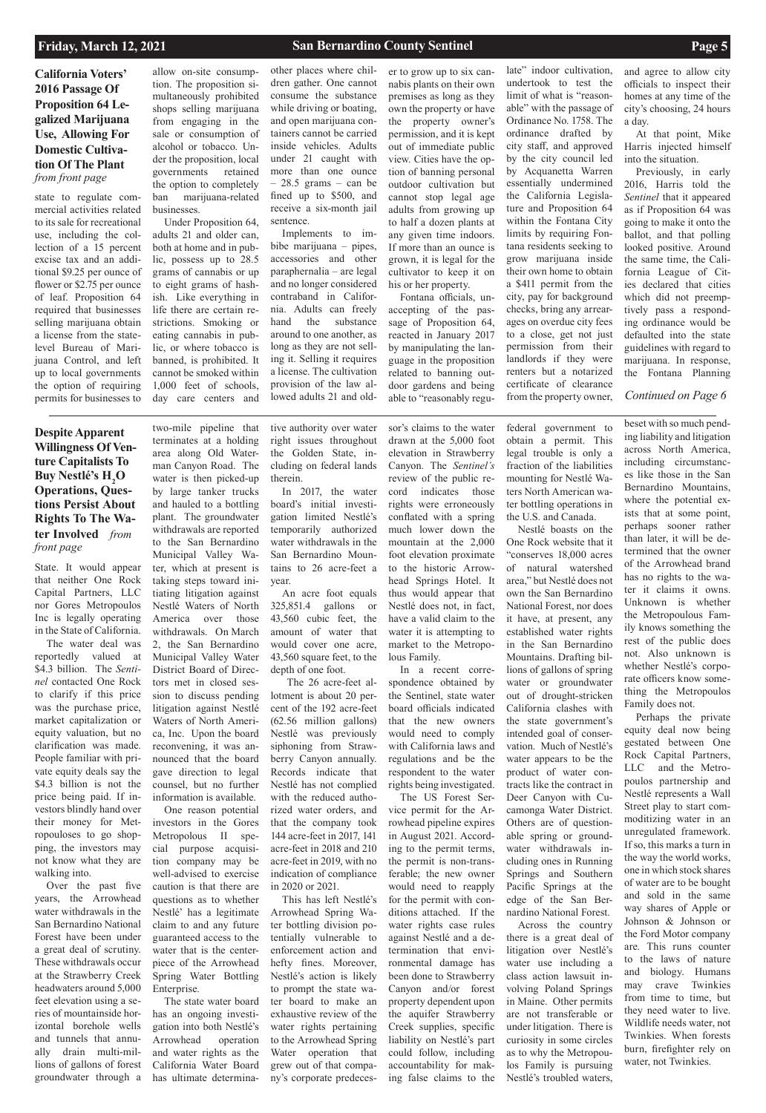# **California Voters' 2016 Passage Of Proposition 64 Legalized Marijuana Use, Allowing For Domestic Cultivation Of The Plant**  *from front page*

state to regulate commercial activities related to its sale for recreational use, including the collection of a 15 percent excise tax and an additional \$9.25 per ounce of flower or \$2.75 per ounce of leaf. Proposition 64 required that businesses selling marijuana obtain a license from the statelevel Bureau of Marijuana Control, and left up to local governments the option of requiring permits for businesses to

State. It would appear that neither One Rock Capital Partners, LLC nor Gores Metropoulos Inc is legally operating in the State of California.

The water deal was reportedly valued at \$4.3 billion. The *Sentinel* contacted One Rock to clarify if this price was the purchase price, market capitalization or equity valuation, but no clarification was made. People familiar with private equity deals say the \$4.3 billion is not the price being paid. If investors blindly hand over their money for Metropouloses to go shopping, the investors may not know what they are

walking into.

Over the past five years, the Arrowhead water withdrawals in the San Bernardino National Forest have been under a great deal of scrutiny. These withdrawals occur at the Strawberry Creek headwaters around 5,000 feet elevation using a series of mountainside horizontal borehole wells and tunnels that annually drain multi-millions of gallons of forest groundwater through a

two-mile pipeline that terminates at a holding area along Old Waterman Canyon Road. The water is then picked-up by large tanker trucks and hauled to a bottling plant. The groundwater withdrawals are reported to the San Bernardino Municipal Valley Water, which at present is taking steps toward initiating litigation against Nestlé Waters of North America over those withdrawals. On March 2, the San Bernardino Municipal Valley Water District Board of Directors met in closed session to discuss pending litigation against Nestlé Waters of North America, Inc. Upon the board reconvening, it was announced that the board gave direction to legal counsel, but no further information is available.

One reason potential investors in the Gores Metropolous II special purpose acquisition company may be well-advised to exercise caution is that there are questions as to whether Nestlé' has a legitimate claim to and any future guaranteed access to the water that is the centerpiece of the Arrowhead Spring Water Bottling Enterprise.

The state water board has an ongoing investigation into both Nestlé's Arrowhead operation and water rights as the California Water Board has ultimate determina-

tive authority over water right issues throughout the Golden State, including on federal lands therein.

In 2017, the water board's initial investigation limited Nestlé's temporarily authorized water withdrawals in the San Bernardino Mountains to 26 acre-feet a year.

An acre foot equals 325,851.4 gallons or 43,560 cubic feet, the amount of water that would cover one acre, 43,560 square feet, to the depth of one foot.

 The 26 acre-feet allotment is about 20 percent of the 192 acre-feet (62.56 million gallons) Nestlé was previously siphoning from Strawberry Canyon annually. Records indicate that Nestlé has not complied with the reduced authorized water orders, and that the company took 144 acre-feet in 2017, 141 acre-feet in 2018 and 210 acre-feet in 2019, with no

indication of compliance in 2020 or 2021.

This has left Nestlé's Arrowhead Spring Water bottling division potentially vulnerable to enforcement action and hefty fines. Moreover, Nestlé's action is likely to prompt the state water board to make an exhaustive review of the water rights pertaining to the Arrowhead Spring Water operation that grew out of that company's corporate predecessor's claims to the water drawn at the 5,000 foot elevation in Strawberry Canyon. The *Sentinel's* review of the public record indicates those rights were erroneously conflated with a spring much lower down the mountain at the 2,000 foot elevation proximate to the historic Arrowhead Springs Hotel. It thus would appear that Nestlé does not, in fact, have a valid claim to the water it is attempting to market to the Metropolous Family.

In a recent correspondence obtained by the Sentinel, state water board officials indicated that the new owners would need to comply with California laws and regulations and be the respondent to the water rights being investigated.

The US Forest Service permit for the Arrowhead pipeline expires in August 2021. According to the permit terms, the permit is non-trans-

ferable; the new owner would need to reapply for the permit with conditions attached. If the water rights case rules against Nestlé and a determination that environmental damage has been done to Strawberry Canyon and/or forest property dependent upon the aquifer Strawberry Creek supplies, specific liability on Nestlé's part could follow, including accountability for making false claims to the

late" indoor cultivation, undertook to test the limit of what is "reasonable" with the passage of Ordinance No. 1758. The ordinance drafted by city staff, and approved by the city council led by Acquanetta Warren essentially undermined the California Legislature and Proposition 64 within the Fontana City limits by requiring Fontana residents seeking to grow marijuana inside their own home to obtain a \$411 permit from the city, pay for background checks, bring any arrearages on overdue city fees to a close, get not just permission from their landlords if they were renters but a notarized certificate of clearance from the property owner,

federal government to obtain a permit. This legal trouble is only a fraction of the liabilities mounting for Nestlé Waters North American water bottling operations in the U.S. and Canada.

Nestlé boasts on the One Rock website that it "conserves 18,000 acres of natural watershed area," but Nestlé does not own the San Bernardino National Forest, nor does it have, at present, any established water rights in the San Bernardino Mountains. Drafting billions of gallons of spring water or groundwater out of drought-stricken California clashes with the state government's intended goal of conservation. Much of Nestlé's water appears to be the product of water contracts like the contract in Deer Canyon with Cucamonga Water District. Others are of questionable spring or groundwater withdrawals including ones in Running Springs and Southern Pacific Springs at the edge of the San Bernardino National Forest. Across the country there is a great deal of litigation over Nestlé's water use including a class action lawsuit involving Poland Springs in Maine. Other permits are not transferable or under litigation. There is curiosity in some circles as to why the Metropoulos Family is pursuing Nestlé's troubled waters,

beset with so much pending liability and litigation across North America, including circumstances like those in the San Bernardino Mountains, where the potential exists that at some point, perhaps sooner rather than later, it will be determined that the owner of the Arrowhead brand has no rights to the water it claims it owns. Unknown is whether the Metropoulous Family knows something the rest of the public does not. Also unknown is whether Nestlé's corporate officers know something the Metropoulos Family does not.

Perhaps the private equity deal now being gestated between One Rock Capital Partners, LLC and the Metropoulos partnership and Nestlé represents a Wall Street play to start commoditizing water in an unregulated framework. If so, this marks a turn in the way the world works, one in which stock shares of water are to be bought and sold in the same way shares of Apple or Johnson & Johnson or the Ford Motor company are. This runs counter to the laws of nature and biology. Humans may crave Twinkies from time to time, but they need water to live. Wildlife needs water, not Twinkies. When forests burn, firefighter rely on water, not Twinkies.

allow on-site consumption. The proposition simultaneously prohibited shops selling marijuana from engaging in the sale or consumption of alcohol or tobacco. Under the proposition, local governments retained the option to completely ban marijuana-related businesses.

Under Proposition 64, adults 21 and older can, both at home and in public, possess up to 28.5 grams of cannabis or up to eight grams of hashish. Like everything in life there are certain restrictions. Smoking or eating cannabis in public, or where tobacco is banned, is prohibited. It cannot be smoked within 1,000 feet of schools, day care centers and

other places where children gather. One cannot consume the substance while driving or boating, and open marijuana containers cannot be carried inside vehicles. Adults under 21 caught with more than one ounce  $-28.5$  grams  $-$  can be fined up to \$500, and receive a six-month jail sentence.

Implements to imbibe marijuana – pipes, accessories and other paraphernalia – are legal and no longer considered contraband in California. Adults can freely hand the substance around to one another, as long as they are not selling it. Selling it requires a license. The cultivation provision of the law allowed adults 21 and older to grow up to six cannabis plants on their own premises as long as they own the property or have the property owner's permission, and it is kept out of immediate public view. Cities have the option of banning personal outdoor cultivation but cannot stop legal age adults from growing up to half a dozen plants at any given time indoors. If more than an ounce is grown, it is legal for the cultivator to keep it on his or her property.

Fontana officials, unaccepting of the passage of Proposition 64, reacted in January 2017 by manipulating the language in the proposition related to banning outdoor gardens and being able to "reasonably regu-

and agree to allow city officials to inspect their homes at any time of the city's choosing, 24 hours a day.

At that point, Mike Harris injected himself into the situation.

Previously, in early 2016, Harris told the *Sentinel* that it appeared as if Proposition 64 was going to make it onto the ballot, and that polling looked positive. Around the same time, the California League of Cities declared that cities which did not preemptively pass a responding ordinance would be defaulted into the state guidelines with regard to marijuana. In response, the Fontana Planning

### *Continued on Page 6*

**Despite Apparent Willingness Of Venture Capitalists To**  Buy Nestlé's  $H_2O$ **Operations, Questions Persist About Rights To The Water Involved** *from front page*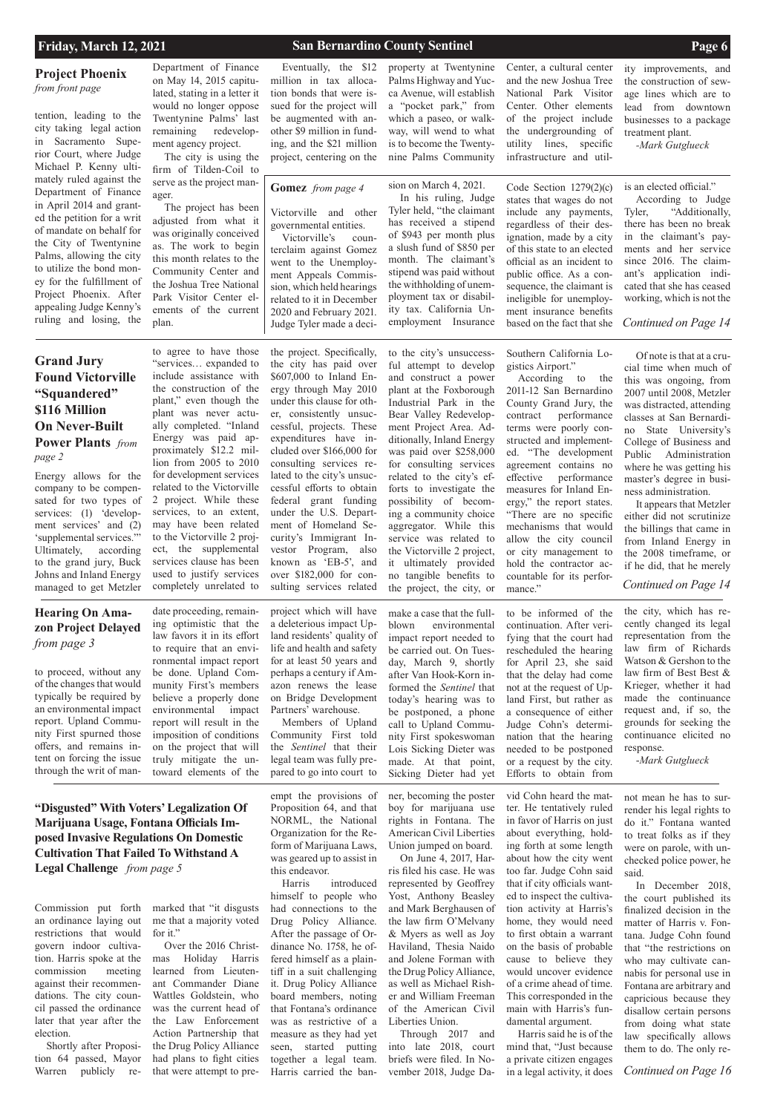### **Project Phoenix**

*from front page* 

**Hearing On Amazon Project Delayed** 

*from page 3*

**Gomez** *from page 4* 

*Continued on Page 16*

marked that "it disgusts me that a majority voted for it."

Commission put forth an ordinance laying out restrictions that would govern indoor cultivation. Harris spoke at the commission meeting against their recommendations. The city council passed the ordinance later that year after the election.

Shortly after Proposition 64 passed, Mayor Warren publicly re-

Over the 2016 Christmas Holiday Harris learned from Lieutenant Commander Diane Wattles Goldstein, who was the current head of the Law Enforcement Action Partnership that the Drug Policy Alliance had plans to fight cities that were attempt to pre-

empt the provisions of Proposition 64, and that NORML, the National Organization for the Reform of Marijuana Laws, was geared up to assist in

this endeavor.

Harris introduced himself to people who had connections to the Drug Policy Alliance. After the passage of Ordinance No. 1758, he offered himself as a plaintiff in a suit challenging it. Drug Policy Alliance board members, noting that Fontana's ordinance was as restrictive of a measure as they had yet seen, started putting together a legal team. Harris carried the ban-

ner, becoming the poster boy for marijuana use rights in Fontana. The American Civil Liberties Union jumped on board.

On June 4, 2017, Harris filed his case. He was represented by Geoffrey Yost, Anthony Beasley and Mark Berghausen of the law firm O'Melvany & Myers as well as Joy Haviland, Thesia Naido and Jolene Forman with the Drug Policy Alliance, as well as Michael Risher and William Freeman of the American Civil Liberties Union. Through 2017 and into late 2018, court briefs were filed. In November 2018, Judge Da-

vid Cohn heard the matter. He tentatively ruled in favor of Harris on just about everything, holding forth at some length about how the city went too far. Judge Cohn said that if city officials wanted to inspect the cultivation activity at Harris's home, they would need to first obtain a warrant on the basis of probable cause to believe they would uncover evidence of a crime ahead of time. This corresponded in the main with Harris's fundamental argument. Harris said he is of the mind that, "Just because a private citizen engages in a legal activity, it does

not mean he has to surrender his legal rights to do it." Fontana wanted to treat folks as if they were on parole, with unchecked police power, he

said.

In December 2018, the court published its finalized decision in the matter of Harris v. Fontana. Judge Cohn found that "the restrictions on who may cultivate cannabis for personal use in Fontana are arbitrary and capricious because they disallow certain persons from doing what state law specifically allows them to do. The only re-

to proceed, without any of the changes that would typically be required by an environmental impact report. Upland Community First spurned those offers, and remains intent on forcing the issue through the writ of man-

According to the 2011-12 San Bernardino County Grand Jury, the contract performance terms were poorly constructed and implemented. "The development agreement contains no effective performance measures for Inland Energy," the report states. "There are no specific mechanisms that would allow the city council or city management to hold the contractor accountable for its performance."

project which will have a deleterious impact Upland residents' quality of life and health and safety for at least 50 years and perhaps a century if Amazon renews the lease on Bridge Development Partners' warehouse. Members of Upland

Community First told the *Sentinel* that their legal team was fully prepared to go into court to

make a case that the fullblown environmental impact report needed to be carried out. On Tuesday, March 9, shortly after Van Hook-Korn informed the *Sentinel* that today's hearing was to be postponed, a phone call to Upland Community First spokeswoman Lois Sicking Dieter was made. At that point, Sicking Dieter had yet

to be informed of the continuation. After verifying that the court had rescheduled the hearing for April 23, she said that the delay had come not at the request of Upland First, but rather as a consequence of either Judge Cohn's determination that the hearing needed to be postponed or a request by the city. Efforts to obtain from

date proceeding, remaining optimistic that the law favors it in its effort to require that an environmental impact report be done. Upland Community First's members believe a properly done environmental impact report will result in the imposition of conditions on the project that will truly mitigate the untoward elements of the ect, the supplemental services clause has been used to justify services completely unrelated to

the city, which has recently changed its legal representation from the law firm of Richards Watson & Gershon to the law firm of Best Best & Krieger, whether it had made the continuance request and, if so, the grounds for seeking the continuance elicited no response.

-*Mark Gutglueck*

**"Disgusted" With Voters' Legalization Of Marijuana Usage, Fontana Officials Imposed Invasive Regulations On Domestic Cultivation That Failed To Withstand A Legal Challenge** *from page 5*

employment Insurance based on the fact that she *Continued on Page 14* sequence, the claimant is ineligible for unemployment insurance benefits based on the fact that she

Energy allows for the company to be compensated for two types of services: (1) 'development services' and (2) 'supplemental services."" Ultimately, according to the grand jury, Buck Johns and Inland Energy managed to get Metzler

to agree to have those "services… expanded to include assistance with the construction of the plant," even though the plant was never actually completed. "Inland Energy was paid approximately \$12.2 million from 2005 to 2010 for development services related to the Victorville 2 project. While these services, to an extent, may have been related to the Victorville 2 proj-

the project. Specifically, the city has paid over \$607,000 to Inland Energy through May 2010 under this clause for other, consistently unsuccessful, projects. These expenditures have included over \$166,000 for consulting services related to the city's unsuccessful efforts to obtain federal grant funding under the U.S. Department of Homeland Security's Immigrant Investor Program, also known as 'EB-5', and over \$182,000 for consulting services related

to the city's unsuccess-

ful attempt to develop and construct a power plant at the Foxborough Industrial Park in the Bear Valley Redevelopment Project Area. Additionally, Inland Energy was paid over \$258,000 for consulting services related to the city's efforts to investigate the possibility of becoming a community choice aggregator. While this service was related to the Victorville 2 project, it ultimately provided no tangible benefits to the project, the city, or

Southern California Logistics Airport."

Of note is that at a cru-

cial time when much of this was ongoing, from 2007 until 2008, Metzler was distracted, attending classes at San Bernardino State University's College of Business and Public Administration where he was getting his master's degree in business administration. It appears that Metzler

either did not scrutinize the billings that came in from Inland Energy in the 2008 timeframe, or if he did, that he merely

*Continued on Page 14*

tention, leading to the city taking legal action in Sacramento Superior Court, where Judge Michael P. Kenny ultimately ruled against the Department of Finance in April 2014 and granted the petition for a writ of mandate on behalf for the City of Twentynine Palms, allowing the city to utilize the bond money for the fulfillment of Project Phoenix. After appealing Judge Kenny's ruling and losing, the

# **Grand Jury Found Victorville "Squandered" \$116 Million On Never-Built Power Plants** *from page 2*

Department of Finance on May 14, 2015 capitulated, stating in a letter it would no longer oppose Twentynine Palms' last remaining redevelopment agency project.

The city is using the firm of Tilden-Coil to serve as the project manager.

The project has been adjusted from what it was originally conceived as. The work to begin this month relates to the Community Center and the Joshua Tree National Park Visitor Center elements of the current plan.

Eventually, the \$12 million in tax allocation bonds that were issued for the project will be augmented with another \$9 million in funding, and the \$21 million project, centering on the property at Twentynine Palms Highway and Yucca Avenue, will establish a "pocket park," from which a paseo, or walkway, will wend to what is to become the TwentyCenter, a cultural center and the new Joshua Tree National Park Visitor Center. Other elements of the project include the undergrounding of utility lines, specific infrastructure and util-

ity improvements, and the construction of sewage lines which are to lead from downtown businesses to a package treatment plant.

*-Mark Gutglueck*

Victorville and other governmental entities.

nine Palms Community sion on March 4, 2021. In his ruling, Judge Tyler held, "the claimant has received a stipend of \$943 per month plus a slush fund of \$850 per month. The claimant's stipend was paid without the withholding of unemployment tax or disability tax. California Un-

Victorville's counterclaim against Gomez went to the Unemployment Appeals Commission, which held hearings related to it in December 2020 and February 2021. Judge Tyler made a deci-

Code Section 1279(2)(c) states that wages do not include any payments, regardless of their designation, made by a city of this state to an elected official as an incident to public office. As a conis an elected official."

According to Judge Tyler, "Additionally, there has been no break in the claimant's payments and her service since 2016. The claimant's application indicated that she has ceased working, which is not the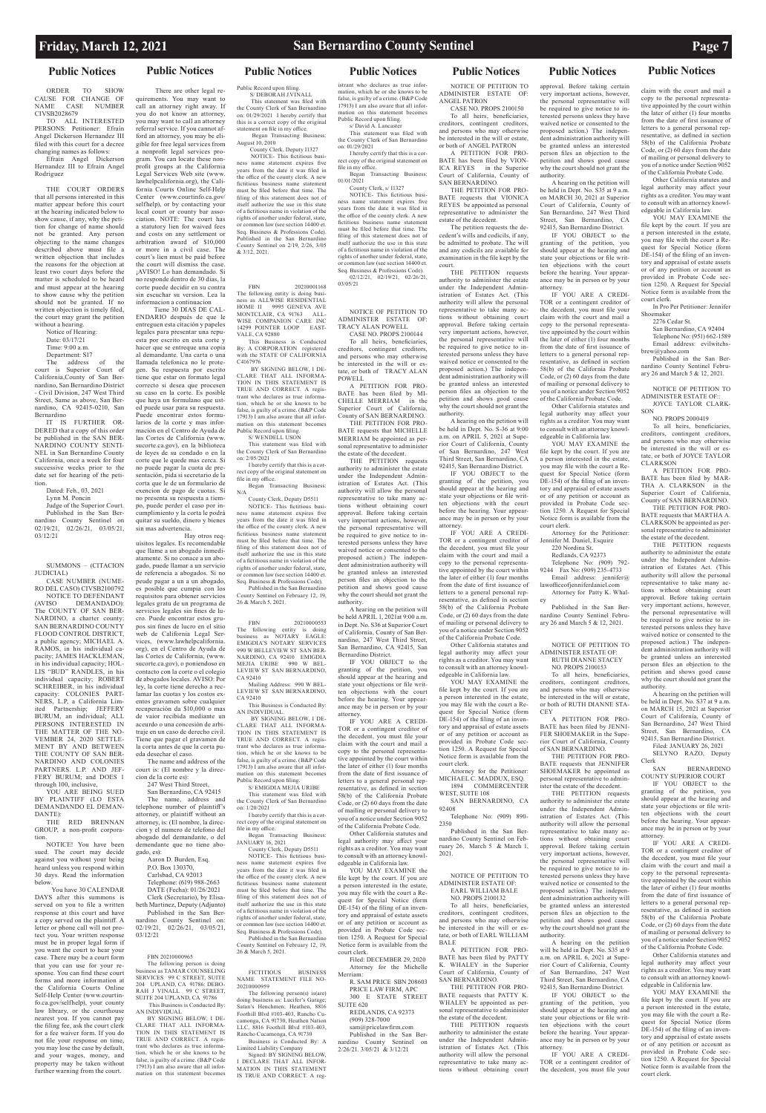### **Public Notices Public Notices Public Notices Public Notices Public Notices Public Notices Public Notices**

ORDER TO SHOW CAUSE FOR CHANGE OF NAME CASE NUMBER CIVSB2028679

TO ALL INTERESTED PERSONS: Petitioner: Efrain Angel Dickerson Hernandez III filed with this court for a decree changing names as follows:

Efrain Angel Dickerson Hernandez III to Efrain Angel Rodriguez

> Notice of Hearing: Date: 03/17/21 Time: 9:00 a.m.

THE COURT ORDERS that all persons interested in this matter appear before this court at the hearing indicated below to show cause, if any, why the petition for change of name should not be granted. Any person objecting to the name changes described above must file written objection that includes the reasons for the objection at least two court days before the matter is scheduled to be heard and must appear at the hearing to show cause why the petition should not be granted. If no written objection is timely filed, the court may grant the petition without a hearing.

> Department: S17 The address of the

court is Superior Court of California,County of San Bernardino, San Bernardino District - Civil Division, 247 West Third Street, Same as above, San Bernardino, CA 92415-0210, San Bernardino

YOU ARE BEING SUED BY PLAINTIFF (LO ESTA DEMANDANDO EL DEMAN-DANTE):

NOTICE! You have been sued. The court may decide against you without your being eard unless you respond within

IT IS FURTHER OR-DERED that a copy of this order be published in the SAN BER-NARDINO COUNTY SENTI-NEL in San Bernardino County California, once a week for four successive weeks prior to the date set for hearing of the petition.

Dated: Feb., 03, 2021

Lynn M. Poncin

Judge of the Superior Court. Published in the San Bernardino County Sentinel on 02/19/21, 02/26/21, 03/05/21, 03/12/21

SUMMONS – (CITACION

JUDICIAL) CASE NUMBER (NUME-

selfhelp), or by contacting your ciation. NOTE: The court has a statutory lien for waived fees arbitration award of \$10,000 court's lien must be paid before itself authorize the use in this state of a fictitious name in violation of the rights of another under federal, state, or common law (see section 14400 et. Business & Professions Code). Published in the San Bernardino County Sentinel on 2/19, 2/26, 3/05  $& 3/12, 2021.$ 

RO DEL CASO) CIVSB2100792 NOTICE TO DEFENDANT<br>(AVISO DEMANDADO): (AVISO DEMANDADO): The COUNTY OF SAN BER-NARDINO, a charter county: SAN BERNARDINO COUNTY FLOOD CONTROL DISTRICT. a public agency; MICHAEL A. in his individual capacity; JAMES HACKLEMAN, in his individual capacity; HOL-LIS "BUD" RANDLES, in his individual capacity; ROBERT SCHREIBER, in his individual capacity: COLONIES PART-NERS, L.P, a California Limited Partnership; JEFFERY BURUM, an individual; ALL PERSONS INTERESTED IN THE MATTER OF THE NO-VEMBER 24, 2020 SETTLE-MENT BY AND BETWEEN THE COUNTY OF SAN BER-NARDINO AND COLONIES PARTNERS. L.P. AND JEF-FERY BURUM; and DOES 1 through 100, inclusive,

THE RED BRENNAN GROUP, a non-profit corporation.

30 days. Read the information below.

 You have 30 CALENDAR DAYS after this summons is served on you to file a written response at this court and have a copy served on the plaintiff. A letter or phone call will not protect you. Your written response must be in proper legal form if you want the court to hear your case. There may be a court form that you can use for your response. You can find these court forms and more information at the California Courts Online Self-Help Center (www.courtinfo.ca.gov/selfhelp), your county law library, or the courthouse nearest you. If you cannot pay the filing fee, ask the court clerk for a fee waiver form. If you do not file your response on time, you may lose the case by default, and your wages, money, and property may be taken without further warning from the court.

BY SIGNING BELOW, I DE-CLARE THAT ALL INFORMA-TION IN THIS STATEMENT IS TRUE AND CORRECT. A registrant who declares as true information, which he or she knows to be false, is guilty of a crime. (B&P Code 17913) I am also aware that all infor-mation on this statement becomes

 There are other legal requirements. You may want to call an attorney right away. If you do not know an attorney, you may want to call an attorney referral service. If you cannot afford an attorney, you may be eligible for free legal services from a nonprofit legal services program. You can locate these nonprofit groups at the California Legal Services Web site (www. lawhelpcalifornia.org), the California Courts Online Self-Help Center (www.courtinfo.ca.gov/

statement on file in my office. Began Transacting Business: August 10, 2010 County Clerk, Deputy I1327 NOTICE- This fictitious business name statement expires five years from the date it was filed in the office of the county clerk. A new fictitious business name statement must be filed before that time. The filing of this statement does not of

local court or county bar asso-

and costs on any settlement or

or more in a civil case. The

the court will dismiss the case. ¡AVISO! Lo han demandado. Si no responde dentro de 30 dias, la corte puede decidir en su contra sin escuchar su version. Lea la informacion a continuacion Tiene 30 DIAS DE CAL-ENDARIO después de que le entreguen esta citación y papeles legales para presentar una repuesta por escrito en esta corte y hacer que se entreque una copia al demandante. Una carta o una llamada telefonica no le protegen. Su respuesta por escrito tiene que estar on formato legal correcto si desea que procesen su caso en la corte. Es posible que haya un formulano que usted puede usar para su respuesta. Puede encontrar estos formularios de la corte y mas información en el Centro de Ayuda de las Cortes de California (www. sucorte.ca.gov), en la biblioteca de leyes de su condado o en la corte que le quede mas cerca. Si no puede pagar la cuota de presentación, pida si secretario de la corta que le de un formulario de exencion de pago de cuotas. Si no presenta su respuesta a tiempo, puede perder el caso por incumplimiento y la corta le podrá quitar su sueldo, dinero y bienes sin mas advertencia.

Hay otros req-

uisitos legales. Es recomendable que llame a un abogado inmediatamente. Si no conace a un abogado, puede llamar a un servicio de referencia a abogados. Si no peude pagar a un a un abogado, es posible que cumpia con los requisitos para obtener servicios legales gratu de un programa de servicios legales sin fines de lucro. Puede encontrar estos grupos sin fines de lucro en el sitio web de California Legal Services, (www.lawhelpcalifornia. org), en el Centro de Ayuda de las Cortes de California, (www. sucorte.ca.gov), o poniendoso en contacto con la corte o el colegio de abogados locales. AVISO: Por ley, la corte tiene derecho a reclamar las cuotas y los costos exentos gravamen sobre cualquier

de vaior recibida mediante un aceurdo o una concesión de arbitraje en un caso de derecho civil. Tiene que pagar el gravamen de la corta antes de que la corta pueda desechar el caso.

The name and address of the court is: (El nombre y la direc-

cion de la corte es): 247 West Third Street, San Bernardino, CA 92415 The name, address and telephone number of plaintiff's attorney, or plaintiff without an attorney, is: (El nombre, la direccion y el numero de telefono del abogado del demandante, o del demendante que no tiene abo-

gado, es):

Aaron D. Burden, Esq.

P.O. Box 130370,

Carlsbad, CA 92013 Telephone: (619) 988-2663 DATE (Fecha): 01/26/2021 Clerk (Secretario), by Elisabeth Martinez, Deputy (Adjunto) Published in the San Bernardino County Sentinel on: 02/19/21, 02/26/21, 03/05/21, 03/12/21

### FBN 20210000965

The following person is doing business as TAMAR COUNSELING SERVICES 99 C STREET, SUITE 204 UPLAND, CA 91786: DEBO-RAH J VINALL 99 C STREET, SUITE 204 UPLAND, CA 91786 This Business is Conducted By: AN INDIVIDUAL

YOU ARE A CREDI-TOR or a contingent creditor of the decedent, you must file your claim with the court and mail a copy to the personal representaappointed by the court within the later of either (1) four months from the date of first issuance of letters to a general personal representative, as defined in section 58(b) of the California Probate Code, or (2) 60 days from the date of mailing or personal delivery to you of a notice under Section 9052 of the California Probate Code.

Public Record upon filing. S/ DEBORAH J.VINALL This statement was filed with the County Clerk of San Bernardino on:  $01/29/2021$  I hereby certify that this is a correct copy of the original

> R. SAM PRICE SBN 208603 PRICE LAW FIRM, APC 300 E STATE STREET SUITE 620

recuperación da \$10,000 o mas Mailing Address: 990 W BEL-LEVIEW ST SAN BERNARDINO, CA 92410 This Business is Conducted By:

FBN 20210001168 The following entity is doing business as ALLWISE RESIDENTIAL HOME II 9995 GENEVA AVE MONTCLAIR, CA 91763 ALL-WISE COMPANION CARE INC 14299 POINTER LOOP EAST-VALE, CA 92880 This Business is Conducted

By: A CORPORATION registered with the STATE OF CALIFORNIA C4167976 BY SIGNING BELOW, I DE-CLARE THAT ALL INFORMA-TION IN THIS STATEMENT IS TRUE AND CORRECT. A registrant who declares as true informa-tion, which he or she knows to be false, is quilty of a crime. (B&P Code 17913) I am also aware that all information on this statement becomes

> YOU ARE A CREDI-TOR or a contingent creditor of the decedent, you must file your claim with the court and mail a copy to the personal representative appointed by the court within the later of either (1) four months from the date of first issuance of letters to a general personal rep-resentative, as defined in section 58(b) of the California Probate Code, or (2) 60 days from the date of mailing or personal delivery to you of a notice under Section 9052 of the California Probate Code. Other California statutes and

legal authority may affect your rights as a creditor. You may want to consult with an attorney knowledgeable in California law.

Public Record upon filing. S/ WENDELL USON This statement was filed with the County Clerk of San Bernardino on: 2/05/2021

I hereby certify that this is a correct copy of the original statement on file in my office. Began Transacting Business:

> YOU MAY EXAMINE the file kept by the court. If you are a person interested in the estate, you may file with the court a Request for Special Notice (form DE-154) of the filing of an inventory and appraisal of estate assets or of any petition or account as provided in Probate Code section 1250. A Request for Special Notice form is available from the court clerk.

Attorney for the Petitioner: MICHAEL C. MADDUX, ESQ. 1894 COMMERCENTER

N/A County Clerk, Deputy D5511

NOTICE- This fictitious business name statement expires five years from the date it was filed in the office of the county clerk. A new fictitious business name statement must be filed before that time. The filing of this statement does not of itself authorize the use in this state of a fictitious name in violation of the rights of another under federal, state, or common law (see section 14400 et. Seq. Business & Professions Code). Published in the San Bernardino County Sentinel on February 12, 19,

26 & March 5, 2021. FBN 20210000553 The following entity is doing business as NOTARY EAGLE:

EMIGDIA'S NOTARY SERVICES 990 W BELLEVIEW ST SAN BER-NARDINO, CA 92410 EMIGDIA MEJIA URIBE 990 W BEL-LEVIEW ST SAN BERNARDINO, CA 92410

AN INDIVIDUAL. BY SIGNING BELOW, I DE-CLARE THAT ALL INFORMA-TION IN THIS STATEMENT IS TRUE AND CORRECT. A registrant who declares as true information, which he or she knows to be false, is guilty of a crime. (B&P Code 17913) I am also aware that all information on this statement becomes Public Record upon filing. S/ EMIGDIA MEJIA URIBE

This statement was filed with the County Clerk of San Bernardino on: 1/20/2021 I hereby certify that this is a correct copy of the original statement on

file in my office. Began Transacting Business: JANUARY 16, 2021

County Clerk, Deputy D5511 NOTICE- This fictitious busi-

ness name statement expires five the date it was the office of the county clerk. A new fictitious business name statement must be filed before that time. The filing of this statement does not of itself authorize the use in this state of a fictitious name in violation of the rights of another under federal, state, or common law (see section 14400 et. Seq. Business & Professions Code). Published in the San Bernardino County Sentinel on February 12, 19, 26 & March 5, 2021.

FICTITIOUS BUSINESS NAME STATEMENT FILE NO-20210000959

equired to give notice to terested persons unless they have waived notice or consented to the proposed action.) The independent administration authority will be granted unless an interested person files an objection to the petition and shows good cause why the court should not grant the authority.

The following person(s) is(are) doing business as: Lucifer's Garage; Satan's Henchmen; Heathen, 8816 Foothill Blvd #103-403, Rancho Cucamonga, CA 91730, Heathen Nation LLC, 8816 Foothill Blvd #103-403, Rancho Cucamonga, CA 91730 Business is Conducted By: A Limited Liability Company Signed: BY SIGNING BELOW, I DECLARE THAT ALL INFOR-MATION IN THIS STATEMENT IS TRUE AND CORRECT. A reg-

istrant who declares as true information, which he or she knows to be false, is guilty of a crime. (B&P Code 17913) I am also aware that all information on this statement becomes Public Record upon filing. s/ David A. Lancaster

This statement was filed with the County Clerk of San Bernardino on: 01/29/2021 I hereby certify that this is a cor-

rect copy of the original statement on file in my office. Began Transacting Business: 01/01/2021

County Clerk, s/ I1327 NOTICE- This fictitious busi-

ness name statement expires five years from the date it was filed in the office of the county clerk. A new fictitious business name statement must be filed before that time. The filing of this statement does not of itself authorize the use in this state of a fictitious name in violation of the rights of another under federal, state, common law (see section 14400 et Seq. Business & Professions Code).  $02/12/21$ ,  $02/19/21$ ,  $02/26/21$ 03/05/21

NOTICE OF PETITION TO ADMINISTER ESTATE OF: TRACY ALAN POWELL CASE NO. PROPS 2100144

To all heirs, beneficiaries, creditors, contingent creditors, and persons who may otherwise be interested in the will or estate, or both of TRACY ALAN POWELL. A PETITION FOR PRO-

> A hearing on the petition will be held in Dept. No. S37 at 9 a.m. on MARCH 15, 2021 at Superior Court of California, County of San Bernardino, 247 West Third Street, San Bernardino, CA 92415, San Bernardino District. Filed: JANUARY 26, 2021 SELYNO RAZO, Deputy

BATE has been filed by MI-CHELLE MERRIAM in the Superior Court of California, County of SAN BERNARDINO.

THE PETITION FOR PRO-BATE requests that MICHELLE MERRIAM be appointed as personal representative to administer the estate of the decedent.

THE PETITION requests authority to administer the estate under the Independent Administration of Estates Act. (This authority will allow the personal representative to take many actions without obtaining court approval. Before taking certain very important actions, however, the personal representative will be required to give notice to interested persons unless they have waived notice or consented to the proposed action.) The independent administration authority will be granted unless an interested person files an objection to the petition and shows good cause why the court should not grant the authority.

> YOU MAY EXAMINE the file kept by the court. If you are a person interested in the estate, you may file with the court a Request for Special Notice (form DE-154) of the filing of an inventory and appraisal of estate assets or of any petition or account as provided in Probate Code section 1250. A Request for Special Notice form is available from the court clerk.

A hearing on the petition will be held APRIL 1, 2021at 9:00 a.m. in Dept. No. S36 at Superior Court of California, County of San Bernardino, 247 West Third Street, San Bernardino, CA 92415, San Bernardino District.

IF YOU OBJECT to the granting of the petition, you should appear at the hearing and state your objections or file written objections with the court before the hearing. Your appearance may be in person or by your attorney.

Other California statutes and legal authority may affect your rights as a creditor. You may want to consult with an attorney knowledgeable in California law.

YOU MAY EXAMINE the file kept by the court. If you are a person interested in the estate, you may file with the court a Request for Special Notice (form DE-154) of the filing of an inventory and appraisal of estate assets or of any petition or account as provided in Probate Code section 1250. A Request for Special Notice form is available from the court clerk.

Filed: DECEMBER 29, 2020 Attorney for the Michelle Merriam:

REDLANDS, CA 92373 (909) 328-7000 sam@pricelawfirm.com Published in the San Ber-

nardino County Sentinel on 2/26/21. 3/05/21 & 3/12/21

NOTICE OF PETITION TO ADMINISTER ESTATE OF: ANGEL PATRON

CASE NO. PROPS 2100150 To all heirs, beneficiaries, creditors, contingent creditors, and persons who may otherwise be interested in the will or estate, or both of ANGEL PATRON

A PETITION FOR PRO-BATE has been filed by VION-ICA REYES in the Superior Court of California, County of SAN BERNARDINO.

THE PETITION FOR PRO-BATE requests that VIONICA REYES be appointed as personal representative to administer the estate of the decedent. The petition requests the de-

cedent's wills and codicils, if any, be admitted to probate. The will and any codicils are available for examination in the file kept by the court. THE PETITION requests

authority to administer the estate under the Independent Administration of Estates Act. (This authority will allow the personal representative to take many actions without obtaining court approval. Before taking certain very important actions, however, the personal representative will be required to give notice to interested persons unless they have waived notice or consented to the proposed action.) The independent administration authority will be granted unless an interested person files an objection to the petition and shows good cause why the court should not grant the authority.

A hearing on the petition will be held in Dept. No. S-36 at 9:00 a.m. on APRIL 5, 2021 at Superior Court of California, County of San Bernardino, 247 West Third Street, San Bernardino, CA 92415, San Bernardino District.

IF YOU OBJECT to the granting of the petition, you should appear at the hearing and state your objections or file written objections with the court before the hearing. Your appearance may be in person or by your attorney.

WEST, SUITE 108 SAN BERNARDINO, CA 92408

Telephone No: (909) 890- 2350

Published in the San Bernardino County Sentinel on February 26, March 5 & March 1, 2021.

### NOTICE OF PETITION TO ADMINISTER ESTATE OF: EARL WILLIAM BALE NO. PROPS 2100132

To all heirs, beneficiaries, creditors, contingent creditors, and persons who may otherwise be interested in the will or estate, or both of EARL WILLIAM BALE

A PETITION FOR PRO-BATE has been filed by PATTY K. WHALEY in the Superior Court of California, County of SAN BERNARDINO.

THE PETITION FOR PRO-BATE requests that PATTY K. WHALEY be appointed as personal representative to administer the estate of the decedent.

THE PETITION requests authority to administer the estate under the Independent Administration of Estates Act. (This authority will allow the personal representative to take many actions without obtaining court

# approval. Before taking certain

very important actions, however, the personal representative will be required to give notice to interested persons unless they have waived notice or consented to the proposed action.) The independent administration authority will be granted unless an interested person files an objection to the petition and shows good cause why the court should not grant the authority.

A hearing on the petition will be held in Dept. No. S35 at 9 a.m. on MARCH 30, 2021 at Superior Court of California, County of San Bernardino, 247 West Third Street, San Bernardino, 92415, San Bernardino District.

IF YOU OBJECT to the granting of the petition, you should appear at the hearing and state your objections or file written objections with the court before the hearing. Your appearance may be in person or by your

attorney. IF YOU ARE A CREDI-TOR or a contingent creditor of the decedent, you must file your claim with the court and mail a copy to the personal representative appointed by the court within the later of either (1) four months from the date of first issuance of letters to a general personal representative, as defined in section 58(b) of the California Probate Code, or (2) 60 days from the date of mailing or personal delivery to

you of a notice under Section 9052 of the California Probate Code. Other California statutes and legal authority may affect your rights as a creditor. You may want

to consult with an attorney knowledgeable in California law. YOU MAY EXAMINE the

file kept by the court. If you are a person interested in the estate, you may file with the court a Request for Special Notice (form DE-154) of the filing of an inventory and appraisal of estate assets or of any petition or account as provided in Probate Code section 1250. A Request for Special Notice form is available from the court clerk.

Attorney for the Petitioner: Jennifer M. Daniel, Esquire

220 Nordina St. Redlands, CA 92373

Telephone No: (909) 792- 9244 Fax No: (909) 235-4733 Email address: jennifer@ lawofficeofjenniferdaniel.com Attorney for Patty K. Whal-

ey Published in the San Bernardino County Sentinel February 26 and March 5 & 12, 2021.

NOTICE OF PETITION TO ADMINISTER ESTATE OF: RUTH DIANNE STACEY

NO. PROPS 2100153 To all heirs, beneficiaries, creditors, contingent creditors,

and persons who may otherwise be interested in the will or estate, or both of RUTH DIANNE STA-CEY A PETITION FOR PRO-

BATE has been filed by JENNI-FER SHOEMAKER in the Superior Court of California, County of SAN BERNARDINO.

THE PETITION FOR PRO-BATE requests that JENNIFER SHOEMAKER be appointed as personal representative to admin-

ister the estate of the decedent. THE PETITION requests authority to administer the estate under the Independent Administration of Estates Act. (This authority will allow the personal representative to take many actions without obtaining court approval. Before taking certain very important actions, however, the personal representative will

A hearing on the petition will be held in Dept. No.  $\dot{S}35$  at 9 a.m. on APRIL 6, 2021 at Superior Court of California, County of San Bernardino, 247 West Third Street, San Bernardino, CA 92415, San Bernardino District. IF YOU OBJECT to the

granting of the petition, you should appear at the hearing and state your objections or file written objections with the court before the hearing. Your appearance may be in person or by your attorney.

IF YOU ARE A CREDI-TOR or a contingent creditor of the decedent, you must file your claim with the court and mail a copy to the personal representative appointed by the court within the later of either  $(1)$  four months from the date of first issuance of letters to a general personal representative, as defined in section 58(b) of the California Probate Code, or (2) 60 days from the date of mailing or personal delivery to you of a notice under Section 9052 of the California Probate Code.

Other California statutes and legal authority may affect your rights as a creditor. You may want to consult with an attorney knowledgeable in California law.

YOU MAY EXAMINE the file kept by the court. If you are a person interested in the estate, you may file with the court a Request for Special Notice (form DE-154) of the filing of an inventory and appraisal of estate assets or of any petition or account as provided in Probate Code section 1250. A Request for Special Notice form is available from the court clerk.

In Pro Per Petitioner: Jennifer Shoemaker

2276 Cedar St. San Bernardino, CA 92404

Telephone No: (951) 662-1589 Email address: evilwitchsbrew@yahoo.com

Published in the San Bernardino County Sentinel February 26 and March 5 & 12, 2021.

NOTICE OF PETITION TO ADMINISTER ESTATE OF:: JOYCE TAYLOR CLARK-SON

NO. PROPS 2000419

To all heirs, beneficiaries, creditors, contingent creditors, and persons who may otherwise be interested in the will or estate, or both of JOYCE TAYLOR CLARKSON

A PETITION FOR PRO-BATE has been filed by MAR-THA A. CLARKSON in the Superior Court of California, County of SAN BERNARDINO. THE PETITION FOR PRO-

BATE requests that MARTHA A. CLARKSON be appointed as personal representative to administer the estate of the decedent. THE PETITION requests authority to administer the estate under the Independent Administration of Estates Act. (This authority will allow the personal representative to take many actions without obtaining court approval. Before taking certain very important actions, however, the personal representative will be required to give notice to interested persons unless they have waived notice or consented to the proposed action.) The independent administration authority will be granted unless an interested person files an objection to the petition and shows good cause why the court should not grant the

authority.

Clerk<br>SAN

COUNTY SUPERIOR COURT IF YOU OBJECT to the granting of the petition, you should appear at the hearing and state your objections or file written objections with the court before the hearing. Your appearance may be in person or by your

**BERNARDINO** 

attorney.

IF YOU ARE A CREDI-TOR or a contingent creditor of the decedent, you must file your

claim with the court and mail a copy to the personal representative appointed by the court within the later of either (1) four months from the date of first issuance of letters to a general personal representative, as defined in section 58(b) of the California Probate Code, or (2) 60 days from the date of mailing or personal delivery to you of a notice under Section 9052 of the California Probate Code.

Other California statutes and legal authority may affect your rights as a creditor. You may want to consult with an attorney knowledgeable in California law.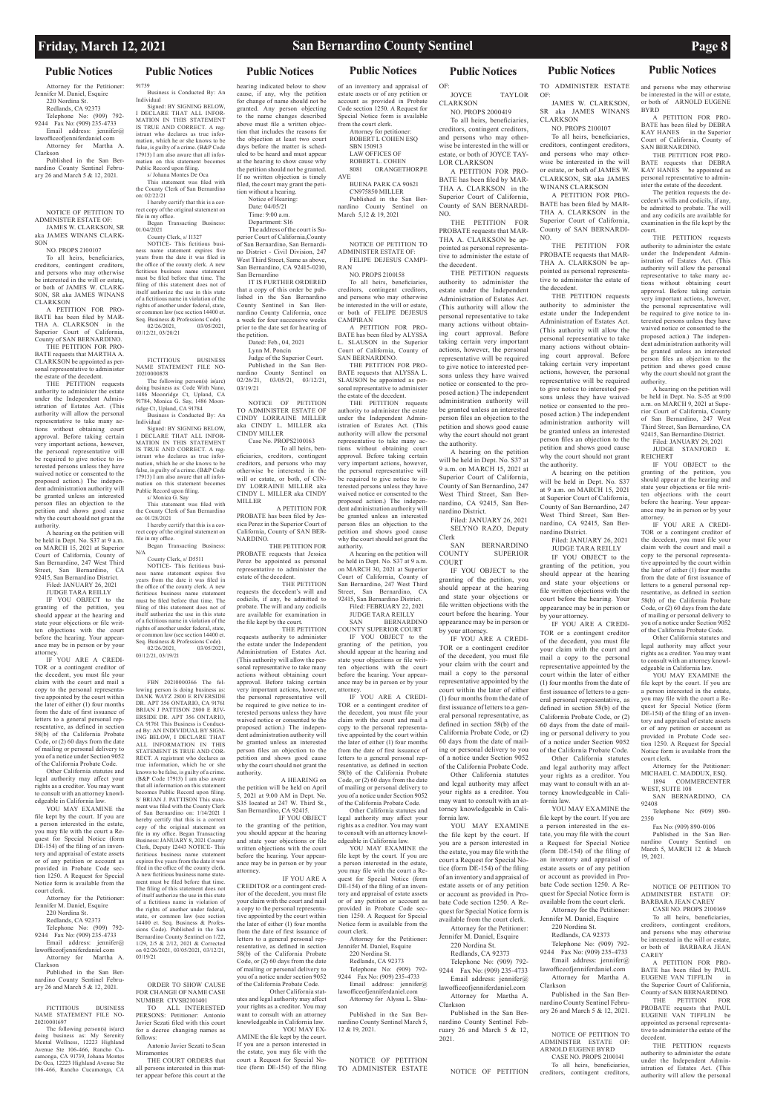# **Public Notices Public Notices Public Notices Public Notices Public Notices Public Notices Public Notices**

### Attorney for the Petitioner: Jennifer M. Daniel, Esquire 220 Nordina St. Redlands, CA 92373 Telephone No: (909) 792- 9244 Fax No: (909) 235-4733 Email address: jennifer@ lawofficeofjenniferdaniel.com Attorney for Martha A.

Clarkson Published in the San Ber-

nardino County Sentinel February 26 and March 5 & 12, 2021.

NOTICE OF PETITION TO ADMINISTER ESTATE OF: JAMES W. CLARKSON, SR aka JAMES WINANS CLARK-

### SON NO. PROPS 2100107

To all heirs, beneficiaries, creditors, contingent creditors, and persons who may otherwise be interested in the will or estate, or both of JAMES W. CLARK-SON, SR aka JAMES WINANS

CLARKSON A PETITION FOR PRO-BATE has been filed by MAR-THA A. CLARKSON in the Superior Court of California County of SAN BERNARDINO.

THE PETITION FOR PRO-BATE requests that MARTHA A. CLARKSON be appointed as personal representative to administer the estate of the decedent.

THE PETITION requests authority to administer the estate under the Independent Administration of Estates Act. (This authority will allow the personal representative to take many actions without obtaining court approval. Before taking certain very important actions, however, the personal representative will be required to give notice to interested persons unless they have waived notice or consented to the proposed action.) The independent administration authority will be granted unless an interested person files an objection to the petition and shows good cause why the court should not grant the authority.

YOU MAY EXAMINE the file kept by the court. If you are a person interested in the estate, you may file with the court a Request for Special Notice (form DE-154) of the filing of an inventory and appraisal of estate assets or of any petition or account as provided in Probate Code sec-

A hearing on the petition will be held in Dept. No. S37 at 9 a.m. on MARCH 15, 2021 at Superior Court of California, County of San Bernardino, 247 West Third Street, San Bernardino, CA 92415, San Bernardino District.

Filed: JANUARY 26, 2021 JUDGE TARA REILLY

IF YOU OBJECT to the granting of the petition, you should appear at the hearing and state your objections or file written objections with the court before the hearing. Your appearance may be in person or by your attorney.

IF YOU ARE A CREDI-TOR or a contingent creditor of the decedent, you must file your claim with the court and mail a copy to the personal representative appointed by the court within the later of either (1) four months from the date of first issuance of letters to a general personal representative, as defined in section 58(b) of the California Probate Code, or (2) 60 days from the date of mailing or personal delivery to you of a notice under Section 9052 of the California Probate Code.

Other California statutes and legal authority may affect your rights as a creditor. You may want to consult with an attorney knowledgeable in California law.

tion 1250. A Request for Special Notice form is available from the court clerk.

Attorney for the Petitioner: Jennifer M. Daniel, Esquire 220 Nordina St. Redlands, CA 92373 Telephone No: (909) 792- 9244 Fax No: (909) 235-4733 Email address: jennifer@ lawofficeofjenniferdaniel.com Attorney for Martha A. Clarkson

Published in the San Bernardino County Sentinel February 26 and March 5 & 12, 2021.

FICTITIOUS BUSINESS NAME STATEMENT FILE NO-20210001697

The following person(s) is(are) doing business as: My Serenity Mental Wellness, 12223 Highland Avenue Ste 106-466, Rancho Cucamonga, CA 91739, Johana Montes De Oca, 12223 Highland Avenue Ste 106-466, Rancho Cucamonga, CA

### 91739 Business is Conducted By: An

Individual Signed: BY SIGNING BELOW, I DECLARE THAT ALL INFOR-MATION IN THIS STATEMENT IS TRUE AND CORRECT. A registrant who declares as true information, which he or she knows to be false, is guilty of a crime. (B&P Code 17913) I am also aware that all information on this statement becomes Public Record upon filing. s/ Johana Montes De Oca This statement was filed with

the County Clerk of San Bernardino on:  $02/22/21$ I hereby certify that this is a cor-

rect copy of the original statement on file in my office. Began Transacting Business:

01/04/2021 County Clerk, s/ I1327

NOTICE- This fictitious business name statement expires five years from the date it was filed in the office of the county clerk. A new fictitious business name statement must be filed before that time. The filing of this statement does not of itself authorize the use in this state of a fictitious name in violation of the rights of another under federal, state, or common law (see section 14400 et. Seq. Business & Professions Code).<br> $02/26/2021$ .  $03/05/202$ 02/26/2021, 03/05/2021, 03/12/21, 03/20/21

> requests authority to administer the estate under the Independent Administration of Estates Act. (This authority will allow the personal representative to take many actions without obtaining court approval. Before taking certain very important actions, however, the personal representative will be required to give notice to interested persons unless they have waived notice or consented to the proposed action.) The independent administration authority will be granted unless an interested person files an objection to the petition and shows good cause why the court should not grant the

### FICTITIOUS BUSINESS NAME STATEMENT FILE NO-20210000878

The following person(s) is(are) doing business as: Code With Nano, 1486 Moonridge Ct, Upland, CA 91784, Monica G. Say, 1486 Moon-ridge Ct, Upland, CA 91784 Business is Conducted By: An

Individual Signed: BY SIGNING BELOW, I DECLARE THAT ALL INFOR-MATION IN THIS STATEMENT IS TRUE AND CORRECT. A registrant who declares as true information, which he or she knows to be false, is guilty of a crime. (B&P Code 17913) I am also aware that all information on this statement becomes Public Record upon filing.

s/ Monica G. Say This statement was filed with the County Clerk of San Bernardino on: 01/28/2021

I hereby certify that this is a correct copy of the original statement on . .<br>ny office. Began Transacting Business:

N/A

nty Clerk, s/ D5511 NOTICE- This fictitious business name statement expires five years from the date it was filed in the office of the county clerk. A new fictitious business name statement must be filed before that time. The filing of this statement does not of itself authorize the use in this state of a fictitious name in violation of the rights of another under federal, state, or common law (see section 14400 et. Seq. Business & Professions Code).<br>02/26/2021 03/05/202

02/26/2021, 03/05/2021,

03/12/21, 03/19/21

FBN 20210000366 The following person is doing business as: DANK WAYZ 2800 E RIVERSIDE DR. APT 356 ONTARIO, CA 91761 BRIAN J PATTISON 2800 E RIV-ERSIDE DR. APT 356 ONTARIO, CA 91761 This Business is Conducted By: AN INDIVIDUAL BY SIGN-ING BELOW, I DECLARE THAT ALL INFORMATION IN THIS STATEMENT IS TRUE AND COR-RECT. A registrant who declares as true information, which he or she knows to be false, is guilty of a crime. (B&P Code 17913) I am also aware that all information on this statement becomes Public Record upon filing. S/ BRIAN I. PATTISON This stat ment was filed with the County Clerk of San Bernardino on: 1/14/2021 I hereby certify that this is a correct copy of the original statement on file in my office. Began Transacting Business: JANUARY 8, 2021 County Clerk, Deputy I2443 NOTICE- This fictitious business name statement expires five years from the date it was filed in the office of the county clerk.

JUDGE TARA REILLY<br>SAN BERNARD **BERNARDINO** COUNTY SUPERIOR COURT

A new fictitious business name statement must be filed before that time. The filing of this statement does not of itself authorize the use in this state of a fictitious name in violation of the rights of another under federal, state, or common law (see section 14400 et. Seq. Business & Professions Code). Published in the San Bernardino County Sentinel on 1/22, 1/29, 2/5 & 2/12, 2021 & Corrected on 02/26/2021, 03/05/2021, 03/12/21, 03/19/21

ORDER TO SHOW CAUSE FOR CHANGE OF NAME CASE NUMBER CIVSB2101401

TO ALL INTERESTED PERSONS: Petitioner: Antonio Javier Sezati filed with this court for a decree changing names as follows:

Antonio Javier Sezati to Sean Miramontes

THE COURT ORDERS that all persons interested in this matter appear before this court at the

hearing indicated below to show cause, if any, why the petition for change of name should not be granted. Any person objecting to the name changes described above must file a written objection that includes the reasons for the objection at least two court days before the matter is scheduled to be heard and must appear at the hearing to show cause why the petition should not be granted.

> Clerk<br>SAN SAN BERNARDINO<br>COUNTY SUPERIOR SUPERIOR COURT

If no written objection is timely filed, the court may grant the petition without a hearing. Notice of Hearing: Date: 04/05/21 Time: 9:00 a.m.

Department: S16 The address of the court is Superior Court of California,County of San Bernardino, San Bernardino District - Civil Division, 247 West Third Street, Same as above, San Bernardino, CA 92415-0210, San Bernardino

IT IS FURTHER ORDERED that a copy of this order be published in the San Bernardino County Sentinel in San Bernardino County California, once a week for four successive weeks prior to the date set for hearing of the petition.

Dated: Feb., 04, 2021 Lynn M. Poncin Judge of the Superior Court. Published in the San Ber-

nardino County Sentinel on 02/26/21, 03/05/21, 03/12/21, 03/19/21 NOTICE OF PETITION TO ADMINISTER ESTATE OF

CINDY LORRAINE MILLER aka CINDY L. MILLER aka CINDY MILLER Case No. PROPS2100163 To all heirs, ben-

eficiaries, creditors, contingent creditors, and persons who may otherwise be interested in the will or estate, or both, of CIN-DY LORRAINE MILLER aka CINDY L. MILLER aka CINDY MILLER A PETITION FOR

PROBATE has been filed by Jessica Perez in the Superior Court of California, County of SAN BER-NARDINO. THE PETITION FOR

PROBATE requests that Jessica Perez be appointed as personal representative to administer the estate of the decedent. THE PETITION

requests the decedent's will and codicils, if any, be admitted to probate. The will and any codicils are available for examination in the file kept by the court. THE PETITION

authority. A HEARING on the petition will be held on April 5, 2021 at 9:00 AM in Dept. No. S35 located at 247 W. Third St., San Bernardino, CA 92415.

 IF YOU OBJECT to the granting of the petition, you should appear at the hearing and state your objections or file written objections with the court before the hearing. Your appearance may be in person or by your

attorney.

A hearing on the petition will be held in Dept. No. S-35 at 9:00 a.m. on MARCH 9, 2021 at Superior Court of California, County of San Bernardino, 247 West Third Street, San Bernardino, CA 92415, San Bernardino District.

CREDITOR or a contingent creditor of the decedent, you must file your claim with the court and mail a copy to the personal representative appointed by the court within the later of either (1) four months from the date of first issuance of letters to a general personal representative, as defined in section 58(b) of the California Probate Code, or (2) 60 days from the date of mailing or personal delivery to you of a notice under section 9052 of the California Probate Code. Other California statutes and legal authority may affect your rights as a creditor. You may want to consult with an attorney knowledgeable in California law. YOU MAY EX-AMINE the file kept by the court. If you are a person interested in the estate, you may file with the court a Request for Special Notice (form DE-154) of the filing

IF YOU OBJECT to the granting of the petition, you should appear at the hearing and state your objections or file written objections with the court before the hearing. Your appearance may be in person or by your attorney<br>IF

YOU ARE A CREDI-TOR or a contingent creditor of the decedent, you must file your claim with the court and mail a copy to the personal representative appointed by the court within the later of either (1) four months from the date of first issuance of letters to a general personal representative, as defined in section 58(b) of the California Probate Code, or (2) 60 days from the date of mailing or personal delivery to you of a notice under Section 9052 of the California Probate Code.

of an inventory and appraisal of estate assets or of any petition or account as provided in Probate Code section 1250. A Request for Special Notice form is available from the court clerk.

SBN 150913

AVE BUENA PARK CA 90621 CN975850 MILLER Published in the San Bernardino County Sentinel on March 5,12 & 19, 2021

NOTICE OF PETITION TO ADMINISTER ESTATE OF: FELIPE DEJESUS CAMPI-RAN

NO. PROPS 2100158 To all heirs, beneficiaries, creditors, contingent creditors, and persons who may otherwise be interested in the will or estate, or both of FELIPE DEJESUS CAMPIRAN

A PETITION FOR PRO-BATE has been filed by ALYSSA L. SLAUSON in the Superior Court of California, County of SAN BERNARDINO.

> THE PETITION FOR PROBATE requests that PAUL EUGENE VAN TIFFLIN be appointed as personal representative to administer the estate of the decedent.

THE PETITION requests authority to administer the estate under the Independent Administration of Estates Act. (This authority will allow the personal

THE PETITION FOR PRO-BATE requests that ALYSSA L. SLAUSON be appointed as personal representative to administer the estate of the decedent.

THE PETITION requests authority to administer the estate under the Independent Administration of Estates Act. (This authority will allow the personal representative to take many actions without obtaining court approval. Before taking certain very important actions, however, the personal representative will be required to give notice to interested persons unless they have waived notice or consented to the proposed action.) The independent administration authority will be granted unless an interested person files an objection to the petition and shows good cause why the court should not grant the authority.

 IF YOU ARE A YOU MAY EXAMINE the file kept by the court. If you are a person interested in the estate, you may file with the court a Request for Special Notice (form DE-154) of the filing of an inventory and appraisal of estate assets or of any petition or account as provided in Probate Code section 1250. A Request for Special Notice form is available from the court clerk. Attorney for the Petitioner: Jennifer M. Daniel, Esquire 220 Nordina St. Redlands, CA 92373 Telephone No: (909) 792- 9244 Fax No: (909) 235-4733 Email address: jennifer@ lawofficeofjenniferdaniel.com Attorney for Alyssa L. Slauson Published in the San Bernardino County Sentinel March 5, 12 & 19, 2021.

A hearing on the petition will be held in Dept. No. S37 at 9 a.m. on MARCH 30, 2021 at Superior Court of California, County of San Bernardino, 247 West Third Street, San Bernardino, CA 92415, San Bernardino District. Filed: FEBRUARY 22, 2021

Attorney for petitioner: ROBERT L COHEN ESQ LAW OFFICES OF ROBERT L. COHEN 8081 ORANGETHORPE LOR CLARKSON

IF YOU OBJECT to the granting of the petition, you should appear at the hearing and state your objections or file written objections with the court before the hearing. Your appearance may be in person or by your attorney.

IF YOU ARE A CREDI-TOR or a contingent creditor of the decedent, you must file your claim with the court and mail a copy to the personal representative appointed by the court within the later of either (1) four months from the date of first issuance of letters to a general personal representative, as defined in section 58(b) of the California Probate Code, or (2) 60 days from the date of mailing or personal delivery to you of a notice under Section 9052 of the California Probate Code.

Other California statutes and legal authority may affect your rights as a creditor. You may want to consult with an attorney knowledgeable in California law.

NOTICE OF PETITION TO ADMINISTER ESTATE OF:

JOYCE TAYLOR **CLARKSON** NO. PROPS 2000419

To all heirs, beneficiaries, creditors, contingent creditors, and persons who may otherwise be interested in the will or estate, or both of JOYCE TAY-

A PETITION FOR PRO-BATE has been filed by MAR-THA A. CLARKSON in the Superior Court of California, County of SAN BERNARDI-NO. THE PETITION FOR

PROBATE requests that MAR-THA A. CLARKSON be appointed as personal representative to administer the estate of the decedent.

THE PETITION requests authority to administer the estate under the Independent Administration of Estates Act. (This authority will allow the personal representative to take many actions without obtaining court approval. Before taking certain very important actions, however, the personal representative will be required to give notice to interested persons unless they have waived notice or consented to the proposed action.) The independent administration authority will be granted unless an interested person files an objection to the petition and shows good cause why the court should not grant the authority.

A hearing on the petition will be held in Dept. No. S37 at 9 a.m. on MARCH 15, 2021 at Superior Court of California, County of San Bernardino, 247 West Third Street, San Bernardino, CA 92415, San Bernardino District. Filed: JANUARY 26, 2021

SELYNO RAZO, Deputy

IF YOU OBJECT to the granting of the petition, you should appear at the hearing and state your objections or file written objections with the court before the hearing. Your appearance may be in person or by your attorney.

IF YOU ARE A CREDI-TOR or a contingent creditor of the decedent, you must file your claim with the court and mail a copy to the personal representative appointed by the court within the later of either (1) four months from the date of first issuance of letters to a general personal representative, as defined in section 58(b) of the California Probate Code, or (2) 60 days from the date of mailing or personal delivery to you of a notice under Section 9052 of the California Probate Code.

Other California statutes and legal authority may affect your rights as a creditor. You may want to consult with an attorney knowledgeable in California law.

YOU MAY EXAMINE the file kept by the court. If you are a person interested in the estate, you may file with the court a Request for Special Notice (form  $DE_154$ ) of the filing of an inventory and appraisal of estate assets or of any petition or account as provided in Probate Code section 1250. A Request for Special Notice form is available from the court clerk. Attorney for the Petitioner: Jennifer M. Daniel, Esquire 220 Nordina St. Redlands, CA 92373 Telephone No: (909) 792- 9244 Fax No: (909) 235-4733 Email address: jennifer@ lawofficeofjenniferdaniel.com Attorney for Martha A. Clarkson Published in the San Bernardino County Sentinel February 26 and March 5 & 12, 2021.

NOTICE OF PETITION

TO ADMINISTER ESTATE OF: JAMES W. CLARKSON, SR aka JAMES WINANS

CLARKSON NO. PROPS 2100107

To all heirs, beneficiaries, creditors, contingent creditors, and persons who may otherwise be interested in the will or estate, or both of JAMES W. CLARKSON, SR aka JAMES WINANS CLARKSON

A PETITION FOR PRO-BATE has been filed by MAR-THA A. CLARKSON in the Superior Court of California, County of SAN BERNARDI-NO.

THE PETITION FOR PROBATE requests that MAR-THA A. CLARKSON be appointed as personal representative to administer the estate of the decedent.

THE PETITION requests authority to administer the estate under the Independent Administration of Estates Act. (This authority will allow the personal representative to take many actions without obtaining court approval. Before taking certain very important actions, however, the personal representative will be required to give notice to interested persons unless they have waived notice or consented to the proposed action.) The independent administration authority will be granted unless an interested person files an objection to the petition and shows good cause why the court should not grant

the authority. A hearing on the petition will be held in Dept. No. S37 at 9 a.m. on MARCH 15, 2021 at Superior Court of California, County of San Bernardino, 247 West Third Street, San Bernardino, CA 92415, San Bernardino District.

> Filed: JANUARY 26, 2021 JUDGE TARA REILLY

IF YOU OBJECT to the granting of the petition, you should appear at the hearing and state your objections or file written objections with the court before the hearing. Your appearance may be in person or by your attorney.

IF YOU ARE A CREDI-TOR or a contingent creditor of the decedent, you must file your claim with the court and mail a copy to the personal representative appointed by the court within the later of either (1) four months from the date of first issuance of letters to a general personal representative, as defined in section 58(b) of the California Probate Code, or (2) 60 days from the date of mailing or personal delivery to you of a notice under Section 9052 of the California Probate Code.

Other California statutes and legal authority may affect your rights as a creditor. You may want to consult with an attorney knowledgeable in California law.

YOU MAY EXAMINE the file kept by the court. If you are a person interested in the es-

estate assets or of any petition

or account as provided in Probate Code section 1250. A Request for Special Notice form is available from the court clerk. Attorney for the Petitioner: Jennifer M. Daniel, Esquire

220 Nordina St. Redlands, CA 92373 Telephone No: (909) 792- 9244 Fax No: (909) 235-4733 Email address: jennifer@ lawofficeofjenniferdaniel.com Attorney for Martha A. Clarkson

Published in the San Bernardino County Sentinel February 26 and March 5 & 12, 2021.

NOTICE OF PETITION TO ADMINISTER ESTATE OF: ARNOLD EUGENE BYRD CASE NO. PROPS 2100141 To all heirs, beneficiaries, creditors, contingent creditors,

and persons who may otherwise be interested in the will or estate, or both of ARNOLD EUGENE BYRD A PETITION FOR PRO-

BATE has been filed by DEBRA KAY HANES in the Superior Court of California, County of SAN BERNARDINO.

THE PETITION FOR PRO-BATE requests that DEBRA KAY HANES be appointed as personal representative to administer the estate of the decedent.

The petition requests the decedent's wills and codicils, if any, be admitted to probate. The will and any codicils are available for examination in the file kept by the court.

THE PETITION requests authority to administer the estate under the Independent Administration of Estates Act. (This authority will allow the personal representative to take many actions without obtaining court approval. Before taking certain very important actions, however, the personal representative will be required to give notice to interested persons unless they have waived notice or consented to the proposed action.) The independent administration authority will be granted unless an interested person files an objection to the petition and shows good cause why the court should not grant the authority.

tate, you may file with the court a Request for Special Notice (form DE-154) of the filing of an inventory and appraisal of Fax No: (909) 890-0106 Published in the San Bernardino County Sentinel on March 5, MARCH 12 & March 19, 2021.

Filed: JANUARY 29, 2021 JUDGE STANFORD REICHERT

Other California statutes and legal authority may affect your rights as a creditor. You may want to consult with an attorney knowledgeable in California law.

YOU MAY EXAMINE the file kept by the court. If you are a person interested in the estate, you may file with the court a Request for Special Notice (form DE-154) of the filing of an inventory and appraisal of estate assets or of any petition or account as provided in Probate Code section 1250. A Request for Special Notice form is available from the court clerk.

Attorney for the Petitioner: MICHAEL C. MADDUX, ESQ. 1894 COMMERCENTER WEST, SUITE 108 SAN BERNARDINO, CA

92408

Telephone No: (909) 890-

2350

NOTICE OF PETITION TO ADMINISTER ESTATE OF: BARBARA JEAN CAREY

CASE NO. PROPS 2100169

To all heirs, beneficiaries, creditors, contingent creditors, and persons who may otherwise be interested in the will or estate, or both of BARBARA JEAN CAREY

A PETITION FOR PRO-BATE has been filed by PAUL EUGENE VAN TIFFLIN in the Superior Court of California, County of SAN BERNARDINO.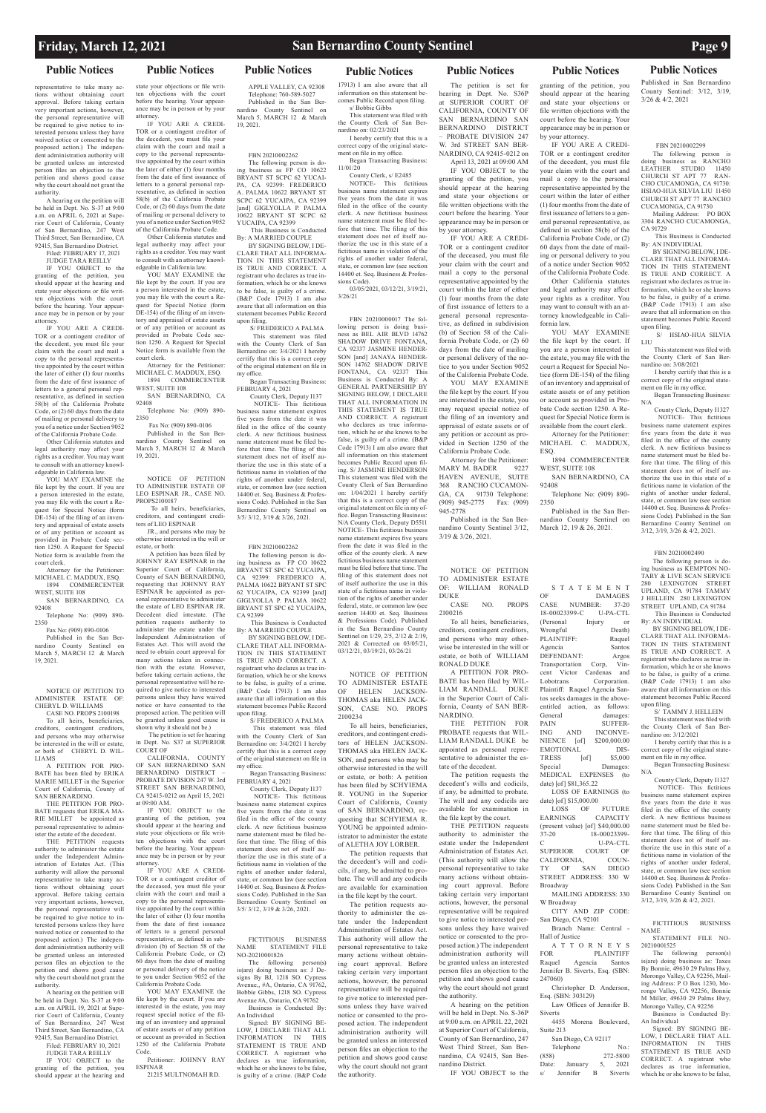representative to take many actions without obtaining court approval. Before taking certain very important actions, however, the personal representative will be required to give notice to interested persons unless they have waived notice or consented to the proposed action.) The independent administration authority will be granted unless an interested person files an objection to the petition and shows good cause why the court should not grant the authority.

A hearing on the petition will be held in Dept. No. S-37 at 9:00 a.m. on APRIL 6, 2021 at Superior Court of California, County of San Bernardino, 247 West Third Street, San Bernardino, CA 92415, San Bernardino District.

> Filed: FEBRUARY 17, 2021 JUDGE TARA REILLY

IF YOU OBJECT to the

granting of the petition, you should appear at the hearing and state your objections or file written objections with the court before the hearing. Your appearance may be in person or by your attorney.

IF YOU ARE A CREDI-TOR or a contingent creditor of the decedent, you must file your claim with the court and mail a copy to the personal representative appointed by the court within the later of either (1) four months from the date of first issuance of letters to a general personal representative, as defined in section 58(b) of the California Probate Code, or (2) 60 days from the date of mailing or personal delivery to you of a notice under Section 9052 of the California Probate Code.

THE PETITION FOR PRO-BATE requests that ERIKA MA-RIE MILLET be appointed as personal representative to adminproduce the estate of the decedent.

Other California statutes and legal authority may affect your rights as a creditor. You may want to consult with an attorney knowledgeable in California law.

YOU MAY EXAMINE the file kept by the court. If you are a person interested in the estate, you may file with the court a Request for Special Notice (form DE-154) of the filing of an inventory and appraisal of estate assets or of any petition or account as provided in Probate Code section 1250. A Request for Special Notice form is available from the court clerk.

Attorney for the Petitioner: MICHAEL C. MADDUX, ESQ. 1894 COMMERCENTER

WEST, SUITE 108 SAN BERNARDINO, CA 92408

Telephone No: (909) 890- 2350

Fax No: (909) 890-0106

Published in the San Bernardino County Sentinel on March 5, MARCH 12 & March 19, 2021.

NOTICE OF PETITION TO ADMINISTER ESTATE OF: CHERYL D. WILLIAMS

CASE NO. PROPS 2100198 To all heirs, beneficiaries, creditors, contingent creditors, and persons who may otherwise be interested in the will or estate, or both of CHERYL D. WIL-LIAMS

A PETITION FOR PRO-BATE has been filed by ERIKA MARIE MILLET in the Superior Court of California, County of SAN BERNARDINO.

THE PETITION requests authority to administer the estate under the Independent Administration of Estates Act. (This authority will allow the personal representative to take many actions without obtaining court approval. Before taking certain very important actions, however, the personal representative will be required to give notice to interested persons unless they have waived notice or consented to the proposed action.) The independent administration authority will be granted unless an interested person files an objection to the petition and shows good cause why the court should not grant the authority. A hearing on the petition will be held in Dept. No. S-37 at 9:00 a.m. on APRIL 19, 2021 at Superior Court of California, County of San Bernardino, 247 West Third Street, San Bernardino, CA 92415, San Bernardino District.

Filed: FEBRUARY 10, 2021 JUDGE TARA REILLY

IF YOU OBJECT to the granting of the petition, you should appear at the hearing and 1250 of the California Probate **Code** 

## **Public Notices Public Notices Public Notices Public Notices Public Notices Public Notices Public Notices**

state your objections or file written objections with the court before the hearing. Your appearance may be in person or by your attorney.

IF YOU ARE A CREDI-TOR or a contingent creditor of the decedent, you must file your claim with the court and mail a copy to the personal representaappointed by the court within the later of either (1) four months from the date of first issuance of letters to a general personal representative, as defined in section 58(b) of the California Probate Code, or (2) 60 days from the date of mailing or personal delivery to you of a notice under Section 9052

of the California Probate Code. Other California statutes and legal authority may affect your rights as a creditor. You may want to consult with an attorney knowledgeable in California law.

YOU MAY EXAMINE the file kept by the court. If you are a person interested in the estate, you may file with the court a Request for Special Notice (form DE-154) of the filing of an inventory and appraisal of estate assets or of any petition or account as provided in Probate Code section 1250. A Request for Special Notice form is available from the

court clerk. Attorney for the Petitioner: MICHAEL C. MADDUX, ESQ. 1894 COMMERCENTER

WEST, SUITE 108 SAN BERNARDINO, CA

> NOTICE- This fictitious business name statement expires five years from the date it was filed in the office of the county clerk. A new fictitious business name statement must be filed before that time. The filing of this statement does not of itself authorize the use in this state of a

92408 Telephone No: (909) 890-

2350 Fax No: (909) 890-0106

Published in the San Bernardino County Sentinel on March 5, MARCH 12 & March 19, 2021.

NOTICE OF PETITION TO ADMINISTER ESTATE OF LEO ESPINAR JR., CASE NO. PROPS2100187 To all heirs, beneficiaries,

creditors, and contingent creditors of LEO ESPINAR

JR., and persons who may be otherwise interested in the will or estate, or both:

 A petition has been filed by JOHNNY RAY ESPINAR in the Superior Court of California, County of SAN BERNARDINO requesting that JOHNNY RAY ESPINAR be appointed as personal representative to administer the estate of LEO ESPINAR JR. Decedent died intestate. (The petition requests authority to administer the estate under the Independent Administration of Estates Act. This will avoid the need to obtain court approval for many actions taken in connection with the estate. However, before taking certain actions, the personal representative will be required to give notice to interested

persons unless they have waived notice or have consented to the proposed action. The petition will be granted unless good cause is shown why it should not be.) The petition is set for hearing in Dept. No. S37 at SUPERIOR

COURT OF CALIFORNIA, COUNTY OF SAN BERNARDINO SAN BERNARDINO DISTRICT – PROBATE DIVISION 247 W. 3rd STREET SAN BERNARDINO,

CA 92415-0212 on April 15, 2021 at 09:00 AM. IF YOU OBJECT to the granting of the petition, you should appear at the hearing and state your objections or file written objections with the court before the hearing. Your appearance may be in person or by your attorney. IF YOU ARE A CREDI-TOR or a contingent creditor of the deceased, you must file your claim with the court and mail a copy to the personal representative appointed by the court within the later of either (1) four months from the date of first issuance of letters to a general personal representative, as defined in subdivision (b) of Section 58 of the

California Probate Code, or (2) 60 days from the date of mailing or personal delivery of the notice to you under Section 9052 of the California Probate Code.

YOU MAY EXAMINE the file kept by the court. If you are interested in the estate, you may request special notice of the filing of an inventory and appraisal of estate assets or of any petition or account as provided in Section

Petitioner: JOHNNY RAY ESPINAR 21215 MULTNOMAH RD.

APPLE VALLEY, CA 92308 Telephone: 760-589-5027 Published in the San Bernardino County Sentinel March 5, MARCH 12 & March 19, 2021.

# FBN 20210002262

The following person is doing business as FP CO 10622 BRYANT ST SCPC 62 YUCAI-<br>PA, CA 92399: FREDERICO CA 92399: FREDERICO A. PALMA 10622 BRYANT ST SCPC 62 YUCAIPA, CA 92399 [and] GIGLYOLLA P. PALMA 10622 BRYANT ST SCPC 62 YUCAIPA, CA 92399 This Business is Conducted

By: A MARRIED COUPLE BY SIGNING BELOW, I DE-CLARE THAT ALL INFORMA-TION IN THIS STATEMENT IS TRUE AND CORRECT. A registrant who declares as true information, which he or she knows to be false, is guilty of a crime. (B&P Code 17913) I am also

aware that all information on this statement becomes Public Record upon filing. S/ FREDERICO A PALMA This statement was filed

> The petition requests the decedent's wills and codicils, if any, be admitted to probate. The will and any codicils are available for examination in the file kept by the court.

with the County Clerk of San Bernardino on: 3/4/2021 I hereby certify that this is a correct copy of the original statement on file in my office. Began Transacting Business:

FEBRUARY 4, 2021 County Clerk, Deputy I137 NOTICE- This fictitious

> THE PETITION requests authority to administer the estate under the Independent Administration of Estates Act. (This authority will allow the rsonal representative to take many actions without obtaining court approval. Before taking certain very important actions, however, the personal representative will be required to give notice to interested persons unless they have waived notice or consented to the proposed action.) The independent administration authority will be granted unless an interested person files an objection to the petition and shows good cause why the court should not grant the authority. A hearing on the petition will be held in Dept. No. S-36P at 9:00 a.m. on APRIL 22, 2021 at Superior Court of California, County of San Bernardino, 247 West Third Street, San Bernardino, CA 92415, San Bernardino District.

business name statement expires five years from the date it was filed in the office of the county clerk. A new fictitious business name statement must be filed before that time. The filing of this statement does not of itself authorize the use in this state of a fictitious name in violation of the rights of another under federal, state, or common law (see section 14400 et. Seq. Business & Professions Code). Published in the San Bernardino County Sentinel on 3/5/ 3/12, 3/19 & 3/26, 2021.

### FBN 20210002262

The following person is do-ing business as FP CO 10622 BRYANT ST SPC 62 YUCAIPA, CA 92399: FREDERICO A. PALMA 10622 BRYANT ST SPC 62 YUCAIPA, CA 92399 [and] GIGLYOLLA P. PALMA 10622 BRYANT ST SPC 62 YUCAIPA, CA 92399

 This Business is Conducted By: A MARRIED COUPLE

Published in the San Bernardino County Sentinel on March 12, 19 & 26, 2021.

BY SIGNING BELOW, I DE-CLARE THAT ALL INFORMA-TION IN THIS STATEMENT IS TRUE AND CORRECT. A registrant who declares as true information, which he or she knows to be false, is guilty of a crime. (B&P Code 17913) I am also aware that all information on this statement becomes Public Record upon filing.

 S/ FREDERICO A PALMA This statement was filed with the County Clerk of San Bernardino on: 3/4/2021 I hereby certify that this is a correct copy of the original statement on file in my office.

 Began Transacting Business: FEBRUARY 4, 2021 County Clerk, Deputy I137

> A T T O R N E Y S<br>FOR PLAINTIFF PLAINTIFF Raquel Agencia Santos Jennifer B. Siverts, Esq. (SBN: 247060) Christopher D. Anderson,

> 4455 Morena Boulevard, Suite 213 San Diego, CA 92117 Telephone No.:<br>(858) 272-5800 272-5800<br>January 5, 2021 Date: January 5, 2021<br>s/ Jennifer B Siverts  $s/$  Jennifer B

 This Business is Conducted By: AN INDIVIDUAL BY SIGNING BELOW I DE-

fictitious name in violation of the

rights of another under federal, state, or common law (see section 14400 et. Seq. Business & Professions Code). Published in the San Bernardino County Sentinel on 3/5/ 3/12, 3/19 & 3/26, 2021.

FICTITIOUS BUSINESS NAME STATEMENT FILE NO-20210001826

The following person(s) is(are) doing business as: J De-signs By BJ, 1218 SO. Cypress Avenue,, #A, Ontario, CA 91762, Bobbie Gibbs, 1218 SO. Cypress Avenue #A, Ontario, CA 91762 Business is Conducted By: An Individual

Signed: BY SIGNING BE-LOW, I DECLARE THAT ALL INFORMATION IN THIS STATEMENT IS TRUE AND CORRECT. A registrant who declares as true information, which he or she knows to be false, is guilty of a crime. (B&P Code

17913) I am also aware that all information on this statement becomes Public Record upon filing. s/ Bobbie Gibbs

This statement was filed with the County Clerk of San Bernardino on: 02/23/2021

I hereby certify that this is a correct copy of the original statement on file in my office. Began Transacting Business: 11/01/20

County Clerk, s/ E2485 NOTICE- This fictitious

business name statement expires five years from the date it was filed in the office of the county clerk. A new fictitious business name statement must be filed before that time. The filing of this statement does not of itself authorize the use in this state of a fictitious name in violation of the rights of another under federal, state, or common law (see section 14400 et. Seq. Business & Professions Code).

> The following person(s) is(are) doing business as: Taxes By Bonnie, 49630 29 Palms Hwy, Morongo Valley, CA 92256, Mailing Address: P O Box 1230, Morongo Valley, CA 92256, Bonnie M Miller, 49630 29 Palms Hwy, Morongo Valley, CA 92256

Business is Conducted By

03/05/2021, 03/12/21, 3/19/21, 3/26/21

FBN 20210000017 The following person is doing busi-ness as BEL AIR BLVD 14762 SHADOW DRIVE FONTANA, CA 92337 JASMINE HENDER-SON [and] JANAYA HENDER-SON 14762 SHADOW DRIVE FONTANA, CA 92337 This Business is Conducted By: A GENERAL PARTNERSHIP BY SIGNING BELOW, I DECLARE THAT ALL INFORMATION IN THIS STATEMENT IS TRUE AND CORRECT. A registrant who declares as true information, which he or she knows to be false, is guilty of a crime. (B&P Code 17913) I am also aware that all information on this statement becomes Public Record upon filing. S/ JASMINE HENDERSON This statement was filed with the County Clerk of San Bernardino  $1/04/2021$  I hereby certify that this is a correct copy of the original statement on file in my office. Began Transacting Business: N/A County Clerk, Deputy D5511 NOTICE- This fictitious business name statement expires five years from the date it was filed in the office of the county clerk. A new fictitious business name statement must be filed before that time. The filing of this statement does not of itself authorize the use in this state of a fictitious name in violation of the rights of another under federal, state, or common law (see section 14400 et. Seq. Business & Professions Code). Published in the San Bernardino County Sentinel on 1/29, 2/5, 2/12 & 2/19, 2021 & Corrected on 03/05/21, 03/12/21, 03/19/21, 03/26/21

NOTICE OF PETITION TO ADMINISTER ESTATE OF HELEN JACKSON-THOMAS aka HELEN JACK-SON, CASE NO. PROPS 2100234

To all heirs, beneficiaries, creditors, and contingent creditors of HELEN JACKSON-THOMAS aka HELEN JACK-SON, and persons who may be otherwise interested in the will or estate, or both: A petition has been filed by SCHYIEMA R. YOUNG in the Superior Court of California, County of SAN BERNARDINO, requesting that SCHYIEMA R. YOUNG be appointed administrator to administer the estate of ALETHA JOY LORBER.

The petition requests that the decedent's will and codi-

cils, if any, be admitted to probate. The will and any codicils are available for examination in the file kept by the court.

The petition requests authority to administer the estate under the Independent Administration of Estates Act. This authority will allow the personal representative to take many actions without obtaining court approval. Before taking certain very important actions, however, the personal representative will be required to give notice to interested persons unless they have waived notice or consented to the proposed action. The independent administration authority will be granted unless an interested person files an objection to the petition and shows good cause why the court should not grant the authority.

The petition is set for hearing in Dept. No. S36P at SUPERIOR COURT OF CALIFORNIA, COUNTY OF SAN BERNARDINO SAN BERNARDINO DISTRICT – PROBATE DIVISION 247 W. 3rd STREET SAN BER-NARDINO, CA 92415-0212 on

April 13, 2021 at 09:00 AM IF YOU OBJECT to the

granting of the petition, you should appear at the hearing and state your objections or file written objections with the court before the hearing. Your appearance may be in person or by your attorney.

IF YOU ARE A CREDI-TOR or a contingent creditor of the deceased, you must file your claim with the court and mail a copy to the personal representative appointed by the court within the later of either (1) four months from the date of first issuance of letters to a general personal representative, as defined in subdivision (b) of Section 58 of the California Probate Code, or (2) 60 days from the date of mailing or personal delivery of the notice to you under Section 9052 of the California Probate Code.

YOU MAY EXAMINE the file kept by the court. If you are interested in the estate, you may request special notice of the filing of an inventory and appraisal of estate assets or of any petition or account as provided in Section 1250 of the California Probate Code.

Attorney for the Petitioner: MARY M. BADER 9227 HAVEN AVENUE, SUITE 368 RANCHO CUCAMON-GA, CA 91730 Telephone: (909) 945-2775 Fax: (909) 945-2778

Published in the San Bernardino County Sentinel 3/12, 3/19 & 3/26, 2021.

NOTICE OF PETITION TO ADMINISTER ESTATE OF: WILLIAM RONALD DUKE

CASE NO. PROPS 2100216

To all heirs, beneficiaries, creditors, contingent creditors, and persons who may otherwise be interested in the will or estate, or both of WILLIAM RONALD DUKE

A PETITION FOR PRO-BATE has been filed by WIL-LIAM RANDALL DUKE in the Superior Court of California, County of SAN BER-NARDINO.

THE PETITION FOR PROBATE requests that WIL-LIAM RANDALL DUKE be appointed as personal representative to administer the estate of the decedent.

IF YOU OBJECT to the

court before the hearing. Your appearance may be in person or

by your attorney.

### IF YOU ARE A CREDI-TOR or a contingent creditor of the decedent, you must file your claim with the court and mail a copy to the personal representative appointed by the court within the later of either (1) four months from the date of first issuance of letters to a general personal representative, as

defined in section 58(b) of the California Probate Code, or (2) 60 days from the date of mailing or personal delivery to you of a notice under Section 9052 of the California Probate Code. Other California statutes and legal authority may affect your rights as a creditor. You may want to consult with an attorney knowledgeable in Cali-

fornia law.

YOU MAY EXAMINE the file kept by the court. If you are a person interested in the estate, you may file with the court a Request for Special Notice (form DE-154) of the filing of an inventory and appraisal of estate assets or of any petition or account as provided in Probate Code section 1250. A Request for Special Notice form is available from the court clerk. Attorney for the Petitioner: MICHAEL C. MADDUX,

ESQ.

1894 COMMERCENTER

SAN BERNARDINO, CA

granting of the petition, you should appear at the hearing and state your objections or file written objections with the Published in San Bernardino County Sentinel: 3/12, 3/19, 3/26 & 4/2, 2021

92408

Telephone No: (909) 890-

2350

WEST, SUITE 108

S T A T E M E N T OF DAMAGES CASE NUMBER: 37-20 18-00023399-C U-PA-CTL (Personal Injury or Wrongful Death) PLAINTIFF: Raquel Agencia Santos DEFENDANT: Argos Transportation Corp, Vincent Victor Cardenas and Lobotrans Corporation. Plaintiff: Raquel Agencia Santos seeks damages in the aboveentitled action, as follows: General damages: PAIN SUFFER-ING AND INCONVE-NIENCE [of] \$200,000.00 EMOTIONAL DIS-

date) [of] \$81,365.22

LOSS OF EARNINGS (to date) [of] \$15,000.00<br>LOSS OF FUTURE LOSS OF EARNINGS CAPACITY (present value) [of] \$40,000.00 37-20 18-00023399- C U-PA-CTL SUPERIOR COURT OF CALIFORNIA, COUN-

TY OF SAN DIEGO STREET ADDRESS: 330 W Broadway

MAILING ADDRESS: 330 W Broadway CITY AND ZIP CODE:

San Diego, CA 92101

Branch Name: Central - Hall of Justice

Esq. (SBN: 303129)

Law Offices of Jennifer B. Siverts

FBN 20210002299

The following person is doing business as RANCHO LEATHER STUDIO 11450 CHURCH ST APT 77 RAN-CHO CUCAMONGA, CA 91730: HSIAO-HUA SILVIA LIU 11450 CHURCH ST APT 77 RANCHO CUCAMONGA, CA 91730

Mailing Address: PO BOX 3304 RANCHO CUCAMONGA, CA 91729

CLARE THAT ALL INFORMA-TION IN THIS STATEMENT IS TRUE AND CORRECT. A registrant who declares as true information, which he or she knows to be false, is guilty of a crime. (B&P Code 17913) I am also aware that all information on this statement becomes Public Record

upon filing. S/ HSIAO-HUA SILVIA LIU

TRESS [of] \$5,000 Special Damages: MEDICAL EXPENSES (to Began Transacting Business: N/A

 This statement was filed with the County Clerk of San Bernardino on: 3/08/2021

 I hereby certify that this is a correct copy of the original statement on file in my office. Began Transacting Business:

N/A County Clerk, Deputy I1327

 NOTICE- This fictitious business name statement expires five years from the date it was filed in the office of the county clerk. A new fictitious business name statement must be filed before that time. The filing of this statement does not of itself authorize the use in this state of a fictitious name in violation of the rights of another under federal, state, or common law (see section 14400 et. Seq. Business & Professions Code). Published in the San Bernardino County Sentinel on 3/12, 3/19, 3/26 & 4/2, 2021.

### FBN 20210002490

The following person is doing business as KEMPTON NO-TARY & LIVE SCAN SERVICE 280 LEXINGTON STREET UPLAND, CA 91784 TAMMY J HELLEIN 280 LEXINGTON STREET UPLAND, CA 91784 This Business is Conducted By: AN INDIVIDUAL

BY SIGNING BELOW, I DE-CLARE THAT ALL INFORMA-TION IN THIS STATEMENT IS TRUE AND CORRECT A registrant who declares as true information, which he or she knows to be false, is guilty of a crime. (B&P Code 17913) I am also aware that all information on this statement becomes Public Record upon filing.

 S/ TAMMY J. HELLEIN This statement was filed with the County Clerk of San Bernardino on: 3/12/2021

 I hereby certify that this is a correct copy of the original statement on file in my office.

 County Clerk, Deputy I1327 NOTICE- This fictitious business name statement expires five years from the date it was filed in the office of the county clerk. A new fictitious business name statement must be filed before that time. The filing of this statement does not of itself authorize the use in this state of a fictitious name in violation of the rights of another under federal, state, or common law (see section 14400 et. Seq. Business & Professions Code). Published in the San Bernardino County Sentinel on 3/12, 3/19, 3/26 & 4/2, 2021.

FICTITIOUS BUSINESS NAME

STATEMENT FILE NO-20210001525

An Individual

Signed: BY SIGNING BE-LOW, I DECLARE THAT ALL INFORMATION IN THIS STATEMENT IS TRUE AND CORRECT. A registrant who declares as true information, which he or she knows to be false,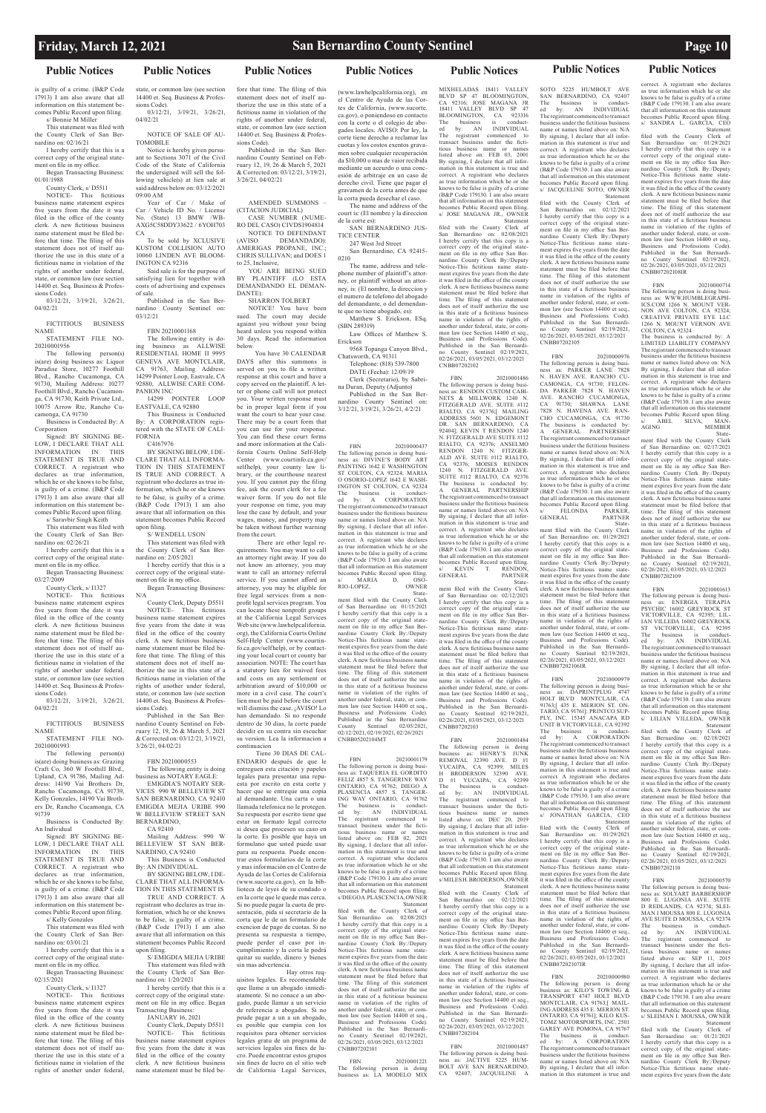### **Public Notices Public Notices**

### **Friday, March 12, 2021 San Bernardino County Sentinel Page 10**

### **Public Notices Public Notices Public Notices Public Notices Public Notices**

is guilty of a crime. (B&P Code 17913) I am also aware that all information on this statement becomes Public Record upon filing. s/ Bonnie M Miller

This statement was filed with the County Clerk of San Bernardino on: 02/16/21

I hereby certify that this is a correct copy of the original state-ment on file in my office.

Began Transacting Business: 01/01/1988

County Clerk, s/ D5511

The following person(s) is(are) doing business as: Liquor Paradise Store, 10277 Foothill Blvd., Rancho Cucamonga, CA 91730, Mailing Address: 10277 Foothill Blvd., Rancho Cucamonga, CA 91730, Keith Private Ltd., 10075 Arrow Rte, Rancho Cucamonga, CA 91730

NOTICE- This fictitious business name statement expires five years from the date it was filed in the office of the county clerk. A new fictitious business name statement must be filed before that time. The filing of this statement does not of itself authorize the use in this state of a fictitious name in violation of the rights of another under federal, state, or common law (see section 14400 et. Seq. Business & Professions Code).

03/12/21, 3/19/21, 3/26/21, 04/02/21

FICTITIOUS BUSINESS NAME

STATEMENT FILE NO-20210001956

Business is Conducted By: A Corporation

Signed: BY SIGNING BE-LOW, I DECLARE THAT ALL INFORMATION IN THIS STATEMENT IS TRUE AND CORRECT. A registrant who declares as true information, which he or she knows to be false, is guilty of a crime. (B&P Code 17913) I am also aware that all information on this statement becomes Public Record upon filing.

declares as true information, which he or she knows to be false, is guilty of a crime. (B&P Code 17913) I am also aware that all information on this statement becomes Public Record upon filing.

s/ Saravbir Singh Keith This statement was filed with

the County Clerk of San Bernardino on: 02/26/21 I hereby certify that this is a

correct copy of the original state-ment on file in my office.

Began Transacting Business: 03/27/2009

County Clerk, s/ I1327 NOTICE- This fictitious

business name statement expires five years from the date it was filed in the office of the county clerk. A new fictitious business name statement must be filed before that time. The filing of this statement does not of itself authorize the use in this state of a fictitious name in violation of the rights of another under federal, state, or common law (see section 14400 et. Seq. Business & Professions Code).

03/12/21, 3/19/21, 3/26/21, 04/02/21

FICTITIOUS BUSINESS NAME STATEMENT FILE NO-

20210001993 The following person(s) is(are) doing business as: Grazing Craft Co, 360 W Foothill Blvd., Upland, CA 91786, Mailing Address: 14190 Vai Brothers Dr, Rancho Cucamonga, CA 91739, Kelly Gonzales, 14190 Vai Brothers Dr, Rancho Cucamonga, CA 91739

Business is Conducted By: An Individual

Signed: BY SIGNING BE-LOW, I DECLARE THAT ALL INFORMATION IN THIS STATEMENT IS TRUE AND CORRECT. A registrant who

s/ Kelly Gonzales

This statement was filed with the County Clerk of San Bernardino on: 03/01/21

I hereby certify that this is a correct copy of the original statement on file in my office.

Began Transacting Business: 02/15/2021

County Clerk, s/ I1327

NOTICE- This fictitious business name statement expires five years from the date it was filed in the office of the county clerk. A new fictitious busines name statement must be filed before that time. The filing of this statement does not of itself authorize the use in this state of a fictitious name in violation of the rights of another under federal,

### state, or common law (see section 14400 et. Seq. Business & Profes-

sions Code). 03/12/21, 3/19/21, 3/26/21, 04/02/21

> NOTICE TO DEFENDANT<br>(AVISO DEMANDADO): DEMANDADO): AMERIGAS PROPANE, INC.; CHRIS SULLIVAN; and DOES 1 to 25, Inclusive, YOU ARE BEING SUED

NOTICE OF SALE OF AU-TOMOBILE

Notice is hereby given pursuant to Sections 3071 of the Civil Code of the State of California the undersigned will sell the following vehicle(s) at lien sale at said address below on: 03/12/2021 09:00 AM

Year of Car / Make of Car / Vehicle ID No. / License No. (State) 13 BMW /WB-AXG5C58DDY33622 / 6YOH703 CA

To be sold by XCLUSIVE KUSTOM COLLISION AUTO 10060 LINDEN AVE BLOOM-INGTON CA 92316 Said sale is for the purpose of

satisfying lien for together with costs of advertising and expenses of sale. Published in the San Ber-

nardino County Sentinel on: 03/12/21

FBN 20210001168

The following entity is doing business as ALLWISE RESIDENTIAL HOME II 9995 GENEVA AVE MONTCLAIR, CA 91763, Mailing Address: 14299 Pointer Loop, Eastvale, CA 92880, ALLWISE CARE COM-PANION INC 14299 POINTER LOOP

EASTVALE, CA 92880 This Business is Conducted

By: A CORPORATION registered with the STATE OF CALI-FORNIA C4167976

BY SIGNING BELOW, I DE-CLARE THAT ALL INFORMA-TION IN THIS STATEMENT IS TRUE AND CORRECT. A registrant who declares as true information, which he or she knows to be false, is guilty of a crime. (B&P Code 17913) I am also aware that all information on this statement becomes Public Record upon filing.

n mmg.<br>S/WENDELL LISON

This statement was filed with the County Clerk of San Bernardino on: 2/05/2021 I hereby certify that this is a

correct copy of the original statement on file in my office. Began Transacting Business: N/A

County Clerk, Deputy D5511 NOTICE- This fictitious business name statement expires five years from the date it was filed in the office of the county clerk. A new fictitious business name statement must be filed before that time. The filing of this statement does not of itself authorize the use in this state of a fictitious name in violation of the rights of another under federal, state, or common law (see section 14400 et. Seq. Business & Professions Code).

(www.lawhelpcalifornia.org), el Centro de Ayuda de las Cortes de California, (www.sucorte. ca.gov), o poniendoso en contacto con la corte o el colegio de abogados locales. AVISO: Por ley, la corte tiene derecho a reclamar las cuotas y los costos exentos gravamen sobre cualquier recuperación da \$10,000 o mas de vaior recibida mediante un aceurdo o una concesión de arbitraje en un caso de derecho civil. Tiene que pagar el gravamen de la corta antes de que la corta pueda desechar el caso.

The name and address of the court is: (El nombre y la direccion de la corte es): SAN BERNARDINO JUS-

Published in the San Bernardino County Sentinel on February 12, 19, 26 & March 5, 2021 & Corrected on: 03/12/21, 3/19/21, 3/26/21, 04/02/21

FBN 20210000553 The following entity is doing business as NOTARY EAGLE: EMIGDIA'S NOTARY SER-VICES 990 W BELLEVIEW ST SAN BERNARDINO, CA 92410 EMIGDIA MEJIA URIBE 990 W BELLEVIEW STREET SAN BERNARDINO,

FBN 20210000437 The following person is doing business as: DIVINE'S BODY ART PAINTING 1642 E WASHINGTON ST COLTON, CA 92324; MARIA O OSORIO-LOPEZ 1642 E WASH-INGTON ST COLTON, CA 92324 The business is conduct-ed by: A CORPORATION The registrant commenced to transact business under the fictitious business name or names listed above on: N/A By signing, I declare that all information in this statement is true and correct. A registrant who declares as true information which he or she knows to be false is guilty of a crime (B&P Code 179130. I am also aware that all information on this statement becomes Public Record upon filing. s/ MARIA D. OSO-RIO-LOPEZ, OWNER<br>State-

CA 92410 Mailing Address: 990 W BELLEVIEW ST SAN BER-NARDINO, CA 92410

This Business is Conducted AN INDIVIDUAL. BY SIGNING BELOW, I DE-CLARE THAT ALL INFORMA-TION IN THIS STATEMENT IS TRUE AND CORRECT. A registrant who declares as true information, which he or she knows to be false, is guilty of a crime. (B&P Code 17913) I am also aware that all information on this statement becomes Public Record upon filing. S/ EMIGDIA MEJIA URIBE

This statement was filed with the County Clerk of San Bernardino on: 1/20/2021

I hereby certify that this is a correct copy of the original statement on file in my office. Began Transacting Business:

JANUARY 16, 2021 County Clerk, Deputy D5511 NOTICE- This fictitious siness name statement expires five years from the date it was filed in the office of the county clerk. A new fictitious business name statement must be filed be-

fore that time. The filing of this statement does not of itself authorize the use in this state of a fictitious name in violation of the rights of another under federal, state, or common law (see section 14400 et. Seq. Business & Profes-

sions Code). Published in the San Bernardino County Sentinel on February 12, 19, 26 & March 5, 2021 & Corrected on: 03/12/21, 3/19/21, 3/26/21, 04/02/21

AMENDED SUMMONS – (CITACION JUDICIAL) CASE NUMBER (NUME-RO DEL CASO) CIVDS1904814

> **FBN** FBN 20210001179 The following person is doing business as: TAQUERIA EL GORDITO FELIZ 4857 S. TANGERINE WAY ONTARIO, CA 91762; DIEGO A PLASENCIA 4857 S. TANGER-ING WAY ONTARIO, CA 91762<br>The business is conduct-The business is conduct-ed by: AN INDIVIDUAL The registrant commenced to<br>transact business under the ficti $b$ usiness under the fictitious business name or names listed above on: FEB 02, 2021 By signing, I declare that all information in this statement is true and correct. A registrant who declares as true information which he or she s to be false is guilty of a crime (B&P Code 179130. I am also aware that all information on this statement becomes Public Record upon filing. s/ DIEGO A. PLASCENCIA, OWNER Statement filed with the County Clerk of San Bernardino on: 02/08/2021 I hereby certify that this copy is a correct copy of the original state-ment on file in my office San Bernardino County Clerk By:/Deputy Notice-This fictitious name state-ment expires five years from the date it was filed in the office of the county clerk. A new fictitious business name statement must be filed before that time. The filing of this statement does not of itself authorize the use in this state of a fictitious business name in violation of the rights of another under federal, state, or common law (see Section 14400 et seq., Business and Professions Code). Published in the San Bernardino County Sentinel 02/19/2021, 02/26/2021, 03/05/2021, 03/12/2021 CNBB07202101

BY PLAINTIFF (LO ESTA DEMANDANDO EL DEMAN-DANTE): SHARRON TOLBERT

NOTICE! You have been sued. The court may decide against you without your being heard unless you respond within 30 days. Read the information

below. You have 30 CALENDAR DAYS after this summons is served on you to file a written response at this court and have a copy served on the plaintiff. A letter or phone call will not protect you. Your written response must be in proper legal form if you want the court to hear your case. There may be a court form that you can use for your response. You can find these court forms and more information at the California Courts Online Self-Help

FBN 20210001486 The following person is doing busi-ness as: RENDON CUSTOM CABI-NETS & MILLWORK 1240 N. FITZGERALD AVE. SUITE #112 RIALTO, CA 92376;[ MAILING ADDRESS 5601 N. EDGEMONT DR. SAN BERNARDINO, CA 92404]; KEVIN T RENDON 1240 N. FITZGERALD AVE SUITE RIALTO, CA 92376; ANSELMO<br>RENDON 1240 N. FITZGER-RENDON 1240 N. FITZGER-ALD AVE. SUITE #112 RIALTO, CA 92376; MOISES RENDON 1240 N. FITZGERALD AVE. SUITE #112 RIALTO, CA 92376 The business is conducted by: A GENERAL PARTNERSHIP The registrant commenced to transact business under the fictitious business name or names listed above on: N/A By signing, I declare that all information in this statement is true and correct. A registrant who declares as true information which he or she knows to be false is guilty of a crime (B&P Code 179130. I am also aware that all information on this statement becomes Public Record upon filing. SES FRANCES CONSUMER TRENDON,<br>ERAIL PARTNER GENERAL PARTNER

Center (www.courtinfo.ca.gov/ selfhelp), your county law library, or the courthouse nearest you. If you cannot pay the filing fee, ask the court clerk for a fee waiver form. If you do not file your response on time, you may lose the case by default, and your wages, money, and property may be taken without further warning from the court.

 There are other legal requirements. You may want to call an attorney right away. If you do not know an attorney, you may want to call an attorney referral service. If you cannot afford an attorney, you may be eligible for free legal services from a nonprofit legal services program. You can locate these nonprofit groups at the California Legal Services

Web site (www.lawhelpcalifornia. org), the California Courts Online Self-Help Center (www.courtinfo.ca.gov/selfhelp), or by contacting your local court or county bar association. NOTE: The court has a statutory lien for waived fees and costs on any settlement or arbitration award of \$10,000 or more in a civil case. The court's lien must be paid before the court will dismiss the case. ¡AVISO! Lo han demandado. Si no responde dentro de 30 dias, la corte puede decidir en su contra sin escuchar su version. Lea la informacion a

> becomes Public Record upon filing. s/MILES H. BRODERSON, OWNER

continuacion Tiene 30 DIAS DE CAL-ENDARIO después de que le entreguen esta citación y papeles legales para presentar una repuesta por escrito en esta corte y hacer que se entreque una copia al demandante. Una carta o una llamada telefonica no le protegen. Su respuesta por escrito tiene que estar on formato legal correcto si desea que procesen su caso en la corte. Es posible que haya un formulano que usted puede usar para su respuesta. Puede encontrar estos formularios de la corte y mas información en el Centro de

SOTO 5225 HUMBOLT AVE SAN BERNARDINO, CA 92407<br>The business is conduct-The business is conduct-ed by: AN INDIVIDUAL The registrant commenced to transact business under the fictitious business name or names listed above on: N/A By signing, I declare that all information in this statement is true and correct. A registrant who declares as true information which he or she knows to be false is guilty of a crime (B&P Code 179130. I am also aware that all information on this statement becomes Public Record upon filing. s/ JACQUELINE SOTO, OWNER

Ayuda de las Cortes de California (www.sucorte.ca.gov), en la biblioteca de leyes de su condado o en la corte que le quede mas cerca. Si no puede pagar la cuota de presentación, pida si secretario de la corta que le de un formulario de exencion de pago de cuotas. Si no presenta su respuesta a tiempo, puede perder el caso por incumplimiento y la corta le podrá quitar su sueldo, dinero y bienes sin mas advertencia.

FBN 20210000976 The following person is doing business as: PARKER LANE 7828 N. HAVEN AVE. RANCHO CU-CAMONGA, CA 91730; FELON-DA PARKER 7828 N. HAVEN AVE. RANCHO CUCAMONGA, CA 91730; SHAWNA LANE 7828 N. HAVENA AVE. RAN-CHO CUCAMONGA, CA 91730 The business is conducted by A GENERAL PARTNERSHIP The registrant commenced to transact business under the fictitious business name or names listed above on: N/A By signing, I declare that all information in this statement is true and correct. A registrant who declares as true information which he or she knows to be false is guilty of a crime (B&P Code 179130. I am also aware that all information on this statement becomes Public Record upon filing. FELONDA PARKER,<br>RAL PARTNER GENERAL PARTNEL

 Hay otros requisitos legales. Es recomendable que llame a un abogado inmediatamente. Si no conace a un abogado, puede llamar a un servicio de referencia a abogados. Si no peude pagar a un a un abogado, es posible que cumpia con los requisitos para obtener servicios legales gratu de un programa de servicios legales sin fines de lucro. Puede encontrar estos grupos sin fines de lucro en el sitio web de California Legal Services, TICE CENTER 247 West 3rd Street

San Bernardino, CA 92415- 0210

The name, address and telephone number of plaintiff's attorney, or plaintiff without an attorney, is: (El nombre, la direccion y el numero de telefono del abogado del demandante, o del demendante que no tiene abogado, es): Matthew S. Erickson, ESq.

(SBN 289319) Law Offices of Matthew S. Erickson

9568 Topanga Canyon Blvd., Chatsworth, CA 91311 Telephone: (818) 539-7800

DATE (Fecha): 12/09/19 Clerk (Secretario), by Sabri-

na Duran, Deputy (Adjunto) Published in the San Bernardino County Sentinel on: 3/12/21, 3/19/21, 3/26/21, 4/2/21

> The registrant commenced to transact business under the fictitious business name or names listed above on: N/A By signing, I declare that all information in this statement is true and

The business is conducted by: A LIMITED LIABILITY COMPANY The registrant commenced to transact business under the fictitious business name or names listed above on: N/A By signing, I declare that all infor-<br>mation in this statement is true and mation in this statement is true and correct. A registrant who declares as true information which he or she knows to be false is guilty of a crime (B&P Code 179130. I am also aware that all information on this statement becomes Public Record upon filing. s/ ABEL SILVA, MAN-<br>AGING MEMBER

 State-ment filed with the County Clerk of San Bernardino on: 01/15/2021 I hereby certify that this copy is a correct copy of the original state-ment on file in my office San Bernardino County Clerk By:/Deputy Notice-This fictitious name state-ment expires five years from the date it was filed in the office of the county clerk. A new fictitious business name statement must be filed before that time. The filing of this statement does not of itself authorize the use in this state of a fictitious business name in violation of the rights of another under federal, state, or common law (see Section 14400 et seq., Business and Professions Code). Published in the San Bernardino County Sentinel 02/05/2021, 02/12/2021, 02/19/2021, 02/26/2021 CNBB05202104MT

> San Bernardino on: 01/21/2021 I hereby certify that this copy is a correct copy of the original state-ment on file in my office San Ber-nardino County Clerk By:/Deputy Notice-This fictitious name statement expires five years from the date

FBN 20210001221 The following person is doing business as: LA MODELO MIX

MIXHELADAS 18411 VALLEY BLVD SP 47 BLOOMINGTON, CA 92316; JOSE MAGANA JR 18411 VALLEY BLVD SP 47<br>BLOOMINGTON, CA 923316 BLOOMINGTON, The business is conduct-ed by: AN INDIVIDUAL The registrant commenced to transact business under the fictitious business name or names listed above on: FEB 03, 2001 By signing, I declare that all infor-mation in this statement is true and correct. A registrant who declares as true information which he or she knows to be false is guilty of a crime (B&P Code 179130. I am also aware that all information on this statement becomes Public Record upon filing. s/ JOSE MAGANA JR., OWNER Statement filed with the County Clerk of

San Bernardino on: 02/08/2021 I hereby certify that this copy is a correct copy of the original state-ment on file in my office San Bernardino County Clerk By:/Deputy Notice-This fictitious name state-ment expires five years from the date it was filed in the office of the county clerk. A new fictitious business name statement must be filed before that time. The filing of this statement does not of itself authorize the use in this state of a fictitious business name in violation of the rights of another under federal, state, or common law (see Section 14400 et seq., Business and Professions Code). Published in the San Bernardino County Sentinel 02/19/2021, 02/26/2021, 03/05/2021, 03/12/2021 CNBB07202102

 State-ment filed with the County Clerk of San Bernardino on: 02/12/2021 I hereby certify that this copy is a correct copy of the original state-ment on file in my office San Bernardino County Clerk By:/Deputy Notice-This fictitious name state-ment expires five years from the date it was filed in the office of the county clerk. A new fictitious business name statement must be filed before that time. The filing of this statement does not of itself authorize the use in this state of a fictitious business name in violation of the rights of another under federal, state, or common law (see Section 14400 et seq., Business and Professions Code). Published in the San Bernardi-Published in the San Bernardi-<br>no County Sentinel 02/19/2021, 02/26/2021, 03/05/2021, 03/12/2021 CNBB07202103

FBN 20210001484 The following person is doing<br>business as: HENRY'S JUNK business as: HENRY'S JUNK REMOVAL 32390 AVE. D #1 YUCAIPA, CA 92399; MILES<br>H BRODERSON 32390 AVE. H BRODERSON 32390 AVE. D #1 YUCAIPA, CA 92399 The business is conduct-ed by: AN INDIVIDUAL The registrant commenced to transact business under the fictitious business name or names listed above on: DEC 20, 2019 By signing, I declare that all information in this statement is true and correct. A registrant who declares as true information which he or she knows to be false is guilty of a crime (B&P Code 179130. I am also aware that all information on this statement

 Statement filed with the County Clerk of San Bernardino on: 02/12/2021 I hereby certify that this copy is a correct copy of the original state-ment on file in my office San Bernardino County Clerk By:/Deputy Notice-This fictitious name state-ment expires five years from the date it was filed in the office of the county clerk. A new fictitious business name statement must be filed before that time. The filing of this statement does not of itself authorize the use in this state of a fictitious business name in violation of the rights of another under federal, state, or common law (see Section 14400 et seq., Business and Professions Code). Published in the San Bernardi-<br>no County Sentinel 02/19/2021 no County Sentinel 02/19/2021, 02/26/2021, 03/05/2021, 03/12/2021 CNBB07202104

FBN 20210001487

The following person is doing business as: JACTIVE 5225 HUM-BOLT AVE SAN BERNARDINO, CA 92407; JACQUELINE A

 Statement filed with the County Clerk of San Bernardino on: 02/12/2021 I hereby certify that this copy is a correct copy of the original statement on file in my office San Bernardino County Clerk By:/Deputy Notice-This fictitious name state-ment expires five years from the date it was filed in the office of the county clerk. A new fictitious business name statement must be filed before that time. The filing of this statement does not of itself authorize the use in this state of a fictitious business name in violation of the rights of another under federal, state, or common law (see Section 14400 et seq., Business and Professions Code). Published in the San Bernardino County Sentinel 02/19/2021, 02/26/2021, 03/05/2021, 03/12/2021

CNBB07202105

 State-ment filed with the County Clerk of San Bernardino on: 01/29/2021 I hereby certify that this copy is a correct copy of the original state-ment on file in my office San Ber-nardino County Clerk By:/Deputy Notice-This fictitious name statement expires five years from the date it was filed in the office of the county clerk. A new fictitious business name statement must be filed before that time. The filing of this statement does not of itself authorize the use in this state of a fictitious business name in violation of the rights of another under federal, state, or common law (see Section 14400 et seq., Business and Professions Code). Published in the San Bernardino County Sentinel 02/19/2021, 02/26/2021, 03/05/2021, 03/12/2021

CNBB07202106IR

FBN 20210000979 The following person is doing busi-ness as: DAPRINTPLUG 4747 HOLT BLVD MONTCLAIR, CA 91763;[ 435 E. MERION ST. ON-TARIO, CA 91761]; PRINTCO SUP-PLY, INC. 15345 ANACAPA RD UNIT B VICTORVILLE, CA 92392 The business is conduct-ed by: A CORPORATION The registrant commenced to transact business under the fictitious business name or names listed above on: N/A By signing, I declare that all information in this statement is true and correct. A registrant who declares as true information which he or she knows to be false is guilty of a crime (B&P Code 179130. I am also aware

that all information on this statement becomes Public Record upon filing. s/ JONATHAN GARCIA, CEO Statement filed with the County Clerk of San Bernardino on: 01/29/2021 San Bernardino on: 01/29/2021<br>I hereby certify that this copy is a correct copy of the original state-ment on file in my office San Ber-nardino County Clerk By:/Deputy

Notice-This fictitious name state-

ment expires five years from the date it was filed in the office of the county clerk. A new fictitious business name statement must be filed before that time. The filing of this statement does not of itself authorize the use in this state of a fictitious business name in violation of the rights of another under federal, state, or common law (see Section 14400 et seq. Business and Professions Code). Published in the San Bernardino County Sentinel 02/19/2021, 02/26/2021, 03/05/2021, 03/12/2021 CNBB07202107IR

FBN 20210000980 The following person is doing business as: KILO'S TOWING & TRANSPORT 4747 HOLT BLVD MONTCLAIR, CA 91763;[ MAIL-ING ADDRESS 435 E. MERION ST. ONTARIO, CA 91761]; KILO KUS-TOMZ MOTORSPORTS, INC. 2501 GAREY AVE POMONA, CA 91767

The business is conduct-ed by: A CORPORATION

correct. A registrant who declares as true information which he or she knows to be false is guilty of a crime (B&P Code 179130. I am also aware that all information on this statement becomes Public Record upon filing. s/ SANDRA L. GARCIA, CEO

 Statement filed with the County Clerk of San Bernardino on: 01/29/2021 I hereby certify that this copy is a correct copy of the original state-ment on file in my office San Ber-nardino County Clerk By:/Deputy Notice-This fictitious name statement expires five years from the date it was filed in the office of the county clerk. A new fictitious business name statement must be filed before that time. The filing of this statement does not of itself authorize the use in this state of a fictitious business name in violation of the rights of another under federal, state, or common law (see Section 14400 et seq., Business and Professions Code). Published in the San Bernardino County Sentinel 02/19/2021, 02/26/2021, 03/05/2021, 03/12/2021 CNBB07202108IR

FBN 20210000714 The following person is doing busi-ness as: WWW.HUMBLEGRAPH-ICS.COM 1266 N. MOUNT VER-NON AVE COLTON, CA 92324; CREATIVE PRIVATE EYE LLC 1266 N. MOUNT VERNON AVE COLTON, CA 92324

AGING MEMBER State-ment filed with the County Clerk of San Bernardino on: 02/17/2021 I hereby certify that this copy is a correct copy of the original state-ment on file in my office San Ber-nardino County Clerk By:/Deputy Notice-This fictitious name statement expires five years from the date it was filed in the office of the county clerk. A new fictitious business name statement must be filed before that time. The filing of this statement does not of itself authorize the use in this state of a fictitious business name in violation of the rights of another under federal, state, or common law (see Section 14400 et seq., Business and Professions Code). Published in the San Bernardi-no County Sentinel 02/19/2021, 02/26/2021, 03/05/2021, 03/12/2021 CNBB07202109

FBN 20210001613

The following person is doing busi-ness as: ENERGIA TERAPIA PSYCHIC 16002 GREYROCK ST VICTORVILLE, CA 92395; LIL-IAN VILLEDA 16002 GREYROCK ST VICTORVILLE, CA 92395 The business is conduct-ed by: AN INDIVIDUAL The registrant commenced to transact business under the fictitious business name or names listed above on: N/A By signing, I declare that all information in this statement is true and correct. A registrant who declares as true information which he or she knows to be false is guilty of a crime (B&P Code 179130. I am also aware that all information on this statement becomes Public Record upon filing. s/ LILIAN VILLEDA, OWNER

 Statement filed with the County Clerk of San Bernardino on: 02/18/2021 San Bernardino on: 02/18/2021<br>I hereby certify that this copy is a correct copy of the original state-<br>ment on file in my office San Berment on file in my office San Ber-nardino County Clerk By:/Deputy Notice-This fictitious name state-ment expires five years from the date it was filed in the office of the county clerk. A new fictitious business name statement must be filed before that time. The filing of this statement does not of itself authorize the use in this state of a fictitious business name in violation of the rights of another under federal, state, or common law (see Section 14400 et seq., Business and Professions Code). Published in the San Bernardi-<br>no County Sentinel 02/19/2021. no County Sentinel 02/19/2021, 02/26/2021, 03/05/2021, 03/12/2021

CNBB07202110

FBN 20210000570 The following person is doing busi-ness as: SOLYART BARBERSHOP 800 E. LUGONIA AVE. SUITE D REDLANDS, CA 92374; SLEI-MAN I MOUSSA AVE SUITE D MOUSSA, CA 92374 The business is conduct-ed by: AN INDIVIDUAL The registrant commenced to transact business under the fictitious business name or names listed above on: SEP 11, 2015 By signing, I declare that all infor-mation in this statement is true and correct. A registrant who declares as true information which he or she knows to be false is guilty of a crime (B&P Code 179130. I am also aware that all information on this statement becomes Public Record upon filing. s/ SLEIMAN I. MOUSSA, OWNER Statement filed with the County Clerk of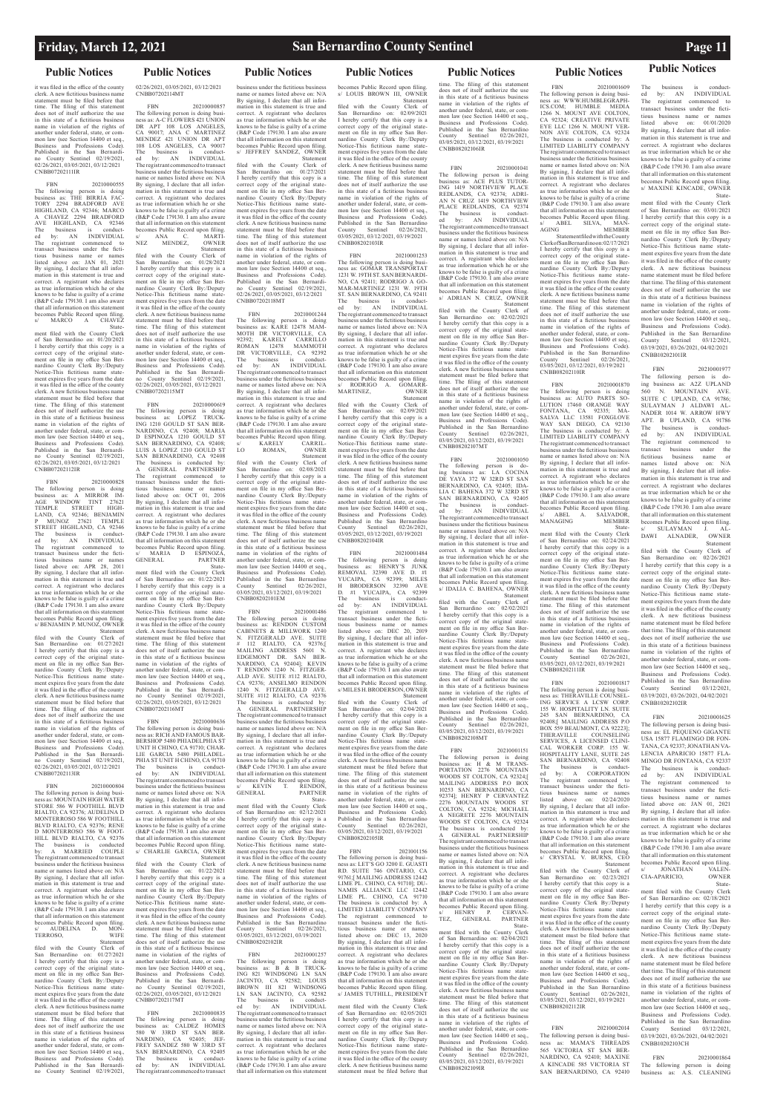The business

**Public Notices Public Notices Public Notices Public Notices Public Notices Public Notices Public Notices**

FBN 20210000555 The following person is doing business as: THE BIRRIA FAC-TORY 2294 BRADFORD AVE HIGHLAND, CA 92346; MARCO A CHAVEZ 2294 BRADFORD AVE HIGHLAND, CA 92346 The business is conduct-ed by: AN INDIVIDUAL The registrant commenced to transact business under the fictitious business name or names listed above on: JAN 01, 2021 By signing, I declare that all infor-mation in this statement is true and correct. A registrant who declares as true information which he or she knows to be false is guilty of a crime (B&P Code 179130. I am also aware that all information on this statement becomes Public Record upon filing. MARCO A CHAVEZ

it was filed in the office of the county clerk. A new fictitious business names statement must be filed before that time. The filing of this statement does not of itself authorize the use in this state of a fictitious business name in violation of the rights of<br>another under federal, state, or comanother under federal, state, or com-mon law (see Section 14400 et seq., Business and Professions Code). Published in the San Bernardino County Sentinel 02/19/2021, 02/26/2021, 03/05/2021, 03/12/2021 CNBB07202111IR

 State-ment filed with the County Clerk of San Bernardino on: 01/20/2021 I hereby certify that this copy is a correct copy of the original state-ment on file in my office San Ber-nardino County Clerk By:/Deputy Notice-This fictitious name statement expires five years from the date it was filed in the office of the county clerk. A new fictitious business name statement must be filed before that time. The filing of this statement does not of itself authorize the use in this state of a fictitious business name in violation of the rights of another under federal, state, or common law (see Section 14400 et seq., Business and Professions Code). Published in the San Bernardino County Sentinel 02/19/2021, 02/26/2021, 03/05/2021, 03/12/2021 CNBB07202112IR

FBN 20210000828 The following person is doing business as: A MIRROR IM-AGE WINDOW TINT 27621 TEMPLE STREET HIGH-LAND, CA 92346; BENJAMIN P MUNOZ 27621 TEMPLE STREET HIGHLAND, CA 92346 The business is conduct-ed by: AN INDIVIDUAL The registrant commenced to transact business under the fictitious business name or names listed above on: APR 28, 2011 By signing, I declare that all information in this statement is true and correct. A registrant who declares as true information which he or she knows to be false is guilty of a crime (B&P Code 179130. I am also aware that all information on this statement becomes Public Record upon filing. s/ BENJAMIN P. MUNOZ, OWNER

 Statement filed with the County Clerk of San Bernardino on: 01/27/2021 I hereby certify that this copy is a correct copy of the original state-ment on file in my office San Ber-nardino County Clerk By:/Deputy Notice-This fictitious name statement expires five years from the date it was filed in the office of the county clerk. A new fictitious business name statement must be filed before that time. The filing of this statement does not of itself authorize the use in this state of a fictitious business name in violation of the rights of another under federal, state, or common law (see Section 14400 et seq., Business and Professions Code). Published in the San Bernardino County Sentinel 02/19/2021, 02/26/2021, 03/05/2021, 03/12/2021 CNBB07202113IR

FBN 20210000804 The following person is doing busi-ness as: MOUNTAIN HIGH WATER STORE 586 W FOOTHILL BLVD RIALTO, CA 92376; AUDELINA D MONTERROSO 586 W FOOTHILL BLVD RIALTO, CA 92376; RENE D MONTERROSO 586 W FOOT-HILL BLVD RIALTO, CA 92376 The business is conducted<br>by: A MARRIED COUPLE by: A MARRIED COUPLE The registrant commenced to transact business under the fictitious business name or names listed above on: N/A

By signing, I declare that all infor-mation in this statement is true and correct. A registrant who declares as true information which he or she knows to be false is guilty of a crime (B&P Code 179130. I am also aware that all information on this statement becomes Public Record upon filing. s/ AUDELINA D. MON-TERROSO, WIFE

 Statement filed with the County Clerk of San Bernardino on: 01/27/2021 I hereby certify that this copy is a correct copy of the original state-ment on file in my office San Ber-nardino County Clerk By:/Deputy Notice-This fictitious name statement expires five years from the date it was filed in the office of the county clerk. A new fictitious business name statement must be filed before that time. The filing of this statement does not of itself authorize the use in this state of a fictitious business name in violation of the rights of another under federal, state, or common law (see Section 14400 et seq., Business and Professions Code). Published in the San Bernardi no County Sentinel 02/19/2021,

name or names listed above on: N/A By signing, I declare that all infor-mation in this statement is true and correct. A registrant who declares as true information which he or she knows to be false is guilty of a crime (B&P Code 179130. I am also aware that all information on this statement becomes Public Record upon filing. s/ JEFFREY SANDEZ, OWNER

02/26/2021, 03/05/2021, 03/12/2021 CNBB07202114MT

FBN 20210000857 The following person is doing busi-ness as: A-C FLOWERS 421 UNION DR APT 108 LOS ANGELES, CA 90017; ANA C MARTINEZ MENDEZ 421 UNION DR APT 108 LOS ANGELES, CA 90017 The business is conduct-ed by: AN INDIVIDUAL The registrant commenced to transact business under the fictitious business name or names listed above on: N/A By signing, I declare that all information in this statement is true and correct. A registrant who declares as true information which he or she knows to be false is guilty of a crime (B&P Code 179130. I am also aware that all information on this statement becomes Public Record upon filing. s/ ANA C. MARTI-NEZ MENDEZ, OWNER Statement filed with the County Clerk of

> Statement filed with the County Clerk of San Bernardino on: 02/08/2021 I hereby certify that this copy is a correct copy of the original state-ment on file in my office San Ber-nardino County Clerk By:/Deputy Notice-This fictitious name statement expires five years from the date it was filed in the office of the county clerk. A new fictitious business namely statement must be filed before that time. The filing of this statement does not of itself authorize the use in this state of a fictitious business name in violation of the rights of another under federal, state, or common law (see Section 14400 et seq.

San Bernardino on: 01/28/2021 I hereby certify that this copy is a correct copy of the original state-ment on file in my office San Bernardino County Clerk By:/Deputy Notice-This fictitious name statement expires five years from the date it was filed in the office of the county clerk. A new fictitious business name statement must be filed before that time. The filing of this statement does not of itself authorize the use in this state of a fictitious business name in violation of the rights of another under federal, state, mon law (see Section 14400 et seq., Business and Professions Code). Published in the San Bernardino County Sentinel 02/19/2021, 02/26/2021, 03/05/2021, 03/12/2021 CNBB07202115MT

> FBN<br>The following person is doing<br>business as: RENDON CUSTOM<br>CABINETS & MILLWORK 1240<br>N. FITZGERALD AVE. SUITE<br># 112 RIALTO, CA 92376;[ MAILING ADDRESS 5601 N.<br>EDGEMONT DR. SAN BER-<br>NARDINO, CA 92404]; KEVIN<br>T RENDON 1240 N. FITZGER-<br>ALD AVE. SUITE #112 RIALTO,<br>CA 92376; ANSELMO RENDON<br>1240 N. FITZGERALLD AVE. SUITE #112 RIALTO, CA 92376

The business is conducted by: A GENERAL PARTNERSHIP The registrant commenced to transact business under the fictitious business name or names listed above on: N/A By signing, I declare that all information in this statement is true and correct. A registrant who declares as true information which he or she knows to be false is guilty of a crime<br>
(B&P Code 179130. I am also aware<br>
becomes Public Record upon filing.<br>
s/ KEVIN T. RENDON,<br>
GENERAL PARTNER<br>
GENERAL

FBN 20210000619 The following person is doing business as: LOPEZ TRUCK-ING 1210 GOULD ST SAN BER-NARDINO, CA 92408; MARIA D ESPINOZA 1210 GOULD ST SAN BERNARDINO, CA 924 LUIS A LOPEZ 1210 GOULD ST SAN BERNARDINO, CA 92408 The business is conducted by: A GENERAL PARTNERSHIP A GENERAL INVESTIGATION The registrant commenced to transact business under the fictitious business name or names listed above on: OCT 01, 2016 By signing, I declare that all information in this statement is true and correct. A registrant who declares as true information which he or she knows to be false is guilty of a crime (B&P Code 179130. I am also aware that all information on this statement becomes Public Record upon filing. s/ MARIA D ESPINOZA, GENERAL PARTNER becomes Public Record upon filing. s/ LOUIS BROWN III, OWNER<br>Statement

 State-ment filed with the County Clerk of San Bernardino on: 01/22/2021 I hereby certify that this copy is a correct copy of the original state-ment on file in my office San Ber-nardino County Clerk By:/Deputy Notice-This fictitious name statement expires five years from the date it was filed in the office of the county clerk. A new fictitious business namely statement must be filed before that time. The filing of this statement does not of itself authorize the use in this state of a fictitious business name in violation of the rights of another under federal, state, or common law (see Section 14400 et seq.<br>Business and Professions Code) Business and Professions Code). Published in the San Bernardi-no County Sentinel 02/19/2021, 02/26/2021, 03/05/2021, 03/12/2021 CNBB07202116MT

FBN 20210000636 The following person is doing business as: RICH AND FAMOUS BAR-BERSHOP 5480 PHIADELPHIA ST UNIT H CHINO, CA 91710; CHAR-LIE GARCIA 5480 PHILADEL-PHIA ST UNIT H CHINO, CA 91710 The business is conduct-ed by: AN INDIVIDUAL The registrant commenced to transact business under the fictitious business name or names listed above on: N/A By signing, I declare that all infor-mation in this statement is true and correct. A registrant who declares as true information which he or she knows to be false is guilty of a crime (B&P Code 179130. I am also aware that all information on this statement becomes Public Record upon filing. s/ CHARLIE GARCIA, OWNER

FBN 20210001484<br>The following person is doing<br>business as: HENRY'S JUNK<br>REMOVAL 32390 AVE D. #1<br>YUCAIPA, CA 92399; MILES<br>H BRODERSON 32390 AVE<br>D. #1 YUCAIPA, CA 92399 The business is conduct-ed by: AN INDIVIDUAL The registrant commenced to transact business under the fictitious business name or names listed above on: DEC 20, 2019 By signing, I declare that all information in this statement is true and correct. A registrant who declares as true information which he or she knows to be false is guilty of a crime (B&P Code 179130. I am also aware that all information on this statement hes Public Record upon filing s/ MILES H. BRODERSON, OWNER

FBN 20210000835 The following person is doing business as: CALDEZ HOMES 580 W 33RD ST SAN BER-NARDINO, CA 92405; JEF-FREY SANDEZ 580 W 33RD ST SAN BERNARDINO, CA 92405 The business is conduct-ed by: AN INDIVIDUAL The registrant commenced to transact

# business under the fictitious business

 Statement filed with the County Clerk of San Bernardino on: 01/27/2021 I hereby certify that this copy is a correct copy of the original state-ment on file in my office San Ber-nardino County Clerk By:/Deputy Notice-This fictitious name statement expires five years from the date it was filed in the office of the county clerk. A new fictitious business name statement must be filed before that time. The filing of this statement does not of itself authorize the use in this state of a fictitious business name in violation of the rights of another under federal, state, or common law (see Section 14400 et seq., Business and Professions Code). Published in the San Bernardino County Sentinel 02/19/2021, 02/26/2021, 03/05/2021, 03/12/2021

> FBN 20210001050 The following person is do-ing business as: LA COCINA DE YAYA 372 W 32RD ST SAN BERNARDINO, CA 92405; IDA-LIA C BAHENA 372 W 32RD ST SAN BERNARDINO, CA 92405 The business is conduct-ed by: AN INDIVIDUAL The registrant commenced to transact business under the fictitious business name or names listed above on: N/A By signing, I declare that all information in this statement is true and correct. A registrant who declares as true information which he or she knows to be false is guilty of a crime (B&P Code 179130. I am also aware that all information on this statement becomes Public Record upon filing. s/ IDALIA C. BAHENA, OWNER **Statement**

 Statement filed with the County Clerk of San Bernardino on: 01/22/2021 I hereby certify that this copy is a correct copy of the original state-ment on file in my office San Ber-nardino County Clerk By:/Deputy Notice-This fictitious name statement expires five years from the date it was filed in the office of the county clerk. A new fictitious business name statement must be filed before that time. The filing of this statement does not of itself authorize the use in this state of a fictitious business name in violation of the rights of<br>another under federal, state, or comanother under federal, state, or com-mon law (see Section 14400 et seq., Business and Professions Code). Published in the San Bernardino County Sentinel 02/19/2021, 02/26/2021, 03/05/2021, 03/12/2021 CNBB07202117MT clerk. A new fictitious business name

CNBB07202118MT FBN 20210001244 The following person is doing business as: KARE 12478 MAM-MOTH DR VICTORVILLE, CA 92392; KARELY CARRILLO ROMAN 12478 MAMMOTH DR VICTORVILLE, CA 92392 The business is conduct-ed by: AN INDIVIDUAL The registrant commenced to transact business under the fictitious business name or names listed above on: N/A By signing, I declare that all information in this statement is true and correct. A registrant who declares as true information which he or she knows to be false is guilty of a crime (B&P Code 179130. I am also aware that all information on this statement becomes Public Record upon filing. s/ KARELY CARRIL-LO ROMAN, OWNER

Business and Professions Code). Published in the San Bernardino County Sentinel 02/26/2021, 03/05/2021, 03/12/2021, 03/19/2021 CNBB08202101EM

 State-ment filed with the County Clerk of San Bernardino on: 02/12/2021 I hereby certify that this copy is a correct copy of the original state-ment on file in my office San Ber-nardino County Clerk By:/Deputy Notice-This fictitious name statement expires five years from the date it was filed in the office of the county

statement must be filed before that time. The filing of this statement does not of itself authorize the use in this state of a fictitious business name in violation of the rights of another under federal, state, or comanother under redevial, 2000, 2011, 2016 Business and Professions Code). Published in the San Bernardino County Sentinel 02/26/2021, 03/05/2021, 03/12/2021, 03/19/2021 CNBB08202102IR

FBN 20210001257 The following person is doing business as: B & B TRUCK-ING 821 WINDSONG LN SAN JACINTO, CA 92582; LOUIS BROWN III 821 WINDSONG LN SAN JACINTO, CA 92582 The business is conduct-ed by: AN INDIVIDUAL The registrant commenced to transact business under the fictitious business name or names listed above on: N/A By signing, I declare that all information in this statement is true and correct. A registrant who declares as true information which he or she knows to be false is guilty of a crime (B&P Code 179130. I am also aware that all information on this statement

 Statement filed with the County Clerk of San Bernardino on: 02/09/2021 I hereby certify that this copy is a correct copy of the original state-ment on file in my office San Ber-nardino County Clerk By:/Deputy Notice-This fictitious name statement expires five years from the date it was filed in the office of the county clerk. A new fictitious business name statement must be filed before that time. The filing of this statement does not of itself authorize the use in this state of a fictitious business name in violation of the rights of another under federal, state, or common law (see Section 14400 et seq. Business and Professions Code). Published in the San Bernardino County Sentinel 02/26/2021, 03/05/2021, 03/12/2021, 03/19/2021 CNBB08202103IR

ed by: AN INDIVIDUAL<br>The registrant commenced to registrant commenced to transact business under the fictitious business name or names listed above on: 01/01/2020 By signing, I declare that all information in this statement is true and correct. A registrant who declares as true information which he or she knows to be false is guilty of a crime (B&P Code 179130. I am also aware that all information on this statement becomes Public Record upon filing. s/ MAXINE KINCADE, OWNER State-ment filed with the County Clerk of San Bernardino on: 03/01/2021 I hereby certify that this copy is a correct copy of the original statement on file in my office San Bernardino County Clerk By:/Deputy Notice-This fictitious name statement expires five years from the date it was filed in the office of the county clerk. A new fictitious business name statement must be filed before that time. The filing of this statement does not of itself authorize the use in this state of a fictitious business name in violation of the rights of another under federal, state, or common law (see Section 14400 et seq., Business and Professions Code). Published in the San Bernardino County Sentinel 03/12/2021, 03/19/2021, 03/26/2021, 04/02/2021

FBN 20210001253 The following person is doing busi-ness as: GOMAR TRANSPORTAT 1231 W. 19TH ST. SAN BERNARDI-NO, CA 92411; RODRIGO A GO-MAR-MARTINEZ 1231 W. 19TH ST. SAN BERNARDINO, CA 92411 The business is conduct-ed by: AN INDIVIDUAL The registrant commenced to transact business under the fictitious business name or names listed above on: N/A By signing, I declare that all information in this statement is true and correct. A registrant who declares as true information which he or she knows to be false is guilty of a crime (B&P Code 179130. I am also aware that all information on this statement becomes Public Record upon filing. s/ RODRIGO A. GOMARR-MARTINEZ, OWNER

> as true information which he or she becomes Public Record upon filing. s/ JONATHAN VALEN-CIA-APARICIO, OWNER State

 Statement filed with the County Clerk of San Bernardino on: 02/09/2021 San Bernardino on: 02/09/2021<br>I hereby certify that this copy is a correct copy of the original state-ment on file in my office San Ber-nardino County Clerk By:/Deputy Notice-This fictitious name state-ment expires five years from the date it was filed in the office of the county clerk. A new fictitious business name statement must be filed before that time. The filing of this statement does not of itself authorize the use<br>in this state of a fictitious business in this state of a fictitious business name in violation of the rights of another under federal, state, or common law (see Section 14400 et seq., Business and Professions Code). Published in the San Bernardino County Sentinel 02/26/2021, 03/05/2021, 03/12/2021, 03/19/2021 CNBB08202104IR

> FBN 20210001864 The following person is doing business as: A.S. CLEANING

 Statement filed with the County Clerk of San Bernardino on: 02/04/2021 I hereby certify that this copy is a correct copy of the original state-ment on file in my office San Bernardino County Clerk By:/Deputy Notice-This fictitious name state-ment expires five years from the date it was filed in the office of the county clerk. A new fictitious business nam statement must be filed before that time. The filing of this statement does not of itself authorize the use in this state of a fictitious business name in violation of the rights of another under federal, state, or com-mon law (see Section 14400 et seq., Business and Professions Code). Published in the San Bernardino<br>County Sentinel 02/26/2021 County Sentinel 02/26/2021, 03/05/2021, 03/12/2021, 03/19/2021 CNBB08202105IR

FBN 2021001156 The following person is doing business as: LET'S GO 3200 E. GUASTI RD. SUITE 746 ONTARIO, CA 91761;[ MAILING ADDRESS 12442 LIME PL. CHINO, CA 91710]; DU-NAMIS ALLIANCE LLC 12442 LIME PL. CHINO, CA 91710 The business is conducted by: A LIMITED LIABILITY COMPANY The registrant commenced to transact business under the fictitious business name or names listed above on: DEC 13, 2020 By signing, I declare that all information in this statement is true and correct. A registrant who declares as true information which he or she knows to be false is guilty of a crime (B&P Code 179130. I am also aware that all information on this statement becomes Public Record upon filing. s/ JAMES TUTHILL, PRESIDENT State-ment filed with the County Clerk of San Bernardino on: 02/05/2021 I hereby certify that this copy is a correct copy of the original state-ment on file in my office San Bernardino County Clerk By:/Deputy Notice-This fictitious name state-ment expires five years from the date it was filed in the office of the county clerk. A new fictitious business nam statement must be filed before that

time. The filing of this statement does not of itself authorize the use in this state of a fictitious business name in violation of the rights of another under federal, state, or common law (see Section 14400 et seq., Business and Professions Code). Published in the San Bernardino<br>County Sentinel 02/26/2021 County Sentinel 02/26/2021, 03/05/2021, 03/12/2021, 03/19/2021 CNBB08202106IR

FBN 20210001041 The following person is doing business as: ACE PLUS TUTOR-ING 1419 NORTHVIEW PLACE REDLANDS, CA 92374; ADRI-AN N CRUZ 1419 NORTHVIEW PLACE REDLANDS, CA 92374 The business is conducted<br>
ed by: AN INDIVIDUAL<br>
The registrant commenced to transact<br>
business under the fictitious business name or names listed above on: N/A By signing, I declare that all infor-mation in this statement is true and correct. A registrant who declares as true information which he or she knows to be false is guilty of a crime (B&P Code 179130. I am also aware that all information on this statement becomes Public Record upon filing. s/ ADRIAN N. CRUZ, OWNER

 Statement filed with the County Clerk of San Bernardino on: 02/02/2021 I hereby certify that this copy is a correct copy of the original state-ment on file in my office San Bernardino County Clerk By:/Deputy Notice-This fictitious name statement expires five years from the date it was filed in the office of the county clerk. A new fictitious business name statement must be filed before that time. The filing of this statement does not of itself authorize the use in this state of a fictitious business name in violation of the rights of another under federal, state, or common law (see Section 14400 et seq., Business and Professions Code). Published in the San Bernardino County Sentinel 02/26/2021, 03/05/2021, 03/12/2021, 03/19/2021 CNBB08202107MT

filed with the County Clerk of San Bernardino on: 02/02/2021 I hereby certify that this copy is a correct copy of the original state-ment on file in my office San Bernardino County Clerk By:/Deputy Notice-This fictitious name statement expires five years from the date it was filed in the office of the county clerk. A new fictitious business nan statement must be filed before that time. The filing of this statement does not of itself authorize the use in this state of a fictitious business name in violation of the rights of another under federal, state, or common law (see Section 14400 et seq. Business and Professions Code). Published in the San Bernardino County Sentinel 02/26/2021, 03/05/2021, 03/12/2021, 03/19/2021 CNBB08202108MT

FBN 20210001151 The following person is doing business as: H & M TRANS-PORTATION 2276 MOUNTAIN WOODS ST COLTON, CA 92324;[ MAILING ADDRESS P.O BOX 10253 SAN BERNARDINO, CA 92374]; HENRY P CERVANTEZ 2276 MOUNTAIN WOODS ST COLTON, CA 92324; MICHAEL A NEGRETE 2276 MOUNTAIN WOODS ST COLTON, CA 92324 The business is conducted by: A GENERAL PARTNERSHIP The registrant commenced to transact business under the fictitious business name or names listed above on: N/A By signing, I declare that all information in this statement is true and correct. A registrant who declares as true information which he or she knows to be false is guilty of a crime (B&P Code 179130. I am also aware that all information on this statement becomes Public Record upon filing.<br>s/ HENRY P. CERVANs/ HENRY P. CERVAN-TEZ, GENERAL PARTNER State-ment filed with the County Clerk of San Bernardino on: 02/04/2021 I hereby certify that this copy is a correct copy of the original state-ment on file in my office San Ber-nardino County Clerk By:/Deputy Notice-This fictitious name statement expires five years from the date it was filed in the office of the county clerk. A new fictitious business name statement must be filed before that time. The filing of this statement does not of itself authorize the use in this state of a fictitious business name in violation of the rights of another under federal, state, or common law (see Section 14400 et seq., Business and Professions Code). Published in the San Bernardin County Sentinel 02/26/2021, 03/05/2021, 03/12/2021, 03/19/2021 CNBB08202109IR

FBN 20210001609 The following person is doing busi-ness as: WWW.HUMBLEGRAPH-ICS.COM; HUMBLE MEDIA 1266 N. MOUNT AVE COLTON, CA 92324; CREATIVE PRIVATE EYE LLC 1266 N. MOUNT VER-NON AVE COLTON, CA 92324 The business is conducted by: A LIMITED LIABILITY COMPANY The registrant commenced to transact business under the fictitious business name or names listed above on: N/A By signing, I declare that all information in this statement is true and correct. A registrant who declares as true information which he or she knows to be false is guilty of a crime (B&P Code 179130. I am also aware that all information on this statement becomes Public Record upon filing. s/ ABEL SILVA,<br>AGING MEMBER Statement filed with the County Clerk of San Bernardino on: 02/17/2021 I hereby certify that this copy is a

correct copy of the original state-ment on file in my office San Ber-nardino County Clerk By:/Deputy Notice-This fictitious name statement expires five years from the date it was filed in the office of the county clerk. A new fictitious business name statement must be filed before that time. The filing of this statement does not of itself authorize the use in this state of a fictitious business name in violation of the rights of another under federal, state, or common law (see Section 14400 et seq. Business and Professions Code). Published in the San Bernardino County Sentinel 02/26/2021, 03/05/2021, 03/12/2021, 03/19/2021 CNBB08202110IR

FBN 20210001870 The following person is doing business as: AUTO PARTS SO-LUTION 17460 ORANGE WAY FONTANA, CA 92335; MA-SALVA LLC 13581 FOXGLOVE WAY SAN DIEGO, CA 92130 The business is conducted by: A LIMITED LIABILITY COMPANY The registrant commenced to transact business under the fictitious business name or names listed above on: N/A By signing, I declare that all infor-mation in this statement is true and correct. A registrant who declares as true information which he or she knows to be false is guilty of a crime (B&P Code 179130. I am also aware that all information on this statement becomes Public Record upon filing. s/ ABEL A. SALVADOR, MANAGING MEMBER

 State-ment filed with the County Clerk of San Bernardino on: 02/24/2021 I hereby certify that this copy is a correct copy of the original state-ment on file in my office San Bernardino County Clerk By:/Deputy Notice-This fictitious name state-ment expires five years from the date it was filed in the office of the county clerk. A new fictitious business name statement must be filed before that time. The filing of this statement does not of itself authorize the use in this state of a fictitious business name in violation of the rights of another under federal, state, or com-mon law (see Section 14400 et seq., Business and Professions Code). Published in the San Bernardino<br>County Sentinel 02/26/2021 County Sentinel 02/26/2021, 03/05/2021, 03/12/2021, 03/19/2021 CNBB08202111IR

FBN 20210001817 The following person is doing busi-ness as: THERAVILLE COUNSEL-ING SERVICE A LCSW CORP. 155 W. HOSPITALITY LN. SUITE 245 SAN BERNARDINO, 92408;[ MAILING ADDRESS P.O BOX 559 BEAUMONT, CA 92223]; THERAVILLE COUNSELING SERVICES, A LICENSED CLINI-CAL WORKER CORP. 155 W. HOSPITALITY LANE, SUITE 245 SAN BERNARDINO, CA 92408<br>The business is conduct-The business is conduct-ed by: A CORPORATION The registrant commenced to transact business under the fictitious business name or names listed above on: 02/24/2020 By signing, I declare that all information in this statement is true and correct. A registrant who declares as true information which he or she knows to be false is guilty of a crime (B&P Code 179130. I am also aware that all information on this statement becomes Public Record upon filing. s/ CRYSTAL V. BURNS, CEO Statement filed with the County Clerk of San Bernardino on: 02/23/2021 I hereby certify that this copy is a correct copy of the original state-ment on file in my office San Bernardino County Clerk By:/Deputy Notice-This fictitious name state-ment expires five years from the date it was filed in the office of the county clerk. A new fictitious business name statement must be filed before that time. The filing of this statement does not of itself authorize the use in this state of a fictitious business name in violation of the rights of another under federal, state, or com-mon law (see Section 14400 et seq., Business and Professions Code). Published in the San Bernardino County Sentinel 02/26/2021, 03/05/2021, 03/12/2021, 03/19/2021 CNBB08202112IR

FBN 20210002014 The following person is doing business as: MAMA'S THREADS 565 VICTORIA ST SAN BER-NARDINO, CA 92410; MAXINE A KINCADE 585 VICTORIA ST SAN BERNARDINO, CA 92410 CNBB10202101IR

FBN 20210001977 The following person is do-ing business as: A2Z UPLAND 560 N. MOUNTAIN AVE. SUITE C UPLAND, CA 91786; SULAYMAN J ALDAWI AL-NADER 1014 W. ARROW HWY APT. B UPLAND, CA 91786 The business is conduct-ed by: AN INDIVIDUAL

The registrant commenced to transact business under the fictitious business name or names listed above on: By signing, I declare that all infor-mation in this statement is true and correct. A registrant who declares as true information which he or she knows to be false is guilty of a crime (B&P Code 179130. I am also aware that all information on this statement becomes Public Record upon filing. s/ SULAYMAN J. AL-DAWI ALNADER, OWNER Statement filed with the County Clerk of San Bernardino on: 02/26/2021 I hereby certify that this copy is a correct copy of the original statement on file in my office San Bernardino County Clerk By:/Deputy Notice-This fictitious name statement expires five years from the date it was filed in the office of the county clerk. A new fictitious business name statement must be filed before

that time. The filing of this statement does not of itself authorize the use in this state of a fictitious business name in violation of the rights of another under federal, state, or common law (see Section 14400 et seq., Business and Professions Code). Published in the San Bernardino County Sentinel 03/12/2021, 03/19/2021, 03/26/2021, 04/02/2021 CNBB10202102IR

FBN 20210001625 The following person is doing business as: EL PEQUENO GIGANTE USA 15877 FLAMINGO DR FON-TANA, CA 92337; JONATHAN VA-LENCIA APARICIO 15877 FLA-MINGO DR FONTANA, CA 92337 The business is conduct-ed by: AN INDIVIDUAL The registrant commenced transact business under the fictitious business name or names listed above on: JAN 01, 2021 By signing, I declare that all information in this statement is true and correct. A registrant who declares knows to be false is guilty of a crime (B&P Code 179130. I am also aware that all information on this statement ment filed with the County Clerk of San Bernardino on: 02/18/2021 I hereby certify that this copy is a correct copy of the original statement on file in my office San Bernardino County Clerk By:/Deputy Notice-This fictitious name statement expires five years from the date it was filed in the office of the county clerk. A new fictitious business name statement must be filed before that time. The filing of this statement does not of itself authorize the use in this state of a fictitious business name in violation of the rights of another under federal, state, or common law (see Section 14400 et seq. Business and Professions Code). Published in the San Bernardino<br>County Sentinel 03/12/2021. County Sentinel 03/12/2021, 03/19/2021, 03/26/2021, 04/02/2021 CNBB10202103CH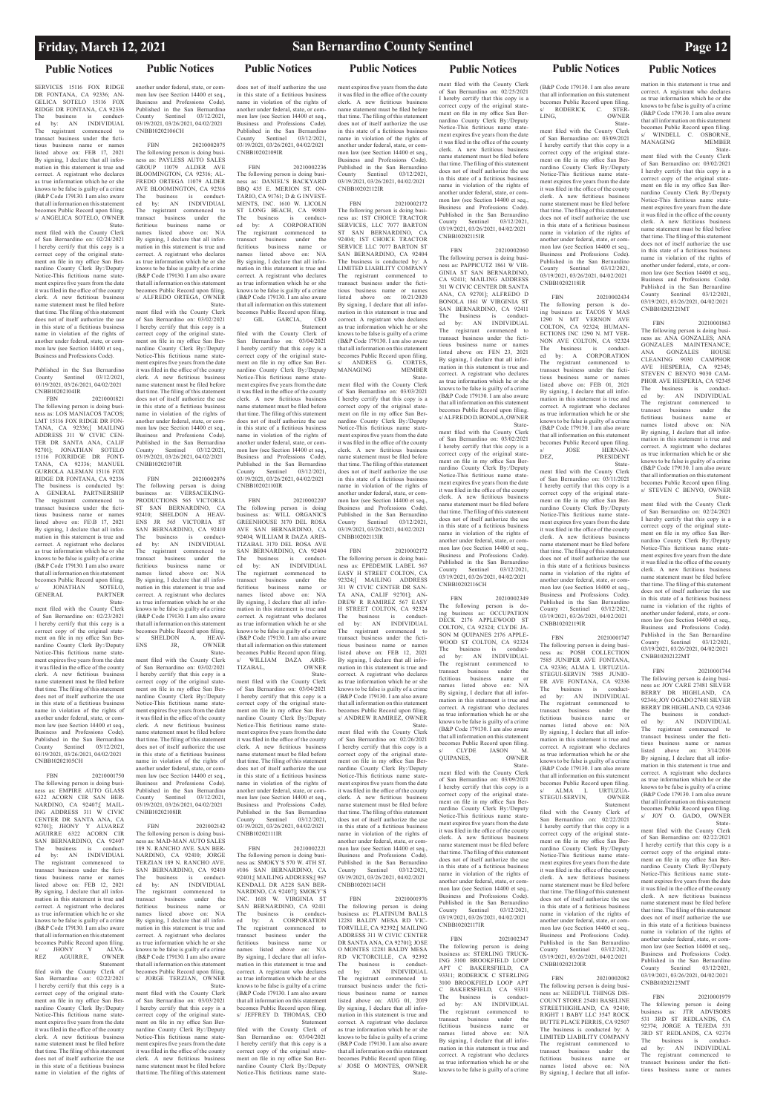SERVICES 15116 FOX RIDGE DR FONTANA, CA 92336; AN-GELICA SOTELO 15116 FOX RIDGE DR FONTANA, CA 92336 The business is conduct-ed by: AN INDIVIDUAL The registrant commenced to transact business under the fictitious business name or names listed above on: FEB 17, 2021 By signing, I declare that all information in this statement is true and correct. A registrant who declares as true information which he or she knows to be false is guilty of a crime (B&P Code 179130. I am also aware that all information on this statement becomes Public Record upon filing. s/ ANGELICA SOTELO, OWNER

Published in the San Bernardino<br>County Sentinel 03/12/2021. County Sentinel 03/19/2021, 03/26/2021, 04/02/2021 CNBB10202104IR

 State-ment filed with the County Clerk of San Bernardino on: 02/24/2021 I hereby certify that this copy is a correct copy of the original statement on file in my office San Bernardino County Clerk By:/Deputy Notice-This fictitious name statement expires five years from the date it was filed in the office of the county clerk. A new fictitious business name statement must be filed before that time. The filing of this statement does not of itself authorize the use in this state of a fictitious business name in violation of the rights of another under federal, state, or common law (see Section 14400 et seq., Business and Professions Code).

FBN 20210001821 The following person is doing business as: LOS MANIACOS TACOS<sup>,</sup> LMT 15116 FOX RIDGE DR FON-TANA, CA 92336;[ MAILING ADDRESS 311 W CIVIC CEN-TER DR SANTA ANA, CALIF 92701]; JONATHAN SOTELO 15116 FOXRIDGE DR FONT-TANA, CA 92336; MANUEL GURROLA ALEMAN 15116 FOX RIDGE DR FONTANA, CA 92336 The business is conducted by: A GENERAL PARTNERSHIP The registrant commenced to transact business under the fictitious business name or names listed above on: FE\B 17, 2021 By signing, I declare that all information in this statement is true and correct. A registrant who declares as true information which he or she knows to be false is guilty of a crime (B&P Code 179130. I am also aware that all information on this statement becomes Public Record upon filing.<br>s/ JONATHAN SOTELO. es ruone .<br>JONATHAN GENERAL PARTNER

 State-ment filed with the County Clerk of San Bernardino on: 02/23/2021 I hereby certify that this copy is a correct copy of the original statement on file in my office San Bernardino County Clerk By:/Deputy Notice-This fictitious name statement expires five years from the date it was filed in the office of the county clerk. A new fictitious business name statement must be filed before that time. The filing of this statement does not of itself authorize the use in this state of a fictitious business name in violation of the rights of another under federal, state, or common law (see Section 14400 et seq., Business and Professions Code). Published in the San Bernardino County Sentinel 03/12/2021, 03/19/2021, 03/26/2021, 04/02/2021 CNBB10202105CH

FBN 20210001750 The following person is doing business as: EMPIRE AUTO GLASS 6322 ACORN CIR SAN BER-NARDINO, CA 92407;[ MAIL-ING ADDRESS 311 W CIVIC CENTER DR SANTA ANA, CA 92701]; JHONY Y ALVAREZ AGUIRRE 6322 ACORN CIR SAN BERNARDINO, CA 92407 The business is conduct-ed by: AN INDIVIDUAL The registrant commenced to transact business under the fictitious business name or names listed above on: FEB 12, 2021 By signing, I declare that all information in this statement is true and correct. A registrant who declares as true information which he or she knows to be false is guilty of a crime (B&P Code 179130. I am also aware that all information on this statement becomes Public Record upon filing. s/ JHONY Y ALVA-REZ AGUIRRE, OWNER Statement filed with the County Clerk of San Bernardino on: 02/22/2021 I hereby certify that this copy is a correct copy of the original statement on file in my office San Bernardino County Clerk By:/Deputy Notice-This fictitious name statement expires five years from the date it was filed in the office of the county clerk. A new fictitious business name statement must be filed before that time. The filing of this statement does not of itself authorize the use in this state of a fictitious business name in violation of the rights of

another under federal, state, or common law (see Section 14400 et seq., Business and Professions Code). Published in the San Bernardino County Sentinel 03/12/2021, 03/19/2021, 03/26/2021, 04/02/2021

CNBB10202106CH

FBN 20210002075 The following person is doing busi-ness as: PAYLESS AUTO SALES GROUP 11079 ALDER AVE BLOOMINGTON, CA 92316; AL-FREDO ORTEGA 11079 ALDER AVE BLOOMINGTON, CA 92316 The business is conduct-ed by: AN INDIVIDUAL The registrant commenced to transact business under the fictitious business name or names listed above on: N/A By signing, I declare that all information in this statement is true and correct. A registrant who declares as true information which he or she knows to be false is guilty of a crime (B&P Code 179130. I am also aware that all information on this statement becomes Public Record upon filing. s/ ALFREDO ORTEGA, OWNER

> **Statement** filed with the County Clerk of San Bernardino on: 03/04/2021 I hereby certify that this copy is a correct copy of the original statement on file in my office San Bernardino County Clerk By:/Deputy Notice-This fictitious name statement expires five years from the date it was filed in the office of the county clerk. A new fictitious business name statement must be filed before that time. The filing of this statement does not of itself authorize the use in this state of a fictitious business name in violation of the rights of another under federal, state, or common law (see Section 14400 et seq., Business and Professions Code). Published in the San Bernardino County Sentinel 03/12/2021, 03/19/2021, 03/26/2021, 04/02/2021 CNBB10202110IR

> FBN 20210002207 The following person is doing business as: WILL ORGANICS GREENHOUSE 3170 DEL ROSA AVE SAN BERNARDINO, CA 92404; WILLIAM R DAZA ARIS-TIZABAL 3170 DEL ROSA AVE SAN BERNARDINO, CA 92404 The business is conduct-ed by: AN INDIVIDUAL The registrant commenced to transact business under the fictitious business name or names listed above on: N/A By signing, I declare that all information in this statement is true and correct. A registrant who declares as true information which he or she knows to be false is guilty of a crime (B&P Code 179130. I am also aware that all information on this statement becomes Public Record upon filing. s/ WILLIAM DAZA ARIS-TIZABAL, OWNER

 Statement filed with the County Clerk of San Bernardino on: 03/02/2021 I hereby certify that this copy is a correct copy of the original statement on file in my office San Bernardino County Clerk By:/Deputy Notice-This fictitious name statement expires five years from the date it was filed in the office of the county clerk. A new fictitious business name statement must be filed before that time. The filing of this statement does not of itself authorize the use in this state of a fictitious business name in violation of the rights of another under federal, state, or common law (see Section 14400 et seq. Business and Professions Code). Published in the San Bernardino County Sentinel 03/12/2021, 03/19/2021, 03/26/2021, 04/02/2021 CNBB10202107IR FBN 20210002076

> TIZABAL, OWNER<br>State- State-ment filed with the County Clerk of San Bernardino on: 03/04/2021 I hereby certify that this copy is a correct copy of the original statement on file in my office San Bernardino County Clerk By:/Deputy Notice-This fictitious name statement expires five years from the date it was filed in the office of the county clerk. A new fictitious business name statement must be filed before that time. The filing of this statement does not of itself authorize the use in this state of a fictitious business name in violation of the rights of another under federal, state, or common law (see Section 14400 et seq., Business and Professions Code). Published in the San Bernardino County Sentinel 03/12/2021, 03/19/2021, 03/26/2021, 04/02/2021

The following person is doing business as: VERSACEKINGbusiness as: VERSACEKING-<br>PRODUCTIONS 565 VICTORIA ST SAN BERNARDINO, CA 92410; SHELDON A HEAV-ENS JR 565 VICTORIA ST SAN BERNARDINO, CA 92410 The business is conduct-ed by: AN INDIVIDUAL The registrant commenced to transact business under the fictitious business name or names listed above on: N/A By signing, I declare that all information in this statement is true and correct. A registrant who declares as true information which he or she knows to be false is guilty of a crime (B&P Code 179130. I am also aware that all information on this statement becomes Public Record upon filing. s/ SHELDON A. HEAV-ENS JR, OWNER State-

County Sentinel 03/12/2021, 03/19/2021, 03/26/2021, 04/02/2021 CNBB10202112IR FBN 20210002172 The following person is doing busi-ness as: 1ST CHOICE TRACTOR SERVICES, LLC 7077 BARTON ST SAN BERNARDINO, CA 92404; 1ST CHOICE TRACTOR SERVICE LLC 7077 BARTON ST SAN BERNARDINO, CA 92404 The business is conducted by: A LIMITED LIABILITY COMPANY The registrant commenced to transact business under the fictitious business name or names listed above on: 10/21/2020 By signing, I declare that all information in this statement is true and correct. A registrant who declares as true information which he or she knows to be false is guilty of a crime (B&P Code 179130. I am also aware that all information on this statement becomes Public Record upon filing. ANDRES G. CORTES,<br>NAGING MEMBER MANAGING

ment filed with the County Clerk of San Bernardino on: 03/02/2021 I hereby certify that this copy is a correct copy of the original statement on file in my office San Bernardino County Clerk By:/Deputy Notice-This fictitious name statement expires five years from the date it was filed in the office of the county clerk. A new fictitious business name statement must be filed before that time. The filing of this statement does not of itself authorize the use in this state of a fictitious business name in violation of the rights of another under federal, state, or common law (see Section 14400 et seq. Business and Professions Code). Published in the San Bernardino County Sentinel 03/12/2021, 03/19/2021, 03/26/2021, 04/02/2021 CNBB10202108IR

> Sentinel 03/12/2021 03/19/2021, 03/26/2021, 04/02/2021 CNBB10202114CH

does not of itself authorize the use in this state of a fictitious business name in violation of the rights of another under federal, state, or common law (see Section 14400 et seq., Business and Professions Code). Published in the San Bernardino County Sentinel 03/12/2021, 03/19/2021, 03/26/2021, 04/02/2021 CNBB10202109IR

FBN 20210002236 The following person is doing business as: DANIEL'S BACKYARD BBQ 435 E. MERION ST. ON-TARIO, CA 91761; D & G INVEST-MENTS, INC. 1610 W. LICOLN ST LONG BEACH, CA 90810 The business is conduct-ed by: A CORPORATION The registrant commenced to transact business under the fictitious business name or names listed above on: N/A By signing, I declare that all information in this statement is true and correct. A registrant who declares as true information which he or she knows to be false is guilty of a crime (B&P Code 179130. I am also aware that all information on this statement becomes Public Record upon filing. s/ GIL GARCIA, CEO

FBN 2021002142 The following person is doing business as: MAD-MAN AUTO SALES 189 N. RANCHO AVE. SAN BER-NARDINO, CA 92410; JORGE TERZIAN 189 N. RANCHO AVE. SAN BERNARDINO, CA 92410 The business is conduct-ed by: AN INDIVIDUAL The registrant commenced to transact business under the fictitious business name or names listed above on: N/A By signing, I declare that all information in this statement is true and correct. A registrant who declares as true information which he or she knows to be false is guilty of a crime (B&P Code 179130. I am also aware that all information on this statement becomes Public Record upon filing. s/ JORGE TERZIAN, OWNER State-ment filed with the County Clerk of San Bernardino on: 03/03/2021 I hereby certify that this copy is a correct copy of the original statement on file in my office San Bernardino County Clerk By:/Deputy Notice-This fictitious name statement expires five years from the date it was filed in the office of the county clerk. A new fictitious business name statement must be filed before that time. The filing of this statement CNBB10202111IR correct copy of the original statement on file in my office San Bernardino County Clerk By:/Deputy Notice-This fictitious name state-

2021002347 The following person is doing business as: STERLING TRUCK-ING 3100 BROOKFIELD LOOP<br>APT C BAKERSFIELD, CA C BAKERSFIELD, 93311; RODERICK C STERLING 3100 BROOKFIELD LOOP APT C BAKERSFIELD, CA 93311 The business is conduct-ed by: AN INDIVIDUAL The registrant commenced to transact business under the<br>fictitious business name or business name names listed above on: N/A By signing, I declare that all information in this statement is true and correct. A registrant who declares as true information which he or she knows to be false is guilty of a crime

(B&P Code 179130. I am also aware that all information on this statement becomes Public Record upon filing. s/ RODERICK C. STER<br>LING, OWNER OWNER

The following person is doing business as: TACOS Y MAS 1290 N MT VERNON AVE COLTON, CA 92324; HUMAN-ECTIONS INC 1290 N. MT VER-NON AVE COLTON, CA 92324 The business is conduct-ed by: A CORPORATION The registrant commenced to transact business under the fictitious business name or names listed above on: FEB 01, 2021 By signing, I declare that all information in this statement is true and correct. A registrant who declares as true information which he or she knows to be false is guilty of a crime (B&P Code 179130. I am also aware that all information on this statement becomes Public Record upon filing. s/ JOSE HERNAN-<br>DEZ. PRESIDENT

### **PRESIDENT**  Statement filed with the County Clerk

FBN 20210002221 The following person is doing business as: SMOKY'S 570 W. 4TH ST.

#106 SAN BERNARDINO, CA 92401;[ MAILING ADDRESS;[ 967 KENDALL DR A228 SAN BER-NARDINO, CA 92407]; SMOKY'S INC. 1618 W. VIRGINIA ST SAN BERNARDINO, CA 92411 The business is conduct-ed by: A CORPORATION The registrant commenced to transact business under the fictitious business name or names listed above on: N/A By signing, I declare that all information in this statement is true and correct. A registrant who declares as true information which he or she knows to be false is guilty of a crime (B&P Code 179130. I am also aware that all information on this statement becomes Public Record upon filing. s/ JEFFREY D. THOMAS, CEO Statement filed with the County Clerk of San Bernardino on: 03/04/2021 I hereby certify that this copy is a ment expires five years from the date it was filed in the office of the county clerk. A new fictitious business name statement must be filed before that time. The filing of this statement does not of itself authorize the use in this state of a fictitious business name in violation of the rights of another under federal, state, or common law (see Section 14400 et seq.,

Business and Professions Code). Published in the San Bernardino

State-

ment filed with the County Clerk of San Bernardino on: 03/03/2021 I hereby certify that this copy is a correct copy of the original statement on file in my office San Bernardino County Clerk By:/Deputy Notice-This fictitious name statement expires five years from the date it was filed in the office of the county clerk. A new fictitious business name statement must be filed before that time. The filing of this statement does not of itself authorize the use in this state of a fictitious business name in violation of the rights of another under federal, state, or common law (see Section 14400 et seq. Business and Professions Code). Published in the San Bernardino County Sentinel 03/12/2021, 03/19/2021, 03/26/2021, 04/02/2021 CNBB10202113IR

FBN 20210002172 The following person is doing busi-ness as: EPEDEMIK LABEL 567 EASY H STREET COLTON, CA 92324;[ MAILING ADDRESS 311 W CIVIC CENTER DR SAN-TA ANA, CALIF 92701]; AN-DREW R RAMIREZ 567 EASY H STREET COLTON, CA 92324 The business is conduct-ed by: AN INDIVIDUAL The registrant commenced to transact business under the fictitious business name or names listed above on: FEB 12, 2021 By signing, I declare that all information in this statement is true and correct. A registrant who declares as true information which he or she knows to be false is guilty of a crime (B&P Code 179130. I am also aware that all information on this statement becomes Public Record upon filing. s/ ANDREW RAMIREZ, OWNER

State-

ment filed with the County Clerk of San Bernardino on: 02/26/2021 I hereby certify that this copy is a correct copy of the original statement on file in my office San Bernardino County Clerk By:/Deputy Notice-This fictitious name statement expires five years from the date it was filed in the office of the county clerk. A new fictitious business name statement must be filed before that time. The filing of this statement does not of itself authorize the use in this state of a fictitious business name in violation of the rights of another under federal, state, or common law (see Section 14400 et seq., Business and Professions Code). Published in the San Bernardino

FBN 20210001976 The following person is doing business as: PLATINUM BALLS 12281 BALDY MESA RD VIC-TORVILLE, CA 92392;[ MAILING ADDRESS 311 W CIVIC CENTER DR SANTA ANA, CA 92701]; JOSE O MONTES 12281 BALDY MESA RD VICTORCILLE, CA 92392 The business is conduct-ed by: AN INDIVIDUAL The registrant commenced to transact business under the fictitious business name or names listed above on: AUG 01, 2019 By signing, I declare that all information in this statement is true and correct. A registrant who declares as true information which he or she knows to be false is guilty of a crime (B&P Code 179130. I am also aware that all information on this statement becomes Public Record upon filing. s/ JOSE O MONTES, OWNER State-

## **Public Notices Public Notices Public Notices Public Notices Public Notices Public Notices Public Notices**

mation in this statement is true and correct. A registrant who declares as true information which he or she knows to be false is guilty of a crime (B&P Code 179130. I am also aware that all information on this statement becomes Public Record upon filing. WINDELL C. OSBORNE<br>ANAGING MEMBER MANAGING

ment filed with the County Clerk of San Bernardino on: 02/25/2021 I hereby certify that this copy is a correct copy of the original state-ment on file in my office San Bernardino County Clerk By:/Deputy Notice-This fictitious name statement expires five years from the date it was filed in the office of the county clerk. A new fictitious business name statement must be filed before that time. The filing of this statement does not of itself authorize the use in this state of a fictitious business name in violation of the rights of another under federal, state, or common law (see Section 14400 et seq., Business and Professions Code). Published in the San Bernardino County Sentinel 03/12/2021, 03/19/2021, 03/26/2021, 04/02/2021 CNBB10202115IR

### FBN 20210002060 The following person is doing busi-

ness as: PAPPICUTZ 1861 W VIR-GINIA ST SAN BERNARDINO, CA 92411; MAILING ADDRESS 311 W CIVIC CENTER DR SANTA ANA, CA 92701]; ALFREDO D BONOLA 1861 W VIRGINIA ST SAN BERNARDINO, CA 92411 The business is conduct-ed by: AN INDIVIDUAL The registrant commenced to transact business under the fictitious business name or names listed above on: FEN 23, 2021 By signing, I declare that all information in this statement is true and correct. A registrant who declares as true information which he or she knows to be false is guilty of a crime (B&P Code 179130. I am also aware that all information on this statement becomes Public Record upon filing. s/ ALFREDO D. BONOLA, OWNER

 State-ment filed with the County Clerk of San Bernardino on: 03/02/2021 I hereby certify that this copy is a correct copy of the original state-ment on file in my office San Bernardino County Clerk By:/Deputy Notice-This fictitious name statement expires five years from the date it was filed in the office of the county clerk. A new fictitious business name statement must be filed before that time. The filing of this statement does not of itself authorize the use in this state of a fictitious business name in violation of the rights of another under federal, state, or common law (see Section 14400 et seq., Business and Professions Code). Published in the San Bernardino County Sentinel 03/12/2021, 03/19/2021, 03/26/2021, 04/02/2021 CNBB10202116CH

FBN 20210002349 The following person is do-ing business as: OCCUPATION DECK 2176 APPLEWOOD ST COLTON, CA 92324; CLYDE JA-SON M QUIPANES 2176 APPLE-WOOD ST COLTON, CA 92324 The business is conduct-ed by: AN INDIVIDUAL The registrant commenced to transact business under the business name names listed above on: N/A By signing, I declare that all information in this statement is true and correct. A registrant who declares as true information which he or she knows to be false is guilty of a crime (B&P Code 179130. I am also aware that all information on this statement becomes Public Record upon filing. CLYDE JASON M.<br>MES. OWNER QUIPANES, OWNER

 State-ment filed with the County Clerk of San Bernardino on: 03/09/2021 I hereby certify that this copy is a correct copy of the original statement on file in my office San Bernardino County Clerk By:/Deputy Notice-This fictitious name statement expires five years from the date it was filed in the office of the county clerk. A new fictitious business name statement must be filed before that time. The filing of this statement does not of itself authorize the use in this state of a fictitious business name in violation of the rights of another under federal, state, or common law (see Section 14400 et seq., Business and Professions Code). Published in the San Bernardino<br>County Sentinel 03/12/2021, County Sentinel 03/12/2021, 03/19/2021, 03/26/2021, 04/02/2021 CNBB10202117IR

State-

ment filed with the County Clerk of San Bernardino on: 03/09/2021 I hereby certify that this copy is a correct copy of the original statement on file in my office San Bernardino County Clerk By:/Deputy Notice-This fictitious name statement expires five years from the date it was filed in the office of the county clerk. A new fictitious business name statement must be filed before that time. The filing of this statement does not of itself authorize the use in this state of a fictitious business name in violation of the rights of another under federal, state, or common law (see Section 14400 et seq. Business and Professions Code). Published in the San Bernardino County Sentinel 03/12/2021, 03/19/2021, 03/26/2021, 04/02/2021 CNBB10202118IR

### FBN 20210002434

of San Bernardino on: 03/11/2021 I hereby certify that this copy is a correct copy of the original statement on file in my office San Bernardino County Clerk By:/Deputy Notice-This fictitious name statement expires five years from the date it was filed in the office of the county clerk. A new fictitious business name statement must be filed before that time. The filing of this statement does not of itself authorize the use in this state of a fictitious business name in violation of the rights of another under federal, state, or common law (see Section 14400 et seq. Business and Professions Code). Published in the San Bernardino County Sentinel 03/12/2021, 03/19/2021, 03/26/2021, 04/02/2021 CNBB10202119IR

### FBN 20210001747 The following person is doing business as: POSH COLLECTION 7585 JUNIPER AVE FONTANA, CA 92336; ALMA L URTUZUA-STEGUI-SERVIN 7585 JUNIO-ER AVE FONTANA, CA 92336 The business is conduct-ed by: AN INDIVIDUAL The registrant commenced to

transact business under the fictitious business name or names listed above on: N/A By signing, I declare that all information in this statement is true and correct. A registrant who declares as true information which he or she knows to be false is guilty of a crime (B&P Code 179130. I am also aware that all information on this statement becomes Public Record upon filing. s/ ALMA L URTUZUA-STEGUI-SERVIN, OWNER Statement

filed with the County Clerk of San Bernardino on: 02/22/2021 I hereby certify that this copy is a correct copy of the original statement on file in my office San Bernardino County Clerk By:/Deputy Notice-This fictitious name statement expires five years from the date it was filed in the office of the county clerk. A new fictitious business name statement must be filed before that time. The filing of this statement does not of itself authorize the use in this state of a fictitious business name in violation of the rights of another under federal, state, or common law (see Section 14400 et seq., Business and Professions Code). Published in the San Bernardino<br>County Sentinel 03/12/2021. County Sentinel 03/12/2021, 03/19/2021, 03/26/2021, 04/02/2021 CNBB10202120IR

The following person is doing business as: NEEDFUL THINGS DIS-COUNT STORE 25481 BASELINE STREETHIGHLAND, CA 92410; RIGHT 1 BABY LLC 3547 ROCK BUTTE PLACE PERRIS, CA 92507 The business is conducted by: A LIMITED LIABILITY COMPANY The registrant commenced to transact business under the fictitious business name or names listed above on: N/A By signing, I declare that all infor-

 State-ment filed with the County Clerk of San Bernardino on: 03/02/2021 I hereby certify that this copy is a correct copy of the original statement on file in my office San Bernardino County Clerk By:/Deputy Notice-This fictitious name statement expires five years from the date it was filed in the office of the county clerk. A new fictitious business name statement must be filed before that time. The filing of this statement does not of itself authorize the use in this state of a fictitious business name in violation of the rights of another under federal, state, or common law (see Section 14400 et seq. Business and Professions Code). Published in the San Bernardino County Sentinel 03/12/2021, 03/19/2021, 03/26/2021, 04/02/2021 CNBB10202121MT

FBN 20210001863 The following person is doing business as: ANA GONZALES; ANA GONZALES MAINTENANCE; ANA GONZALES HOUSE CLEANING 9030 CAMPHOR AVE HESPERIA, CA 92345; STEVEN C BENYO 9030 CAM-PHOR AVE HESPERIA, CA 92345 The business is conduct-ed by: AN INDIVIDUAL The registrant commenced to transact business under the<br>fictitious business name or business name names listed above on: N/A By signing, I declare that all information in this statement is true and correct. A registrant who declares as true information which he or she knows to be false is guilty of a crime (B&P Code 179130. I am also aware that all information on this statement becomes Public Record upon filing. s/ STEVEN C BENYO, OWNER

FBN 20210002082 in this state of a fictitious business name in violation of the rights of another under federal, state, or common law (see Section 14400 et seq. Business and Professions Code). Published in the San Bernardino<br>County Sentinel 03/12/2021. County Sentinel 03/12/2021, 03/19/2021, 03/26/2021, 04/02/2021 CNBB10202123MT

 State-ment filed with the County Clerk of San Bernardino on: 02/24/2021 I hereby certify that this copy is a correct copy of the original statement on file in my office San Bernardino County Clerk By:/Deputy Notice-This fictitious name statement expires five years from the date it was filed in the office of the county clerk. A new fictitious business name statement must be filed before that time. The filing of this statement does not of itself authorize the use in this state of a fictitious business name in violation of the rights of another under federal, state, or common law (see Section 14400 et seq. Business and Professions Code). Published in the San Bernardino County Sentinel 03/12/2021, 03/19/2021, 03/26/2021, 04/02/2021 CNBB10202122MT

FBN 20210001744 The following person is doing business as: JOY CARE 27481 SILVER BERRY DR HIGHLAND, CA 92346; JOY O GADO 27481 SILVER BERRY DR HIGHLAND, CA 92346 The business is conduct-ed by: AN INDIVIDUAL The registrant commenced to transact business under the fictitious business name or names listed above on: 3/14/2016 By signing. I declare that all information in this statement is true and correct. A registrant who declares as true information which he or she knows to be false is guilty of a crime (B&P Code 179130. I am also aware that all information on this statement becomes Public Record upon filing. s/ JOY O. GADO, OWNER

 State-ment filed with the County Clerk of San Bernardino on: 02/22/2021 I hereby certify that this copy is a correct copy of the original statement on file in my office San Bernardino County Clerk By:/Deputy Notice-This fictitious name state-

ment expires five years from the date it was filed in the office of the county clerk. A new fictitious business name statement must be filed before that time. The filing of this statement does not of itself authorize the use

FBN 20210001979 The following person is doing business as: JTR ADVISORS 531 3RD ST REDLANDS, CA 92374; JORGE A TEJEDA 3RD ST REDLANDS, CA 92374 The business is conduct-ed by: AN INDIVIDUAL  $The$  registrant commenced transact business under the fictitious business name or names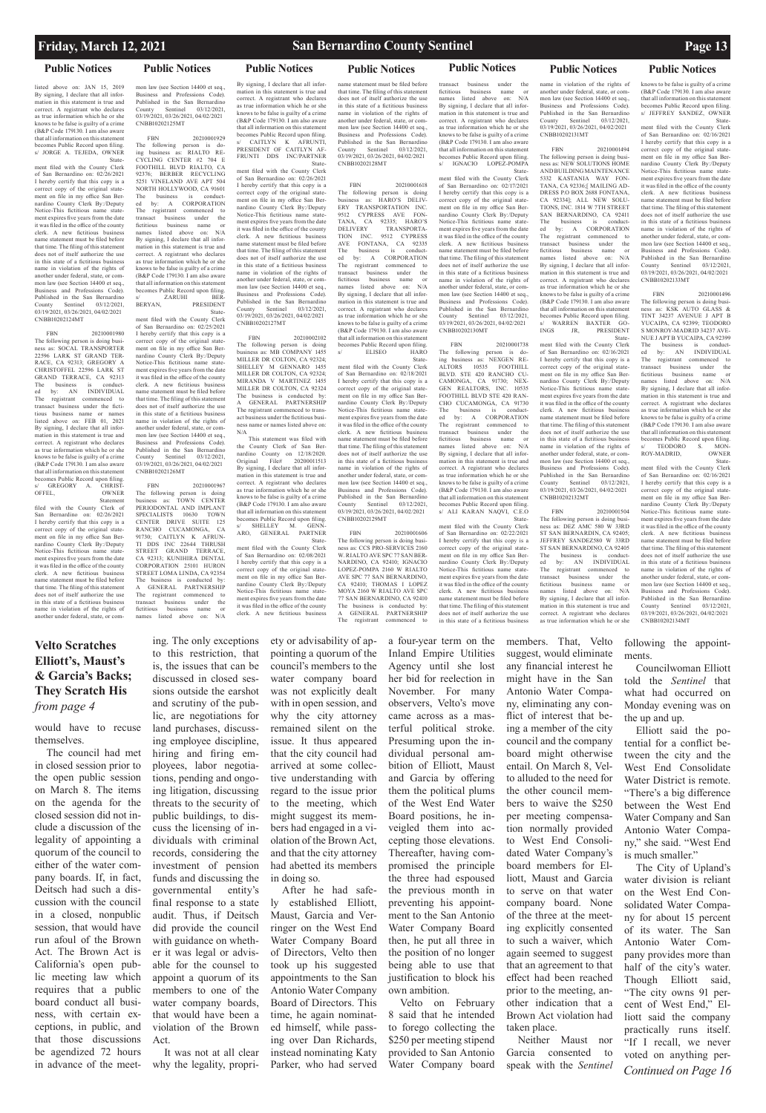listed above on: JAN 15, 2019 By signing, I declare that all information in this statement is true and correct. A registrant who declares as true information which he or she knows to be false is guilty of a crime (B&P Code 179130. I am also aware that all information on this statement becomes Public Record upon filing. s/ JORGE A. TEJEDA, OWNER State-

ment filed with the County Clerk of San Bernardino on: 02/26/2021 I hereby certify that this copy is a correct copy of the original statement on file in my office San Bernardino County Clerk By:/Deputy Notice-This fictitious name statement expires five years from the date it was filed in the office of the county clerk. A new fictitious business name statement must be filed before that time. The filing of this statement does not of itself authorize the use in this state of a fictitious business name in violation of the rights of another under federal, state, or common law (see Section 14400 et seq., Business and Professions Code). Published in the San Bernardino County Sentinel 03/12/2021, 03/19/2021, 03/26/2021, 04/02/2021 CNBB10202124MT

mon law (see Section 14400 et seq. Business and Professions Code). Published in the San Bernardino County Sentinel 03/12/2021, 03/19/2021, 03/26/2021, 04/02/2021 CNBB10202125MT

FBN 20210001929 The following person is doing business as: RIALTO RE-CYCLING CENTER #2 704 E FOOTHILL BLVD RIALTO, CA 92376; BERBER RECYCLING 5251 VINELAND AVE APT 504 NORTH HOLLYWOOD, CA 91601 The business is conducted by: A CORPORATION The registrant commenced to transact business under the fictitious business name or names listed above on: N/A By signing, I declare that all information in this statement is true and correct. A registrant who declares as true information which he or she knows to be false is guilty of a crime (B&P Code 179130. I am also aware that all information on this statement becomes Public Record upon filing.  $\begin{tabular}{ll} $\s/ & \quad \text{ZARUHI} & \quad \text{BER} \\ \text{BERYAN}, & \quad \text{PRESIDENI} \end{tabular}$ PRESIDENT

FBN 20210001980 The following person is doing business as: SOCAL TRANSPORTER 22596 LARK ST GRAND TER-RACE, CA 92313; GREGORY A CHRISTOFFEL 22596 LARK ST GRAND TERRACE, CA 92313 The business is conduct-ed by: AN INDIVIDUAL The registrant commenced to transact business under the fictitious business name or names listed above on: FEB 01, 2021 By signing, I declare that all information in this statement is true and correct. A registrant who declares as true information which he or she knows to be false is guilty of a crime (B&P Code 179130. I am also aware that all information on this statement becomes Public Record upon filing<br>s/ GREGORY A. CHRIST  $s$ / GREGORY A.<br>OFFEL, OWNER Statement

filed with the County Clerk of San Bernardino on: 02/26/2021 I hereby certify that this copy is a correct copy of the original statement on file in my office San Bernardino County Clerk By:/Deputy Notice-This fictitious name statement expires five years from the date it was filed in the office of the county clerk. A new fictitious business name statement must be filed before that time. The filing of this statement does not of itself authorize the use in this state of a fictitious business name in violation of the rights of another under federal, state, or com-

# **Public Notices Public Notices Public Notices Public Notices Public Notices Public Notices Public Notices**

 State-ment filed with the County Clerk of San Bernardino on: 02/25/2021 I hereby certify that this copy is a correct copy of the original statement on file in my office San Bernardino County Clerk By:/Deputy Notice-This fictitious name statement expires five years from the date it was filed in the office of the county clerk. A new fictitious business name statement must be filed before that time. The filing of this statement does not of itself authorize the use in this state of a fictitious business name in violation of the rights of another under federal, state, or common law (see Section 14400 et seq. Business and Professions Code). Published in the San Bernardino County Sentinel 03/12/2021, 03/19/2021, 03/26/2021, 04/02/2021 CNBB10202126MT

> FBN 20210001606 The following person is doing business as: CCS PRO-SERVICES 2160 W. RIALTO AVE SPC 77 SAN BER-NARDINO, CA 92410; IGNACIO LOPEZ-POMPA 2160 W RIALTO AVE SPC 77 SAN BERNARDINO, CA 92410; THOMAS I LOPEZ MOYA 2160 W RIALTO AVE SPC 77 SAN BERNARDINO, CA 92410 The business is conducted A GENERAL PARTNERSHIP<br>The registrant commenced to registrant commenced

FBN 20210001967 The following person is doing business as: TOWN CENTER PERIODONTAL AND IMPLANT SPECIALISTS 10630 TOWN CENTER DRIVE SUITE 125 RANCHO CUCAMONGA, CA 91730; CAITLYN K AFRUN-TI DDS INC 22644 THRUSH STREET GRAND TERRACE, CA 92313; KUNIHIRA DENTAL CORPORATION 25101 HURON STREET LOMA LINDA, CA 92354 The business is conducted by A GENERAL PARTNERSHIP The registrant commenced to transact business under the fictitious business name or names listed above on: N/A

transact business under the<br>fictitious business name or business name or<br>ted above on: N/A names listed above By signing, I declare that all infor-mation in this statement is true and correct. A registrant who declares as true information which he or she knows to be false is guilty of a crime (B&P Code 179130. I am also aware that all information on this statement becomes Public Record upon filing. s/ IGNACIO LOPEZ-POMPA

By signing, I declare that all information in this statement is true and correct. A registrant who declares as true information which he or she knows to be false is guilty of a crime (B&P Code 179130. I am also aware that all information on this statement becomes Public Record upon filing. s/ CAITLYN K AFRUNTI, PRESIDENT OF CAITLYN AF-FRUNTI DDS INC/PARTNER

 State-ment filed with the County Clerk of San Bernardino on: 02/26/2021 I hereby certify that this copy is a correct copy of the original state-ment on file in my office San Bernardino County Clerk By:/Deputy Notice-This fictitious name statement expires five years from the date it was filed in the office of the county clerk. A new fictitious business name statement must be filed before that time. The filing of this statement does not of itself authorize the use in this state of a fictitious business name in violation of the rights of another under federal, state, or common law (see Section 14400 et seq., Business and Professions Code). Published in the San Bernardino County Sentinel 03/12/2021, 03/19/2021, 03/26/2021, 04/02/2021 CNBB10202127MT

FBN 20210001494 The following person is doing business as: NEW SOLUTIONS HOME AND BUILDING MAINTENANCE 5332 KASTANIA WAY FON-TANA, CA 92336;[ MAILING AD-DRESS P.O BOX 2688 FONTANA, CA 92334]; ALL NEW SOLU-TIONS, INC. 1814 W 7TH STREET SAN BERNARDINO, CA 92411 The business is conduct-ed by: A CORPORATION The registrant commenced to<br>transact business under the transact business under the<br>fictitious business name or business name or<br>isted above on: N/A

names listed above on: By signing, I declare that all information in this statement is true and correct. A registrant who declares as true information which he or she knows to be false is guilty of a crime (B&P Code 179130. I am also aware that all information on this statement becomes Public Record upon filing. s/ WARREN BAXTER GO-<br>INGS JR, PRESIDENT

FBN 20210002102 The following person is doing business as: MB COMPANY 1455 MILLER DR COLTON, CA 92324; SHELLEY M GENNARO 1455 MILLER DR COLTON, CA 92324; MIRANDA V MARTINEZ 1455 MILLER DR COLTON, CA 92324 The business is conducted by: A GENERAL PARTNERSHIP The registrant commenced to transact business under the fictitious business name or names listed above on: N/A This statement was filed with

PRESIDENT State-

the County Clerk of San Bernardino County on 12/18/2020. Original File# 20200011513 By signing, I declare that all information in this statement is true and correct. A registrant who declares as true information which he or she knows to be false is guilty of a crime (B&P Code 179130. I am also aware that all information on this statement becomes Public Record upon filing. s/ SHELLEY M. GENN-ARO, GENERAL PARTNER State-ment filed with the County Clerk of San Bernardino on: 02/08/2021 I hereby certify that this copy is a

FBN 20210001504 The following person is doing business as: DEZ AMC 580 W 33RD ST SAN BERNARDIN, CA 92405; JEFFREY SANDEZ580 W 33RD ST SAN BERNARDINO, CA 92405<br>The business is conductbusiness is<br>by: AN IN

correct copy of the original state-ment on file in my office San Bernardino County Clerk By:/Deputy Notice-This fictitious name statement expires five years from the date it was filed in the office of the county clerk. A new fictitious business

name statement must be filed before that time. The filing of this statement does not of itself authorize the use in this state of a fictitious business name in violation of the rights of another under federal, state, or common law (see Section 14400 et seq., Business and Professions Code). Published in the San Bernardino County Sentinel 03/12/2021, 03/19/2021, 03/26/2021, 04/02/2021

CNBB10202128MT

FBN 20210001618 The following person is doing business as: HARO'S DELIV-ERY TRANSPORTATION INC.<br>9512 CYPRESS AVE FON-9512 CYPRESS AVE FON-TANA, CA 92335; HARO'S DELIVERY TRANSPORTA-<br>TION INC. 9512 CYPRESS TION INC. 9512 CYPRESS<br>AVE FONTANA, CA 92335 FONTANA, CA 92335 The business is conduct-ed by: A CORPORATION The registrant commenced to transact business under the fictitious business name or<br>names listed above on: N/A names listed above on: By signing, I declare that all information in this statement is true and correct. A registrant who declares as true information which he or she knows to be false is guilty of a crime (B&P Code 179130. I am also aware that all information on this statement becomes Public Record upon filing. s/ ELISEO HARO

State-

ment filed with the County Clerk of San Bernardino on: 02/18/2021 I hereby certify that this copy is a correct copy of the original statement on file in my office San Ber-nardino County Clerk By:/Deputy Notice-This fictitious name statement expires five years from the date it was filed in the office of the county clerk. A new fictitious business name statement must be filed before that time. The filing of this statement does not of itself authorize the use in this state of a fictitious business name in violation of the rights of another under federal, state, or common law (see Section 14400 et seq. Business and Professions Code). Published in the San Bernardino<br>County Sentinel 03/12/2021, County Sentinel 03/12/2021, 03/19/2021, 03/26/2021, 04/02/2021

CNBB10202129MT

 Statement filed with the County Clerk of San Bernardino on: 02/17/2021 I hereby certify that this copy is a correct copy of the original statement on file in my office San Bernardino County Clerk By:/Deputy Notice-This fictitious name statement expires five years from the date it was filed in the office of the county clerk. A new fictitious business name statement must be filed before that time. The filing of this statement does not of itself authorize the use in this state of a fictitious business name in violation of the rights of another under federal, state, or common law (see Section 14400 et seq. Business and Professions Code). Published in the San Bernardino<br>County Sentinel 03/12/2021 Sentinel 03/19/2021, 03/26/2021, 04/02/2021 CNBB10202130MT

FBN 20210001738 The following person is do-ing business as: NEXGEN RE-ALTORS 10535 FOOTHILL BLVD. STE 420 RANCHO CU-CAMONGA, CA 91730; NEX-<br>GEN REALTORS, INC. 10535 GEN REALTORS, INC. FOOTHILL BLVD STE 420 RAN-CHO CUCAMONGA, CA 91730<br>The business is conductbusiness is<br>by: A COR A CORPORATION The registrant commenced to transact business under the fictitious business name or<br>names listed above on: N/A names listed above By signing, I declare that all infor-mation in this statement is true and correct. A registrant who declares as true information which he or she knows to be false is guilty of a crime (B&P Code 179130. I am also aware that all information on this statement becomes Public Record upon filing. s/ ALI KARAN NAQVI, C.E.O State-

ment filed with the County Clerk of San Bernardino on: 02/22/2021 I hereby certify that this copy is a correct copy of the original statement on file in my office San Bernardino County Clerk By:/Deputy Notice-This fictitious name statement expires five years from the date it was filed in the office of the county clerk. A new fictitious business name statement must be filed before that time. The filing of this statement does not of itself authorize the use in this state of a fictitious business

name in violation of the rights of another under federal, state, or common law (see Section 14400 et seq., Business and Professions Code). Published in the San Bernardino County Sentinel 03/12/2021, 03/19/2021, 03/26/2021, 04/02/2021

CNBB10202131MT

ment filed with the County Clerk of San Bernardino on: 02/16/2021 I hereby certify that this copy is a correct copy of the original state-ment on file in my office San Bernardino County Clerk By:/Deputy Notice-This fictitious name statement expires five years from the date it was filed in the office of the county clerk. A new fictitious business name statement must be filed before that time. The filing of this statement does not of itself authorize the use in this state of a fictitious business name in violation of the rights of another under federal, state, or common law (see Section 14400 et seq., Business and Professions Code). Published in the San Bernardino<br>County Sentinel 03/12/2021. County Sentinel 03/12/2021, 03/19/2021, 03/26/2021, 04/02/2021

CNBB10202132MT

The registrant commenced to transact business under the fictitious business name or<br>names listed above on: N/A names listed above on: By signing, I declare that all infor-mation in this statement is true and correct. A registrant who declares as true information which he or she

INDIVIDUAL

knows to be false is guilty of a crime (B&P Code 179130. I am also aware that all information on this statement becomes Public Record upon filing. s/ JEFFREY SANDEZ, OWNER State-ment filed with the County Clerk

of San Bernardino on: 02/16/2021 I hereby certify that this copy is a correct copy of the original statement on file in my office San Bernardino County Clerk By:/Deputy Notice-This fictitious name statement expires five years from the date it was filed in the office of the county clerk. A new fictitious business name statement must be filed before that time. The filing of this statement does not of itself authorize the use in this state of a fictitious business name in violation of the rights of another under federal, state, or common law (see Section 14400 et seq., Business and Professions Code). Published in the San Bernardino County Sentinel 03/12/2021, 03/19/2021, 03/26/2021, 04/02/2021 CNBB10202133MT

FBN 20210001496 The following person is doing business as: KSK AUTO GLASS & TINT 34237 AVENUE J APT B YUCAIPA, CA 92399; TEODORO S MONROY-MADRID 34237 AVE-NUE J APT B YUCAIPA, CA 92399<br>The business is conduct $b$ usiness $\quad$ is ed by: AN INDIVIDUAL The registrant commenced transact business under the<br>fictitious business name or business name or names listed above on: N/A By signing, I declare that all information in this statement is true and correct. A registrant who declares as true information which he or she knows to be false is guilty of a crime (B&P Code 179130. I am also aware that all information on this statement becomes Public Record upon filing.<br>s/ TEODORO S. MON-TEODORO S. MON-<br>MADRID. OWNER ROY-MADRID, OWNER State-ment filed with the County Clerk

of San Bernardino on: 02/16/2021 I hereby certify that this copy is a correct copy of the original statement on file in my office San Bernardino County Clerk By:/Deputy Notice-This fictitious name statement expires five years from the date it was filed in the office of the county clerk. A new fictitious business name statement must be filed before that time. The filing of this statement does not of itself authorize the use in this state of a fictitious business name in violation of the rights of another under federal, state, or common law (see Section 14400 et seq. Business and Professions Code). Published in the San Bernardino<br>County Sentinel 03/12/2021, 03/12/2021 03/19/2021, 03/26/2021, 04/02/2021 CNBB10202134MT

would have to recuse themselves.

The council had met in closed session prior to the open public session on March 8. The items on the agenda for the closed session did not include a discussion of the legality of appointing a quorum of the council to either of the water company boards. If, in fact, Deitsch had such a discussion with the council in a closed, nonpublic session, that would have run afoul of the Brown Act. The Brown Act is California's open public meeting law which requires that a public board conduct all business, with certain exceptions, in public, and that those discussions be agendized 72 hours in advance of the meet-

ing. The only exceptions to this restriction, that is, the issues that can be discussed in closed sessions outside the earshot and scrutiny of the public, are negotiations for land purchases, discussing employee discipline, hiring and firing employees, labor negotiations, pending and ongoing litigation, discussing threats to the security of public buildings, to discuss the licensing of individuals with criminal records, considering the investment of pension funds and discussing the governmental entity's final response to a state audit. Thus, if Deitsch did provide the council with guidance on whether it was legal or advisable for the counsel to appoint a quorum of its members to one of the water company boards, that would have been a violation of the Brown Act. It was not at all clear why the legality, propri-

ety or advisability of appointing a quorum of the council's members to the water company board was not explicitly dealt with in open session, and why the city attorney remained silent on the issue. It thus appeared that the city council had arrived at some collective understanding with regard to the issue prior to the meeting, which might suggest its members had engaged in a violation of the Brown Act, and that the city attorney had abetted its members in doing so. After he had safely established Elliott, Maust, Garcia and Verringer on the West End Water Company Board of Directors, Velto then took up his suggested appointments to the San Antonio Water Company Board of Directors. This time, he again nominated himself, while passing over Dan Richards, instead nominating Katy Parker, who had served

a four-year term on the Inland Empire Utilities Agency until she lost her bid for reelection in November. For many observers, Velto's move came across as a masterful political stroke. Presuming upon the individual personal ambition of Elliott, Maust and Garcia by offering them the political plums of the West End Water Board positions, he inveigled them into accepting those elevations. Thereafter, having compromised the principle the three had espoused the previous month in preventing his appointment to the San Antonio Water Company Board then, he put all three in the position of no longer being able to use that justification to block his own ambition. Velto on February 8 said that he intended to forego collecting the \$250 per meeting stipend provided to San Antonio Water Company board

members. That, Velto suggest, would eliminate any financial interest he might have in the San Antonio Water Company, eliminating any conflict of interest that being a member of the city council and the company board might otherwise entail. On March 8, Velto alluded to the need for the other council members to waive the \$250 per meeting compensation normally provided to West End Consolidated Water Company's board members for Elliott, Maust and Garcia to serve on that water company board. None of the three at the meeting explicitly consented to such a waiver, which again seemed to suggest that an agreement to that effect had been reached prior to the meeting, another indication that a Brown Act violation had taken place. Neither Maust nor Garcia consented to speak with the *Sentinel* ments.

following the appoint-

Councilwoman Elliott told the *Sentinel* that what had occurred on Monday evening was on the up and up.

Elliott said the potential for a conflict between the city and the West End Consolidate Water District is remote. "There's a big difference between the West End Water Company and San Antonio Water Company," she said. "West End is much smaller."

The City of Upland's

water division is reliant on the West End Consolidated Water Company for about 15 percent of its water. The San Antonio Water Company provides more than half of the city's water. Though Elliott said, "The city owns 91 percent of West End," Elliott said the company practically runs itself. "If I recall, we never voted on anything per-*Continued on Page 16* 

## **Velto Scratches Elliott's, Maust's & Garcia's Backs; They Scratch His**  *from page 4*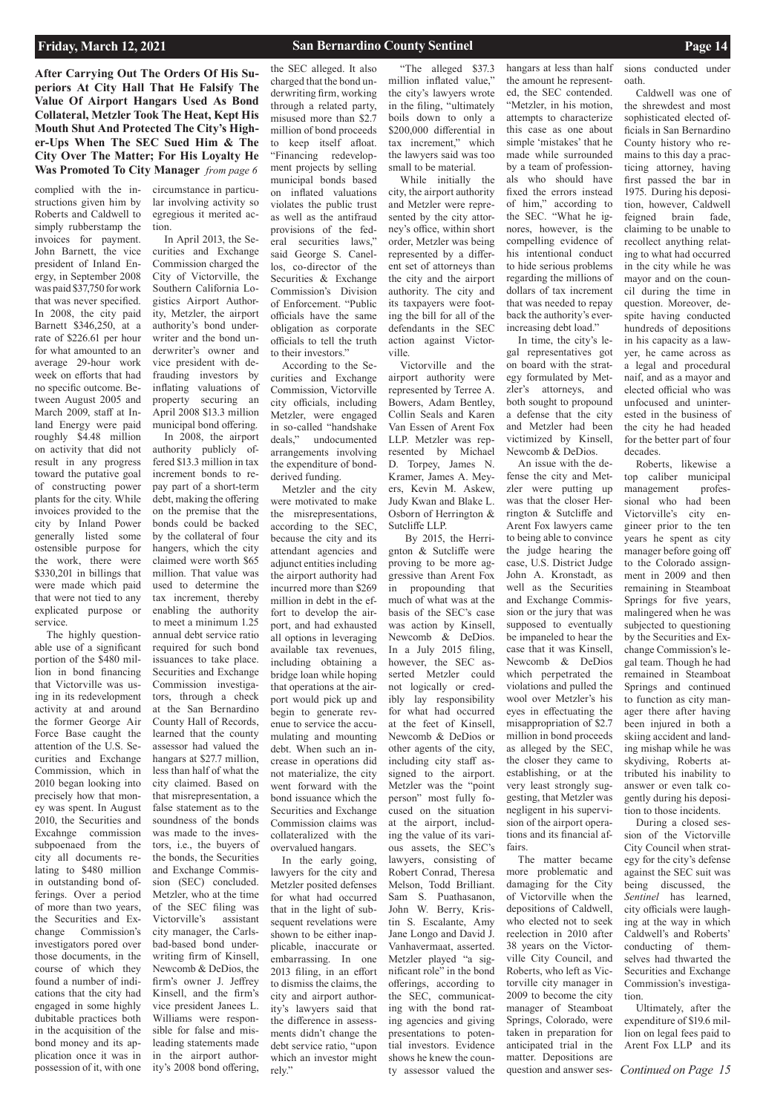complied with the instructions given him by Roberts and Caldwell to simply rubberstamp the invoices for payment. John Barnett, the vice president of Inland Energy, in September 2008 was paid \$37,750 for work that was never specified. In 2008, the city paid Barnett \$346,250, at a rate of \$226.61 per hour for what amounted to an average 29-hour work week on efforts that had no specific outcome. Between August 2005 and March 2009, staff at Inland Energy were paid roughly \$4.48 million on activity that did not result in any progress toward the putative goal of constructing power plants for the city. While invoices provided to the city by Inland Power generally listed some ostensible purpose for the work, there were \$330,201 in billings that were made which paid that were not tied to any explicated purpose or service.

The highly questionable use of a significant portion of the \$480 million in bond financing that Victorville was using in its redevelopment activity at and around the former George Air Force Base caught the attention of the U.S. Securities and Exchange Commission, which in 2010 began looking into precisely how that money was spent. In August 2010, the Securities and Excahnge commission subpoenaed from the city all documents relating to \$480 million in outstanding bond offerings. Over a period of more than two years, the Securities and Exchange Commission's investigators pored over those documents, in the course of which they found a number of indications that the city had engaged in some highly dubitable practices both in the acquisition of the bond money and its application once it was in possession of it, with one

circumstance in particular involving activity so egregious it merited action.

In April 2013, the Securities and Exchange Commission charged the City of Victorville, the Southern California Logistics Airport Authority, Metzler, the airport authority's bond underwriter and the bond underwriter's owner and vice president with defrauding investors by inflating valuations of property securing an April 2008 \$13.3 million municipal bond offering.

In 2008, the airport authority publicly offered \$13.3 million in tax increment bonds to repay part of a short-term debt, making the offering on the premise that the bonds could be backed by the collateral of four hangers, which the city claimed were worth \$65 million. That value was used to determine the tax increment, thereby enabling the authority to meet a minimum 1.25 annual debt service ratio required for such bond issuances to take place. Securities and Exchange Commission investigators, through a check at the San Bernardino County Hall of Records, learned that the county assessor had valued the hangars at \$27.7 million, less than half of what the city claimed. Based on that misrepresentation, a false statement as to the soundness of the bonds was made to the investors, i.e., the buyers of the bonds, the Securities and Exchange Commission (SEC) concluded. Metzler, who at the time of the SEC filing was Victorville's assistant city manager, the Carlsbad-based bond underwriting firm of Kinsell, Newcomb & DeDios, the firm's owner J. Jeffrey Kinsell, and the firm's vice president Janees L. Williams were responsible for false and misleading statements made in the airport authority's 2008 bond offering,

the SEC alleged. It also charged that the bond underwriting firm, working through a related party, misused more than \$2.7 million of bond proceeds to keep itself afloat. "Financing redevelopment projects by selling municipal bonds based on inflated valuations violates the public trust as well as the antifraud provisions of the federal securities laws," said George S. Canellos, co-director of the Securities & Exchange Commission's Division of Enforcement. "Public officials have the same obligation as corporate officials to tell the truth to their investors."

According to the Securities and Exchange Commission, Victorville city officials, including Metzler, were engaged in so-called "handshake deals," undocumented arrangements involving the expenditure of bondderived funding.

Metzler and the city were motivated to make the misrepresentations, according to the SEC, because the city and its attendant agencies and adjunct entities including the airport authority had incurred more than \$269 million in debt in the effort to develop the airport, and had exhausted all options in leveraging available tax revenues, including obtaining a bridge loan while hoping that operations at the airport would pick up and begin to generate revenue to service the accumulating and mounting debt. When such an increase in operations did not materialize, the city went forward with the bond issuance which the Securities and Exchange Commission claims was collateralized with the overvalued hangars.

In the early going,

lawyers for the city and Metzler posited defenses for what had occurred that in the light of subsequent revelations were shown to be either inapplicable, inaccurate or embarrassing. In one 2013 filing, in an effort to dismiss the claims, the city and airport authority's lawyers said that the difference in assessments didn't change the debt service ratio, "upon which an investor might rely."

"The alleged \$37.3 million inflated value," the city's lawyers wrote in the filing, "ultimately boils down to only a \$200,000 differential in tax increment," which the lawyers said was too small to be material.

While initially the city, the airport authority and Metzler were represented by the city attorney's office, within short order, Metzler was being represented by a different set of attorneys than the city and the airport authority. The city and its taxpayers were footing the bill for all of the defendants in the SEC action against Victorville.

Victorville and the airport authority were represented by Terree A. Bowers, Adam Bentley, Collin Seals and Karen Van Essen of Arent Fox LLP. Metzler was represented by Michael D. Torpey, James N. Kramer, James A. Meyers, Kevin M. Askew, Judy Kwan and Blake L. Osborn of Herrington & Sutcliffe LLP.

 By 2015, the Herrignton & Sutcliffe were proving to be more aggressive than Arent Fox in propounding that much of what was at the basis of the SEC's case was action by Kinsell, Newcomb & DeDios. In a July 2015 filing, however, the SEC asserted Metzler could not logically or credibly lay responsibility for what had occurred at the feet of Kinsell, Newcomb & DeDios or other agents of the city, including city staff assigned to the airport. Metzler was the "point person" most fully focused on the situation at the airport, including the value of its various assets, the SEC's lawyers, consisting of Robert Conrad, Theresa Melson, Todd Brilliant. Sam S. Puathasanon, John W. Berry, Kristin S. Escalante, Amy Jane Longo and David J. Vanhavermaat, asserted. Metzler played "a significant role" in the bond offerings, according to the SEC, communicating with the bond rating agencies and giving presentations to potential investors. Evidence shows he knew the county assessor valued the

hangars at less than half the amount he represented, the SEC contended. "Metzler, in his motion, attempts to characterize this case as one about simple 'mistakes' that he made while surrounded by a team of professionals who should have fixed the errors instead of him," according to the SEC. "What he ignores, however, is the compelling evidence of his intentional conduct to hide serious problems regarding the millions of dollars of tax increment that was needed to repay back the authority's everincreasing debt load."

In time, the city's legal representatives got on board with the strategy formulated by Metzler's attorneys, and both sought to propound a defense that the city and Metzler had been victimized by Kinsell, Newcomb & DeDios.

An issue with the defense the city and Metzler were putting up was that the closer Herrington & Sutcliffe and Arent Fox lawyers came to being able to convince the judge hearing the case, U.S. District Judge John A. Kronstadt, as well as the Securities and Exchange Commission or the jury that was supposed to eventually be impaneled to hear the case that it was Kinsell, Newcomb & DeDios which perpetrated the violations and pulled the wool over Metzler's his eyes in effectuating the misappropriation of \$2.7 million in bond proceeds as alleged by the SEC, the closer they came to establishing, or at the very least strongly suggesting, that Metzler was negligent in his supervision of the airport operations and its financial affairs.

sions conducted under oath.

Caldwell was one of the shrewdest and most sophisticated elected officials in San Bernardino County history who remains to this day a practicing attorney, having first passed the bar in 1975. During his deposition, however, Caldwell feigned brain fade, claiming to be unable to recollect anything relating to what had occurred in the city while he was mayor and on the council during the time in question. Moreover, despite having conducted hundreds of depositions in his capacity as a lawyer, he came across as a legal and procedural naif, and as a mayor and elected official who was unfocused and uninterested in the business of the city he had headed for the better part of four decades.

The matter became more problematic and damaging for the City of Victorville when the depositions of Caldwell, who elected not to seek reelection in 2010 after 38 years on the Victorville City Council, and Roberts, who left as Victorville city manager in 2009 to become the city manager of Steamboat Springs, Colorado, were taken in preparation for anticipated trial in the matter. Depositions are question and answer ses-*Continued on Page 15*

Roberts, likewise a top caliber municipal management professional who had been Victorville's city engineer prior to the ten years he spent as city manager before going off to the Colorado assignment in 2009 and then remaining in Steamboat Springs for five years, malingered when he was subjected to questioning by the Securities and Exchange Commission's legal team. Though he had remained in Steamboat Springs and continued to function as city manager there after having been injured in both a skiing accident and landing mishap while he was skydiving, Roberts attributed his inability to answer or even talk cogently during his deposition to those incidents.

During a closed session of the Victorville City Council when strategy for the city's defense against the SEC suit was being discussed, the *Sentinel* has learned, city officials were laughing at the way in which Caldwell's and Roberts' conducting of themselves had thwarted the Securities and Exchange Commission's investigation. Ultimately, after the expenditure of \$19.6 million on legal fees paid to Arent Fox LLP and its

**After Carrying Out The Orders Of His Superiors At City Hall That He Falsify The Value Of Airport Hangars Used As Bond Collateral, Metzler Took The Heat, Kept His Mouth Shut And Protected The City's Higher-Ups When The SEC Sued Him & The City Over The Matter; For His Loyalty He Was Promoted To City Manager** *from page 6*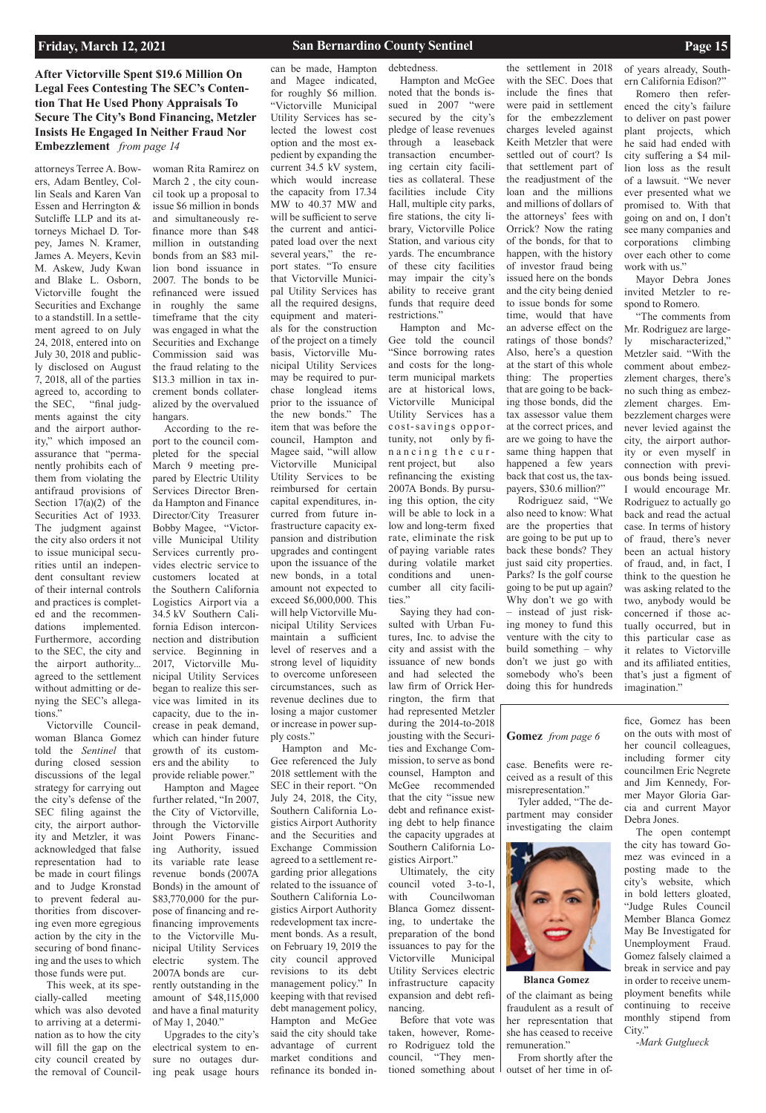attorneys Terree A. Bowers, Adam Bentley, Collin Seals and Karen Van Essen and Herrington & Sutcliffe LLP and its attorneys Michael D. Torpey, James N. Kramer, James A. Meyers, Kevin M. Askew, Judy Kwan and Blake L. Osborn, Victorville fought the Securities and Exchange to a standstill. In a settlement agreed to on July 24, 2018, entered into on July 30, 2018 and publicly disclosed on August 7, 2018, all of the parties agreed to, according to the SEC, "final judgments against the city and the airport authority," which imposed an assurance that "permanently prohibits each of them from violating the antifraud provisions of Section  $17(a)(2)$  of the Securities Act of 1933. The judgment against the city also orders it not to issue municipal securities until an independent consultant review of their internal controls and practices is completed and the recommendations implemented. Furthermore, according to the SEC, the city and the airport authority... agreed to the settlement without admitting or denying the SEC's allegations."

Victorville Councilwoman Blanca Gomez told the *Sentinel* that during closed session discussions of the legal strategy for carrying out the city's defense of the SEC filing against the city, the airport authority and Metzler, it was acknowledged that false representation had to

be made in court filings and to Judge Kronstad to prevent federal authorities from discovering even more egregious action by the city in the securing of bond financing and the uses to which those funds were put.

This week, at its specially-called meeting which was also devoted to arriving at a determination as to how the city will fill the gap on the city council created by the removal of Councilwoman Rita Ramirez on March 2 , the city council took up a proposal to issue \$6 million in bonds and simultaneously refinance more than \$48 million in outstanding bonds from an \$83 million bond issuance in 2007. The bonds to be refinanced were issued in roughly the same timeframe that the city was engaged in what the Securities and Exchange Commission said was the fraud relating to the \$13.3 million in tax increment bonds collateralized by the overvalued

hangars. According to the report to the council completed for the special March 9 meeting prepared by Electric Utility Services Director Brenda Hampton and Finance Director/City Treasurer Bobby Magee, "Victorville Municipal Utility Services currently provides electric service to customers located at the Southern California Logistics Airport via a 34.5 kV Southern California Edison interconnection and distribution service. Beginning in 2017, Victorville Municipal Utility Services began to realize this service was limited in its capacity, due to the increase in peak demand, which can hinder future growth of its customers and the ability to provide reliable power."

Hampton and Magee further related, "In 2007, the City of Victorville, through the Victorville Joint Powers Financing Authority, issued its variable rate lease revenue bonds (2007A Bonds) in the amount of \$83,770,000 for the purpose of financing and refinancing improvements to the Victorville Municipal Utility Services electric system. The 2007A bonds are currently outstanding in the amount of \$48,115,000 and have a final maturity of May 1, 2040." Upgrades to the city's electrical system to ensure no outages during peak usage hours

can be made, Hampton and Magee indicated, for roughly \$6 million. "Victorville Municipal Utility Services has selected the lowest cost option and the most expedient by expanding the current 34.5 kV system, which would increase the capacity from 17.34 MW to 40.37 MW and will be sufficient to serve the current and anticipated load over the next several years," the report states. "To ensure that Victorville Municipal Utility Services has all the required designs, equipment and materials for the construction of the project on a timely basis, Victorville Municipal Utility Services may be required to purchase longlead items prior to the issuance of the new bonds." The item that was before the council, Hampton and Magee said, "will allow Victorville Municipal Utility Services to be reimbursed for certain capital expenditures, incurred from future infrastructure capacity expansion and distribution upgrades and contingent upon the issuance of the new bonds, in a total amount not expected to exceed \$6,000,000. This will help Victorville Municipal Utility Services maintain a sufficient level of reserves and a strong level of liquidity to overcome unforeseen circumstances, such as revenue declines due to losing a major customer or increase in power supply costs." Hampton and Mc-

Gee referenced the July 2018 settlement with the SEC in their report. "On July 24, 2018, the City, Southern California Logistics Airport Authority and the Securities and Exchange Commission agreed to a settlement regarding prior allegations related to the issuance of Southern California Logistics Airport Authority redevelopment tax increment bonds. As a result, on February 19, 2019 the city council approved revisions to its debt management policy." In keeping with that revised debt management policy, Hampton and McGee said the city should take advantage of current market conditions and refinance its bonded in-

debtedness. Hampton and McGee noted that the bonds issued in 2007 "were secured by the city's pledge of lease revenues through a leaseback transaction encumbering certain city facilities as collateral. These facilities include City Hall, multiple city parks, fire stations, the city library, Victorville Police Station, and various city yards. The encumbrance of these city facilities may impair the city's ability to receive grant funds that require deed restrictions."

Hampton and Mc-Gee told the council "Since borrowing rates and costs for the longterm municipal markets are at historical lows, Victorville Municipal Utility Services has a cost-savings opportunity, not only by financing the current project, but also refinancing the existing 2007A Bonds. By pursuing this option, the city will be able to lock in a low and long-term fixed rate, eliminate the risk of paying variable rates during volatile market conditions and unencumber all city facilities."

Saying they had consulted with Urban Futures, Inc. to advise the city and assist with the issuance of new bonds and had selected the law firm of Orrick Herrington, the firm that had represented Metzler during the 2014-to-2018 jousting with the Securities and Exchange Commission, to serve as bond counsel, Hampton and McGee recommended that the city "issue new debt and refinance existing debt to help finance the capacity upgrades at Southern California Logistics Airport."

Ultimately, the city council voted 3-to-1, with Councilwoman Blanca Gomez dissenting, to undertake the preparation of the bond issuances to pay for the Victorville Municipal Utility Services electric infrastructure capacity expansion and debt refinancing. Before that vote was



the settlement in 2018 with the SEC. Does that include the fines that were paid in settlement for the embezzlement charges leveled against Keith Metzler that were settled out of court? Is that settlement part of the readjustment of the loan and the millions and millions of dollars of the attorneys' fees with Orrick? Now the rating of the bonds, for that to happen, with the history of investor fraud being issued here on the bonds and the city being denied to issue bonds for some time, would that have an adverse effect on the ratings of those bonds? Also, here's a question at the start of this whole thing: The properties that are going to be backing those bonds, did the tax assessor value them at the correct prices, and are we going to have the same thing happen that happened a few years back that cost us, the taxpayers, \$30.6 million?" Rodriguez said, "We

also need to know: What are the properties that are going to be put up to back these bonds? They just said city properties. Parks? Is the golf course going to be put up again? Why don't we go with – instead of just risking money to fund this venture with the city to build something – why don't we just go with somebody who's been doing this for hundreds

of years already, Southern California Edison?"

Romero then referenced the city's failure to deliver on past power plant projects, which he said had ended with city suffering a \$4 million loss as the result of a lawsuit. "We never ever presented what we promised to. With that going on and on, I don't see many companies and corporations climbing over each other to come work with us."

Mayor Debra Jones invited Metzler to respond to Romero.

"The comments from Mr. Rodriguez are largely mischaracterized," Metzler said. "With the comment about embezzlement charges, there's no such thing as embezzlement charges. Embezzlement charges were never levied against the city, the airport authority or even myself in connection with previous bonds being issued. I would encourage Mr. Rodriguez to actually go back and read the actual case. In terms of history of fraud, there's never been an actual history of fraud, and, in fact, I think to the question he was asking related to the two, anybody would be concerned if those actually occurred, but in this particular case as it relates to Victorville and its affiliated entities, that's just a figment of imagination."

## **After Victorville Spent \$19.6 Million On Legal Fees Contesting The SEC's Contention That He Used Phony Appraisals To Secure The City's Bond Financing, Metzler Insists He Engaged In Neither Fraud Nor Embezzlement** *from page 14*

case. Benefits were received as a result of this misrepresentation."

Tyler added, "The department may consider investigating the claim



fice, Gomez has been on the outs with most of her council colleagues, including former city councilmen Eric Negrete and Jim Kennedy, Former Mayor Gloria Garcia and current Mayor Debra Jones.

The open contempt the city has toward Gomez was evinced in a

posting made to the city's website, which in bold letters gloated, "Judge Rules Council Member Blanca Gomez May Be Investigated for Unemployment Fraud. Gomez falsely claimed a break in service and pay in order to receive unemployment benefits while continuing to receive monthly stipend from City."

-*Mark Gutglueck*

### **Blanca Gomez**

of the claimant as being fraudulent as a result of her representation that she has ceased to receive remuneration."

From shortly after the outset of her time in of-

### **Gomez** *from page 6*